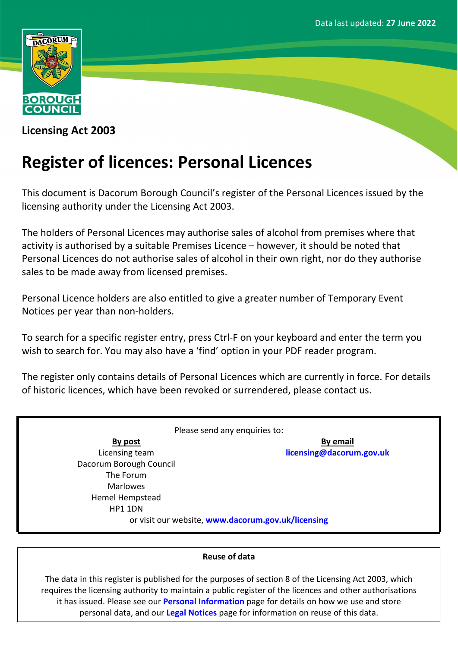

**Licensing Act 2003**

# **Register of licences: Personal Licences**

This document is Dacorum Borough Council's register of the Personal Licences issued by the licensing authority under the Licensing Act 2003.

The holders of Personal Licences may authorise sales of alcohol from premises where that activity is authorised by a suitable Premises Licence – however, it should be noted that Personal Licences do not authorise sales of alcohol in their own right, nor do they authorise sales to be made away from licensed premises.

Personal Licence holders are also entitled to give a greater number of Temporary Event Notices per year than non-holders.

To search for a specific register entry, press Ctrl-F on your keyboard and enter the term you wish to search for. You may also have a 'find' option in your PDF reader program.

The register only contains details of Personal Licences which are currently in force. For details of historic licences, which have been revoked or surrendered, please contact us.

Please send any enquiries to: **By post** Licensing team Dacorum Borough Council The Forum Marlowes Hemel Hempstead HP1 1DN **By email [licensing@dacorum.gov.uk](mailto:licensing@dacorum.gov.uk)** or visit our website, **[www.dacorum.gov.uk/licensing](http://www.dacorum.gov.uk/licensing)**

## **Reuse of data**

The data in this register is published for the purposes of section 8 of the Licensing Act 2003, which requires the licensing authority to maintain a public register of the licences and other authorisations it has issued. Please see our **[Personal](http://www.dacorum.gov.uk/home/open-data/personal-information) [Information](http://www.dacorum.gov.uk/home/open-data/personal-information)** page for details on how we use and store personal data, and our **[Legal](http://www.dacorum.gov.uk/home/map-of-dacorum/legal-disclaimers) [Notices](http://www.dacorum.gov.uk/home/map-of-dacorum/legal-disclaimers)** page for information on reuse of this data.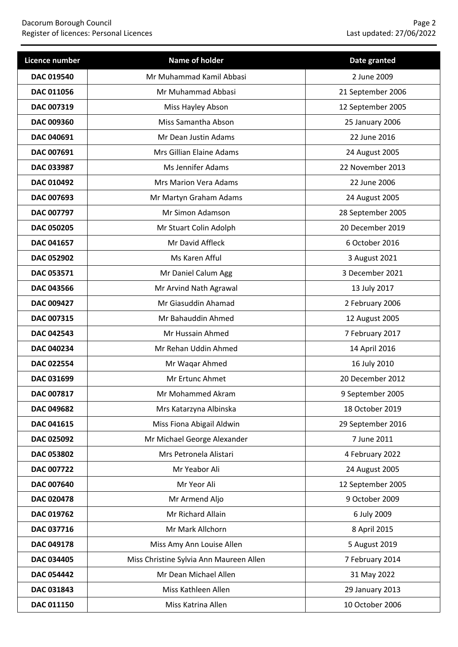| Licence number    | Name of holder                          | Date granted      |
|-------------------|-----------------------------------------|-------------------|
| DAC 019540        | Mr Muhammad Kamil Abbasi                | 2 June 2009       |
| DAC 011056        | Mr Muhammad Abbasi                      | 21 September 2006 |
| DAC 007319        | Miss Hayley Abson                       | 12 September 2005 |
| DAC 009360        | Miss Samantha Abson                     | 25 January 2006   |
| DAC 040691        | Mr Dean Justin Adams                    | 22 June 2016      |
| DAC 007691        | Mrs Gillian Elaine Adams                | 24 August 2005    |
| DAC 033987        | Ms Jennifer Adams                       | 22 November 2013  |
| DAC 010492        | <b>Mrs Marion Vera Adams</b>            | 22 June 2006      |
| DAC 007693        | Mr Martyn Graham Adams                  | 24 August 2005    |
| DAC 007797        | Mr Simon Adamson                        | 28 September 2005 |
| <b>DAC 050205</b> | Mr Stuart Colin Adolph                  | 20 December 2019  |
| <b>DAC 041657</b> | Mr David Affleck                        | 6 October 2016    |
| DAC 052902        | Ms Karen Afful                          | 3 August 2021     |
| DAC 053571        | Mr Daniel Calum Agg                     | 3 December 2021   |
| <b>DAC 043566</b> | Mr Arvind Nath Agrawal                  | 13 July 2017      |
| DAC 009427        | Mr Giasuddin Ahamad                     | 2 February 2006   |
| DAC 007315        | Mr Bahauddin Ahmed                      | 12 August 2005    |
| DAC 042543        | Mr Hussain Ahmed                        | 7 February 2017   |
| DAC 040234        | Mr Rehan Uddin Ahmed                    | 14 April 2016     |
| DAC 022554        | Mr Waqar Ahmed                          | 16 July 2010      |
| DAC 031699        | Mr Ertunc Ahmet                         | 20 December 2012  |
| DAC 007817        | Mr Mohammed Akram                       | 9 September 2005  |
| <b>DAC 049682</b> | Mrs Katarzyna Albinska                  | 18 October 2019   |
| DAC 041615        | Miss Fiona Abigail Aldwin               | 29 September 2016 |
| DAC 025092        | Mr Michael George Alexander             | 7 June 2011       |
| DAC 053802        | Mrs Petronela Alistari                  | 4 February 2022   |
| DAC 007722        | Mr Yeabor Ali                           | 24 August 2005    |
| DAC 007640        | Mr Yeor Ali                             | 12 September 2005 |
| DAC 020478        | Mr Armend Aljo                          | 9 October 2009    |
| DAC 019762        | Mr Richard Allain                       | 6 July 2009       |
| DAC 037716        | Mr Mark Allchorn                        | 8 April 2015      |
| DAC 049178        | Miss Amy Ann Louise Allen               | 5 August 2019     |
| DAC 034405        | Miss Christine Sylvia Ann Maureen Allen | 7 February 2014   |
| DAC 054442        | Mr Dean Michael Allen                   | 31 May 2022       |
| DAC 031843        | Miss Kathleen Allen                     | 29 January 2013   |
| DAC 011150        | Miss Katrina Allen                      | 10 October 2006   |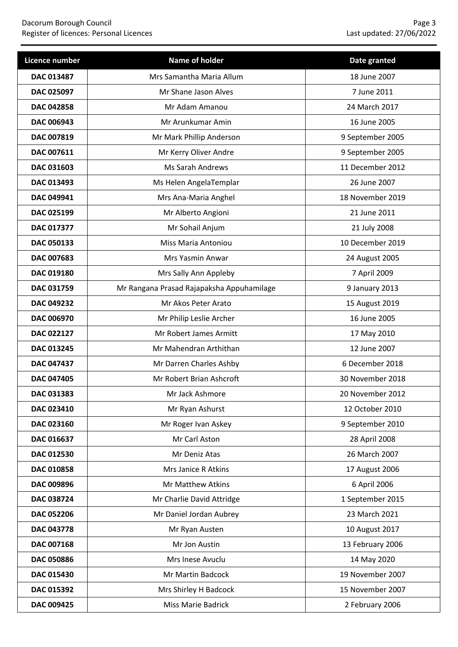| Licence number    | Name of holder                            | Date granted     |
|-------------------|-------------------------------------------|------------------|
| DAC 013487        | Mrs Samantha Maria Allum                  | 18 June 2007     |
| DAC 025097        | Mr Shane Jason Alves                      | 7 June 2011      |
| <b>DAC 042858</b> | Mr Adam Amanou                            | 24 March 2017    |
| <b>DAC 006943</b> | Mr Arunkumar Amin                         | 16 June 2005     |
| DAC 007819        | Mr Mark Phillip Anderson                  | 9 September 2005 |
| DAC 007611        | Mr Kerry Oliver Andre                     | 9 September 2005 |
| DAC 031603        | Ms Sarah Andrews                          | 11 December 2012 |
| DAC 013493        | Ms Helen AngelaTemplar                    | 26 June 2007     |
| DAC 049941        | Mrs Ana-Maria Anghel                      | 18 November 2019 |
| DAC 025199        | Mr Alberto Angioni                        | 21 June 2011     |
| <b>DAC 017377</b> | Mr Sohail Anjum                           | 21 July 2008     |
| DAC 050133        | Miss Maria Antoniou                       | 10 December 2019 |
| DAC 007683        | Mrs Yasmin Anwar                          | 24 August 2005   |
| <b>DAC 019180</b> | Mrs Sally Ann Appleby                     | 7 April 2009     |
| DAC 031759        | Mr Rangana Prasad Rajapaksha Appuhamilage | 9 January 2013   |
| DAC 049232        | Mr Akos Peter Arato                       | 15 August 2019   |
| DAC 006970        | Mr Philip Leslie Archer                   | 16 June 2005     |
| DAC 022127        | Mr Robert James Armitt                    | 17 May 2010      |
| DAC 013245        | Mr Mahendran Arthithan                    | 12 June 2007     |
| DAC 047437        | Mr Darren Charles Ashby                   | 6 December 2018  |
| <b>DAC 047405</b> | Mr Robert Brian Ashcroft                  | 30 November 2018 |
| DAC 031383        | Mr Jack Ashmore                           | 20 November 2012 |
| DAC 023410        | Mr Ryan Ashurst                           | 12 October 2010  |
| DAC 023160        | Mr Roger Ivan Askey                       | 9 September 2010 |
| DAC 016637        | Mr Carl Aston                             | 28 April 2008    |
| DAC 012530        | Mr Deniz Atas                             | 26 March 2007    |
| DAC 010858        | Mrs Janice R Atkins                       | 17 August 2006   |
| DAC 009896        | Mr Matthew Atkins                         | 6 April 2006     |
| DAC 038724        | Mr Charlie David Attridge                 | 1 September 2015 |
| DAC 052206        | Mr Daniel Jordan Aubrey                   | 23 March 2021    |
| DAC 043778        | Mr Ryan Austen                            | 10 August 2017   |
| DAC 007168        | Mr Jon Austin                             | 13 February 2006 |
| DAC 050886        | Mrs Inese Avuclu                          | 14 May 2020      |
| DAC 015430        | Mr Martin Badcock                         | 19 November 2007 |
| DAC 015392        | Mrs Shirley H Badcock                     | 15 November 2007 |
| DAC 009425        | <b>Miss Marie Badrick</b>                 | 2 February 2006  |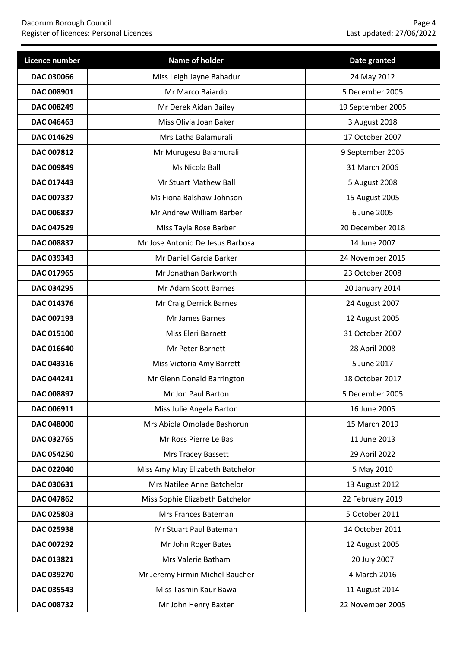| Licence number    | Name of holder                   | Date granted      |
|-------------------|----------------------------------|-------------------|
| DAC 030066        | Miss Leigh Jayne Bahadur         | 24 May 2012       |
| DAC 008901        | Mr Marco Baiardo                 | 5 December 2005   |
| <b>DAC 008249</b> | Mr Derek Aidan Bailey            | 19 September 2005 |
| <b>DAC 046463</b> | Miss Olivia Joan Baker           | 3 August 2018     |
| DAC 014629        | Mrs Latha Balamurali             | 17 October 2007   |
| DAC 007812        | Mr Murugesu Balamurali           | 9 September 2005  |
| DAC 009849        | Ms Nicola Ball                   | 31 March 2006     |
| DAC 017443        | Mr Stuart Mathew Ball            | 5 August 2008     |
| DAC 007337        | Ms Fiona Balshaw-Johnson         | 15 August 2005    |
| DAC 006837        | Mr Andrew William Barber         | 6 June 2005       |
| <b>DAC 047529</b> | Miss Tayla Rose Barber           | 20 December 2018  |
| <b>DAC 008837</b> | Mr Jose Antonio De Jesus Barbosa | 14 June 2007      |
| DAC 039343        | Mr Daniel Garcia Barker          | 24 November 2015  |
| DAC 017965        | Mr Jonathan Barkworth            | 23 October 2008   |
| <b>DAC 034295</b> | Mr Adam Scott Barnes             | 20 January 2014   |
| DAC 014376        | Mr Craig Derrick Barnes          | 24 August 2007    |
| DAC 007193        | Mr James Barnes                  | 12 August 2005    |
| DAC 015100        | Miss Eleri Barnett               | 31 October 2007   |
| DAC 016640        | Mr Peter Barnett                 | 28 April 2008     |
| DAC 043316        | Miss Victoria Amy Barrett        | 5 June 2017       |
| DAC 044241        | Mr Glenn Donald Barrington       | 18 October 2017   |
| DAC 008897        | Mr Jon Paul Barton               | 5 December 2005   |
| DAC 006911        | Miss Julie Angela Barton         | 16 June 2005      |
| DAC 048000        | Mrs Abiola Omolade Bashorun      | 15 March 2019     |
| DAC 032765        | Mr Ross Pierre Le Bas            | 11 June 2013      |
| DAC 054250        | Mrs Tracey Bassett               | 29 April 2022     |
| DAC 022040        | Miss Amy May Elizabeth Batchelor | 5 May 2010        |
| DAC 030631        | Mrs Natilee Anne Batchelor       | 13 August 2012    |
| DAC 047862        | Miss Sophie Elizabeth Batchelor  | 22 February 2019  |
| DAC 025803        | Mrs Frances Bateman              | 5 October 2011    |
| DAC 025938        | Mr Stuart Paul Bateman           | 14 October 2011   |
| DAC 007292        | Mr John Roger Bates              | 12 August 2005    |
| DAC 013821        | Mrs Valerie Batham               | 20 July 2007      |
| DAC 039270        | Mr Jeremy Firmin Michel Baucher  | 4 March 2016      |
| DAC 035543        | Miss Tasmin Kaur Bawa            | 11 August 2014    |
| DAC 008732        | Mr John Henry Baxter             | 22 November 2005  |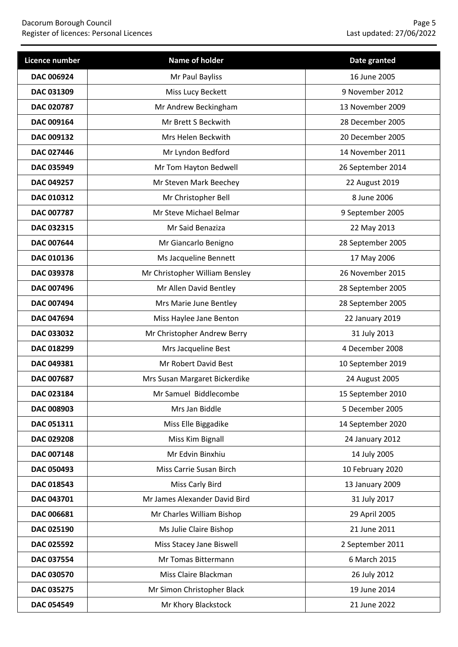| Licence number    | Name of holder                 | Date granted      |
|-------------------|--------------------------------|-------------------|
| DAC 006924        | Mr Paul Bayliss                | 16 June 2005      |
| DAC 031309        | Miss Lucy Beckett              | 9 November 2012   |
| DAC 020787        | Mr Andrew Beckingham           | 13 November 2009  |
| DAC 009164        | Mr Brett S Beckwith            | 28 December 2005  |
| DAC 009132        | Mrs Helen Beckwith             | 20 December 2005  |
| <b>DAC 027446</b> | Mr Lyndon Bedford              | 14 November 2011  |
| DAC 035949        | Mr Tom Hayton Bedwell          | 26 September 2014 |
| DAC 049257        | Mr Steven Mark Beechey         | 22 August 2019    |
| DAC 010312        | Mr Christopher Bell            | 8 June 2006       |
| DAC 007787        | Mr Steve Michael Belmar        | 9 September 2005  |
| DAC 032315        | Mr Said Benaziza               | 22 May 2013       |
| DAC 007644        | Mr Giancarlo Benigno           | 28 September 2005 |
| DAC 010136        | Ms Jacqueline Bennett          | 17 May 2006       |
| DAC 039378        | Mr Christopher William Bensley | 26 November 2015  |
| <b>DAC 007496</b> | Mr Allen David Bentley         | 28 September 2005 |
| DAC 007494        | Mrs Marie June Bentley         | 28 September 2005 |
| DAC 047694        | Miss Haylee Jane Benton        | 22 January 2019   |
| DAC 033032        | Mr Christopher Andrew Berry    | 31 July 2013      |
| DAC 018299        | Mrs Jacqueline Best            | 4 December 2008   |
| DAC 049381        | Mr Robert David Best           | 10 September 2019 |
| DAC 007687        | Mrs Susan Margaret Bickerdike  | 24 August 2005    |
| DAC 023184        | Mr Samuel Biddlecombe          | 15 September 2010 |
| DAC 008903        | Mrs Jan Biddle                 | 5 December 2005   |
| DAC 051311        | Miss Elle Biggadike            | 14 September 2020 |
| DAC 029208        | Miss Kim Bignall               | 24 January 2012   |
| DAC 007148        | Mr Edvin Binxhiu               | 14 July 2005      |
| <b>DAC 050493</b> | Miss Carrie Susan Birch        | 10 February 2020  |
| DAC 018543        | Miss Carly Bird                | 13 January 2009   |
| DAC 043701        | Mr James Alexander David Bird  | 31 July 2017      |
| DAC 006681        | Mr Charles William Bishop      | 29 April 2005     |
| DAC 025190        | Ms Julie Claire Bishop         | 21 June 2011      |
| DAC 025592        | Miss Stacey Jane Biswell       | 2 September 2011  |
| DAC 037554        | Mr Tomas Bittermann            | 6 March 2015      |
| DAC 030570        | Miss Claire Blackman           | 26 July 2012      |
| DAC 035275        | Mr Simon Christopher Black     | 19 June 2014      |
| DAC 054549        | Mr Khory Blackstock            | 21 June 2022      |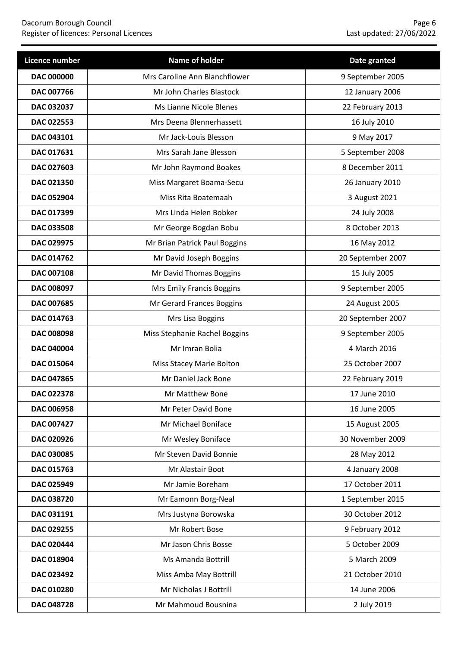| Licence number    | Name of holder                | Date granted      |
|-------------------|-------------------------------|-------------------|
| <b>DAC 000000</b> | Mrs Caroline Ann Blanchflower | 9 September 2005  |
| <b>DAC 007766</b> | Mr John Charles Blastock      | 12 January 2006   |
| DAC 032037        | Ms Lianne Nicole Blenes       | 22 February 2013  |
| DAC 022553        | Mrs Deena Blennerhassett      | 16 July 2010      |
| DAC 043101        | Mr Jack-Louis Blesson         | 9 May 2017        |
| DAC 017631        | Mrs Sarah Jane Blesson        | 5 September 2008  |
| DAC 027603        | Mr John Raymond Boakes        | 8 December 2011   |
| DAC 021350        | Miss Margaret Boama-Secu      | 26 January 2010   |
| <b>DAC 052904</b> | Miss Rita Boatemaah           | 3 August 2021     |
| DAC 017399        | Mrs Linda Helen Bobker        | 24 July 2008      |
| <b>DAC 033508</b> | Mr George Bogdan Bobu         | 8 October 2013    |
| DAC 029975        | Mr Brian Patrick Paul Boggins | 16 May 2012       |
| DAC 014762        | Mr David Joseph Boggins       | 20 September 2007 |
| DAC 007108        | Mr David Thomas Boggins       | 15 July 2005      |
| DAC 008097        | Mrs Emily Francis Boggins     | 9 September 2005  |
| DAC 007685        | Mr Gerard Frances Boggins     | 24 August 2005    |
| DAC 014763        | Mrs Lisa Boggins              | 20 September 2007 |
| DAC 008098        | Miss Stephanie Rachel Boggins | 9 September 2005  |
| DAC 040004        | Mr Imran Bolia                | 4 March 2016      |
| DAC 015064        | Miss Stacey Marie Bolton      | 25 October 2007   |
| DAC 047865        | Mr Daniel Jack Bone           | 22 February 2019  |
| DAC 022378        | Mr Matthew Bone               | 17 June 2010      |
| DAC 006958        | Mr Peter David Bone           | 16 June 2005      |
| DAC 007427        | Mr Michael Boniface           | 15 August 2005    |
| DAC 020926        | Mr Wesley Boniface            | 30 November 2009  |
| DAC 030085        | Mr Steven David Bonnie        | 28 May 2012       |
| DAC 015763        | Mr Alastair Boot              | 4 January 2008    |
| DAC 025949        | Mr Jamie Boreham              | 17 October 2011   |
| <b>DAC 038720</b> | Mr Eamonn Borg-Neal           | 1 September 2015  |
| DAC 031191        | Mrs Justyna Borowska          | 30 October 2012   |
| DAC 029255        | Mr Robert Bose                | 9 February 2012   |
| DAC 020444        | Mr Jason Chris Bosse          | 5 October 2009    |
| DAC 018904        | Ms Amanda Bottrill            | 5 March 2009      |
| DAC 023492        | Miss Amba May Bottrill        | 21 October 2010   |
| DAC 010280        | Mr Nicholas J Bottrill        | 14 June 2006      |
| DAC 048728        | Mr Mahmoud Bousnina           | 2 July 2019       |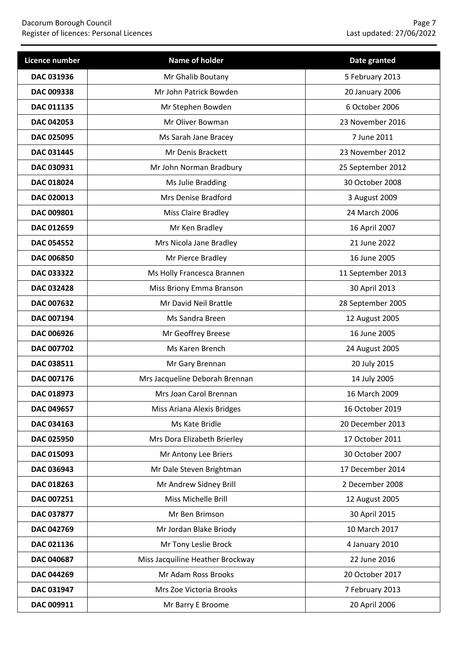| Licence number    | Name of holder                   | Date granted      |
|-------------------|----------------------------------|-------------------|
| DAC 031936        | Mr Ghalib Boutany                | 5 February 2013   |
| DAC 009338        | Mr John Patrick Bowden           | 20 January 2006   |
| <b>DAC 011135</b> | Mr Stephen Bowden                | 6 October 2006    |
| DAC 042053        | Mr Oliver Bowman                 | 23 November 2016  |
| DAC 025095        | Ms Sarah Jane Bracey             | 7 June 2011       |
| <b>DAC 031445</b> | Mr Denis Brackett                | 23 November 2012  |
| DAC 030931        | Mr John Norman Bradbury          | 25 September 2012 |
| DAC 018024        | Ms Julie Bradding                | 30 October 2008   |
| DAC 020013        | Mrs Denise Bradford              | 3 August 2009     |
| DAC 009801        | Miss Claire Bradley              | 24 March 2006     |
| DAC 012659        | Mr Ken Bradley                   | 16 April 2007     |
| <b>DAC 054552</b> | Mrs Nicola Jane Bradley          | 21 June 2022      |
| <b>DAC 006850</b> | Mr Pierce Bradley                | 16 June 2005      |
| DAC 033322        | Ms Holly Francesca Brannen       | 11 September 2013 |
| DAC 032428        | Miss Briony Emma Branson         | 30 April 2013     |
| DAC 007632        | Mr David Neil Brattle            | 28 September 2005 |
| DAC 007194        | Ms Sandra Breen                  | 12 August 2005    |
| DAC 006926        | Mr Geoffrey Breese               | 16 June 2005      |
| DAC 007702        | Ms Karen Brench                  | 24 August 2005    |
| DAC 038511        | Mr Gary Brennan                  | 20 July 2015      |
| DAC 007176        | Mrs Jacqueline Deborah Brennan   | 14 July 2005      |
| DAC 018973        | Mrs Joan Carol Brennan           | 16 March 2009     |
| DAC 049657        | Miss Ariana Alexis Bridges       | 16 October 2019   |
| DAC 034163        | Ms Kate Bridle                   | 20 December 2013  |
| DAC 025950        | Mrs Dora Elizabeth Brierley      | 17 October 2011   |
| DAC 015093        | Mr Antony Lee Briers             | 30 October 2007   |
| DAC 036943        | Mr Dale Steven Brightman         | 17 December 2014  |
| DAC 018263        | Mr Andrew Sidney Brill           | 2 December 2008   |
| DAC 007251        | Miss Michelle Brill              | 12 August 2005    |
| DAC 037877        | Mr Ben Brimson                   | 30 April 2015     |
| DAC 042769        | Mr Jordan Blake Briody           | 10 March 2017     |
| DAC 021136        | Mr Tony Leslie Brock             | 4 January 2010    |
| DAC 040687        | Miss Jacquiline Heather Brockway | 22 June 2016      |
| DAC 044269        | Mr Adam Ross Brooks              | 20 October 2017   |
| DAC 031947        | Mrs Zoe Victoria Brooks          | 7 February 2013   |
| DAC 009911        | Mr Barry E Broome                | 20 April 2006     |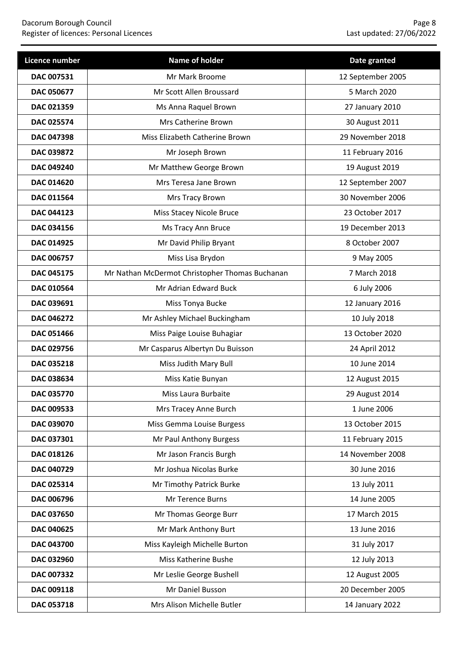| <b>Licence number</b> | <b>Name of holder</b>                          | Date granted      |
|-----------------------|------------------------------------------------|-------------------|
| DAC 007531            | Mr Mark Broome                                 | 12 September 2005 |
| DAC 050677            | Mr Scott Allen Broussard                       | 5 March 2020      |
| DAC 021359            | Ms Anna Raquel Brown                           | 27 January 2010   |
| DAC 025574            | Mrs Catherine Brown                            | 30 August 2011    |
| DAC 047398            | Miss Elizabeth Catherine Brown                 | 29 November 2018  |
| DAC 039872            | Mr Joseph Brown                                | 11 February 2016  |
| DAC 049240            | Mr Matthew George Brown                        | 19 August 2019    |
| DAC 014620            | Mrs Teresa Jane Brown                          | 12 September 2007 |
| DAC 011564            | Mrs Tracy Brown                                | 30 November 2006  |
| DAC 044123            | <b>Miss Stacey Nicole Bruce</b>                | 23 October 2017   |
| <b>DAC 034156</b>     | Ms Tracy Ann Bruce                             | 19 December 2013  |
| DAC 014925            | Mr David Philip Bryant                         | 8 October 2007    |
| DAC 006757            | Miss Lisa Brydon                               | 9 May 2005        |
| <b>DAC 045175</b>     | Mr Nathan McDermot Christopher Thomas Buchanan | 7 March 2018      |
| DAC 010564            | Mr Adrian Edward Buck                          | 6 July 2006       |
| DAC 039691            | Miss Tonya Bucke                               | 12 January 2016   |
| DAC 046272            | Mr Ashley Michael Buckingham                   | 10 July 2018      |
| DAC 051466            | Miss Paige Louise Buhagiar                     | 13 October 2020   |
| DAC 029756            | Mr Casparus Albertyn Du Buisson                | 24 April 2012     |
| DAC 035218            | Miss Judith Mary Bull                          | 10 June 2014      |
| DAC 038634            | Miss Katie Bunyan                              | 12 August 2015    |
| DAC 035770            | Miss Laura Burbaite                            | 29 August 2014    |
| DAC 009533            | Mrs Tracey Anne Burch                          | 1 June 2006       |
| DAC 039070            | Miss Gemma Louise Burgess                      | 13 October 2015   |
| DAC 037301            | Mr Paul Anthony Burgess                        | 11 February 2015  |
| DAC 018126            | Mr Jason Francis Burgh                         | 14 November 2008  |
| DAC 040729            | Mr Joshua Nicolas Burke                        | 30 June 2016      |
| DAC 025314            | Mr Timothy Patrick Burke                       | 13 July 2011      |
| DAC 006796            | Mr Terence Burns                               | 14 June 2005      |
| DAC 037650            | Mr Thomas George Burr                          | 17 March 2015     |
| DAC 040625            | Mr Mark Anthony Burt                           | 13 June 2016      |
| DAC 043700            | Miss Kayleigh Michelle Burton                  | 31 July 2017      |
| DAC 032960            | Miss Katherine Bushe                           | 12 July 2013      |
| DAC 007332            | Mr Leslie George Bushell                       | 12 August 2005    |
| DAC 009118            | Mr Daniel Busson                               | 20 December 2005  |
| DAC 053718            | Mrs Alison Michelle Butler                     | 14 January 2022   |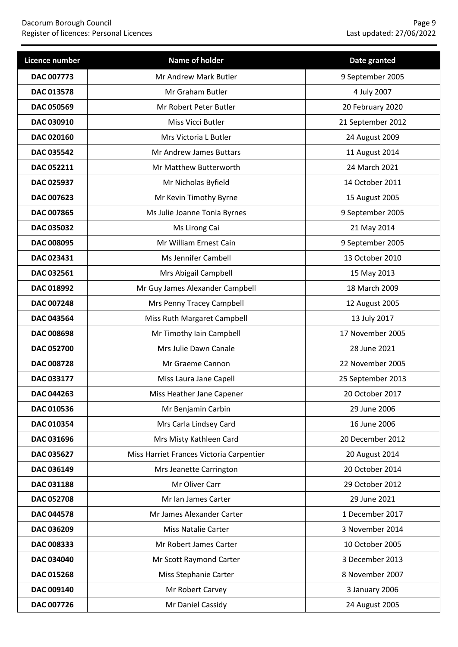| Licence number    | Name of holder                           | Date granted      |
|-------------------|------------------------------------------|-------------------|
| DAC 007773        | Mr Andrew Mark Butler                    | 9 September 2005  |
| DAC 013578        | Mr Graham Butler                         | 4 July 2007       |
| <b>DAC 050569</b> | Mr Robert Peter Butler                   | 20 February 2020  |
| DAC 030910        | Miss Vicci Butler                        | 21 September 2012 |
| DAC 020160        | Mrs Victoria L Butler                    | 24 August 2009    |
| DAC 035542        | Mr Andrew James Buttars                  | 11 August 2014    |
| DAC 052211        | Mr Matthew Butterworth                   | 24 March 2021     |
| DAC 025937        | Mr Nicholas Byfield                      | 14 October 2011   |
| DAC 007623        | Mr Kevin Timothy Byrne                   | 15 August 2005    |
| DAC 007865        | Ms Julie Joanne Tonia Byrnes             | 9 September 2005  |
| DAC 035032        | Ms Lirong Cai                            | 21 May 2014       |
| DAC 008095        | Mr William Ernest Cain                   | 9 September 2005  |
| DAC 023431        | Ms Jennifer Cambell                      | 13 October 2010   |
| DAC 032561        | Mrs Abigail Campbell                     | 15 May 2013       |
| DAC 018992        | Mr Guy James Alexander Campbell          | 18 March 2009     |
| DAC 007248        | Mrs Penny Tracey Campbell                | 12 August 2005    |
| DAC 043564        | Miss Ruth Margaret Campbell              | 13 July 2017      |
| <b>DAC 008698</b> | Mr Timothy Iain Campbell                 | 17 November 2005  |
| DAC 052700        | Mrs Julie Dawn Canale                    | 28 June 2021      |
| <b>DAC 008728</b> | Mr Graeme Cannon                         | 22 November 2005  |
| DAC 033177        | Miss Laura Jane Capell                   | 25 September 2013 |
| DAC 044263        | Miss Heather Jane Capener                | 20 October 2017   |
| DAC 010536        | Mr Benjamin Carbin                       | 29 June 2006      |
| DAC 010354        | Mrs Carla Lindsey Card                   | 16 June 2006      |
| DAC 031696        | Mrs Misty Kathleen Card                  | 20 December 2012  |
| DAC 035627        | Miss Harriet Frances Victoria Carpentier | 20 August 2014    |
| DAC 036149        | Mrs Jeanette Carrington                  | 20 October 2014   |
| DAC 031188        | Mr Oliver Carr                           | 29 October 2012   |
| DAC 052708        | Mr Ian James Carter                      | 29 June 2021      |
| DAC 044578        | Mr James Alexander Carter                | 1 December 2017   |
| DAC 036209        | Miss Natalie Carter                      | 3 November 2014   |
| DAC 008333        | Mr Robert James Carter                   | 10 October 2005   |
| DAC 034040        | Mr Scott Raymond Carter                  | 3 December 2013   |
| DAC 015268        | Miss Stephanie Carter                    | 8 November 2007   |
| DAC 009140        | Mr Robert Carvey                         | 3 January 2006    |
| DAC 007726        | Mr Daniel Cassidy                        | 24 August 2005    |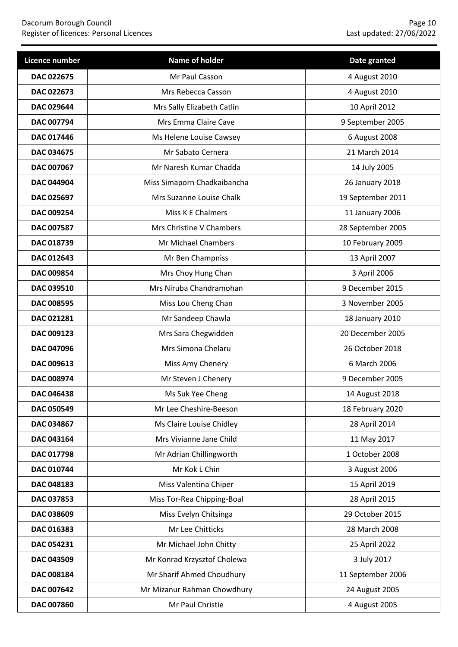| Licence number    | Name of holder              | Date granted      |
|-------------------|-----------------------------|-------------------|
| <b>DAC 022675</b> | Mr Paul Casson              | 4 August 2010     |
| DAC 022673        | Mrs Rebecca Casson          | 4 August 2010     |
| <b>DAC 029644</b> | Mrs Sally Elizabeth Catlin  | 10 April 2012     |
| DAC 007794        | Mrs Emma Claire Cave        | 9 September 2005  |
| DAC 017446        | Ms Helene Louise Cawsey     | 6 August 2008     |
| DAC 034675        | Mr Sabato Cernera           | 21 March 2014     |
| DAC 007067        | Mr Naresh Kumar Chadda      | 14 July 2005      |
| <b>DAC 044904</b> | Miss Simaporn Chadkaibancha | 26 January 2018   |
| DAC 025697        | Mrs Suzanne Louise Chalk    | 19 September 2011 |
| DAC 009254        | Miss K E Chalmers           | 11 January 2006   |
| DAC 007587        | Mrs Christine V Chambers    | 28 September 2005 |
| DAC 018739        | Mr Michael Chambers         | 10 February 2009  |
| DAC 012643        | Mr Ben Champniss            | 13 April 2007     |
| DAC 009854        | Mrs Choy Hung Chan          | 3 April 2006      |
| DAC 039510        | Mrs Niruba Chandramohan     | 9 December 2015   |
| DAC 008595        | Miss Lou Cheng Chan         | 3 November 2005   |
| DAC 021281        | Mr Sandeep Chawla           | 18 January 2010   |
| DAC 009123        | Mrs Sara Chegwidden         | 20 December 2005  |
| <b>DAC 047096</b> | Mrs Simona Chelaru          | 26 October 2018   |
| DAC 009613        | Miss Amy Chenery            | 6 March 2006      |
| DAC 008974        | Mr Steven J Chenery         | 9 December 2005   |
| DAC 046438        | Ms Suk Yee Cheng            | 14 August 2018    |
| DAC 050549        | Mr Lee Cheshire-Beeson      | 18 February 2020  |
| DAC 034867        | Ms Claire Louise Chidley    | 28 April 2014     |
| DAC 043164        | Mrs Vivianne Jane Child     | 11 May 2017       |
| DAC 017798        | Mr Adrian Chillingworth     | 1 October 2008    |
| DAC 010744        | Mr Kok L Chin               | 3 August 2006     |
| DAC 048183        | Miss Valentina Chiper       | 15 April 2019     |
| DAC 037853        | Miss Tor-Rea Chipping-Boal  | 28 April 2015     |
| DAC 038609        | Miss Evelyn Chitsinga       | 29 October 2015   |
| DAC 016383        | Mr Lee Chitticks            | 28 March 2008     |
| DAC 054231        | Mr Michael John Chitty      | 25 April 2022     |
| DAC 043509        | Mr Konrad Krzysztof Cholewa | 3 July 2017       |
| DAC 008184        | Mr Sharif Ahmed Choudhury   | 11 September 2006 |
| DAC 007642        | Mr Mizanur Rahman Chowdhury | 24 August 2005    |
| DAC 007860        | Mr Paul Christie            | 4 August 2005     |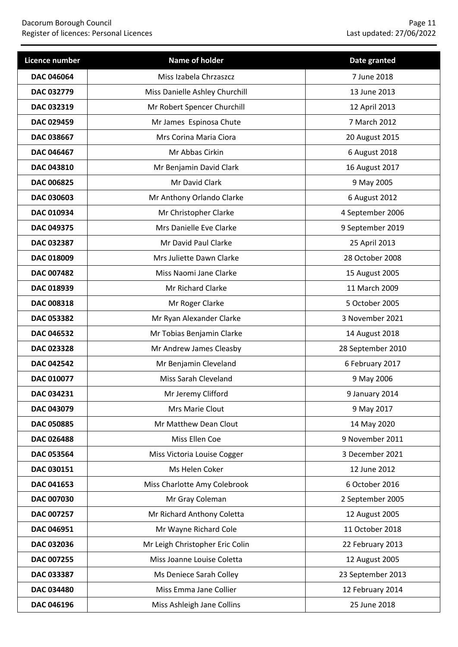### Dacorum Borough Council Page 11 Register of licences: Personal Licences Last updated: 27/06/2022

| Licence number    | Name of holder                  | Date granted      |
|-------------------|---------------------------------|-------------------|
| DAC 046064        | Miss Izabela Chrzaszcz          | 7 June 2018       |
| DAC 032779        | Miss Danielle Ashley Churchill  | 13 June 2013      |
| DAC 032319        | Mr Robert Spencer Churchill     | 12 April 2013     |
| DAC 029459        | Mr James Espinosa Chute         | 7 March 2012      |
| DAC 038667        | Mrs Corina Maria Ciora          | 20 August 2015    |
| DAC 046467        | Mr Abbas Cirkin                 | 6 August 2018     |
| DAC 043810        | Mr Benjamin David Clark         | 16 August 2017    |
| DAC 006825        | Mr David Clark                  | 9 May 2005        |
| DAC 030603        | Mr Anthony Orlando Clarke       | 6 August 2012     |
| DAC 010934        | Mr Christopher Clarke           | 4 September 2006  |
| <b>DAC 049375</b> | Mrs Danielle Eve Clarke         | 9 September 2019  |
| DAC 032387        | Mr David Paul Clarke            | 25 April 2013     |
| DAC 018009        | Mrs Juliette Dawn Clarke        | 28 October 2008   |
| <b>DAC 007482</b> | Miss Naomi Jane Clarke          | 15 August 2005    |
| DAC 018939        | Mr Richard Clarke               | 11 March 2009     |
| DAC 008318        | Mr Roger Clarke                 | 5 October 2005    |
| DAC 053382        | Mr Ryan Alexander Clarke        | 3 November 2021   |
| DAC 046532        | Mr Tobias Benjamin Clarke       | 14 August 2018    |
| DAC 023328        | Mr Andrew James Cleasby         | 28 September 2010 |
| DAC 042542        | Mr Benjamin Cleveland           | 6 February 2017   |
| DAC 010077        | Miss Sarah Cleveland            | 9 May 2006        |
| DAC 034231        | Mr Jeremy Clifford              | 9 January 2014    |
| DAC 043079        | Mrs Marie Clout                 | 9 May 2017        |
| DAC 050885        | Mr Matthew Dean Clout           | 14 May 2020       |
| DAC 026488        | Miss Ellen Coe                  | 9 November 2011   |
| DAC 053564        | Miss Victoria Louise Cogger     | 3 December 2021   |
| DAC 030151        | Ms Helen Coker                  | 12 June 2012      |
| DAC 041653        | Miss Charlotte Amy Colebrook    | 6 October 2016    |
| DAC 007030        | Mr Gray Coleman                 | 2 September 2005  |
| DAC 007257        | Mr Richard Anthony Coletta      | 12 August 2005    |
| DAC 046951        | Mr Wayne Richard Cole           | 11 October 2018   |
| DAC 032036        | Mr Leigh Christopher Eric Colin | 22 February 2013  |
| DAC 007255        | Miss Joanne Louise Coletta      | 12 August 2005    |
| DAC 033387        | Ms Deniece Sarah Colley         | 23 September 2013 |
| DAC 034480        | Miss Emma Jane Collier          | 12 February 2014  |
| DAC 046196        | Miss Ashleigh Jane Collins      | 25 June 2018      |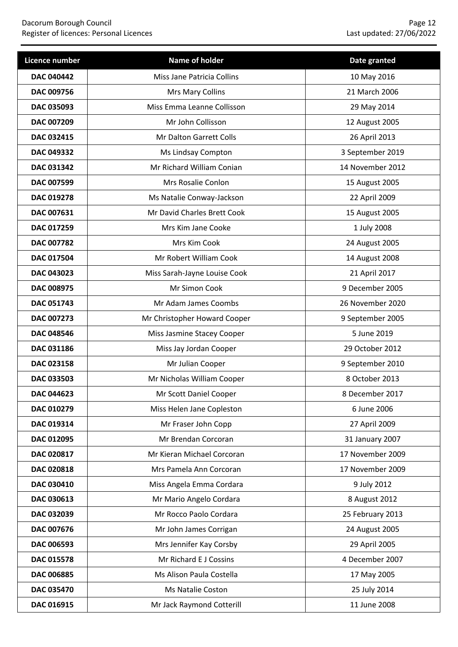| Licence number    | Name of holder               | Date granted     |
|-------------------|------------------------------|------------------|
| <b>DAC 040442</b> | Miss Jane Patricia Collins   | 10 May 2016      |
| DAC 009756        | Mrs Mary Collins             | 21 March 2006    |
| DAC 035093        | Miss Emma Leanne Collisson   | 29 May 2014      |
| DAC 007209        | Mr John Collisson            | 12 August 2005   |
| DAC 032415        | Mr Dalton Garrett Colls      | 26 April 2013    |
| DAC 049332        | Ms Lindsay Compton           | 3 September 2019 |
| DAC 031342        | Mr Richard William Conian    | 14 November 2012 |
| DAC 007599        | Mrs Rosalie Conlon           | 15 August 2005   |
| DAC 019278        | Ms Natalie Conway-Jackson    | 22 April 2009    |
| DAC 007631        | Mr David Charles Brett Cook  | 15 August 2005   |
| <b>DAC 017259</b> | Mrs Kim Jane Cooke           | 1 July 2008      |
| DAC 007782        | Mrs Kim Cook                 | 24 August 2005   |
| DAC 017504        | Mr Robert William Cook       | 14 August 2008   |
| DAC 043023        | Miss Sarah-Jayne Louise Cook | 21 April 2017    |
| <b>DAC 008975</b> | Mr Simon Cook                | 9 December 2005  |
| DAC 051743        | Mr Adam James Coombs         | 26 November 2020 |
| DAC 007273        | Mr Christopher Howard Cooper | 9 September 2005 |
| <b>DAC 048546</b> | Miss Jasmine Stacey Cooper   | 5 June 2019      |
| DAC 031186        | Miss Jay Jordan Cooper       | 29 October 2012  |
| DAC 023158        | Mr Julian Cooper             | 9 September 2010 |
| DAC 033503        | Mr Nicholas William Cooper   | 8 October 2013   |
| DAC 044623        | Mr Scott Daniel Cooper       | 8 December 2017  |
| DAC 010279        | Miss Helen Jane Copleston    | 6 June 2006      |
| DAC 019314        | Mr Fraser John Copp          | 27 April 2009    |
| DAC 012095        | Mr Brendan Corcoran          | 31 January 2007  |
| DAC 020817        | Mr Kieran Michael Corcoran   | 17 November 2009 |
| DAC 020818        | Mrs Pamela Ann Corcoran      | 17 November 2009 |
| DAC 030410        | Miss Angela Emma Cordara     | 9 July 2012      |
| DAC 030613        | Mr Mario Angelo Cordara      | 8 August 2012    |
| DAC 032039        | Mr Rocco Paolo Cordara       | 25 February 2013 |
| DAC 007676        | Mr John James Corrigan       | 24 August 2005   |
| DAC 006593        | Mrs Jennifer Kay Corsby      | 29 April 2005    |
| DAC 015578        | Mr Richard E J Cossins       | 4 December 2007  |
| DAC 006885        | Ms Alison Paula Costella     | 17 May 2005      |
| DAC 035470        | Ms Natalie Coston            | 25 July 2014     |
| DAC 016915        | Mr Jack Raymond Cotterill    | 11 June 2008     |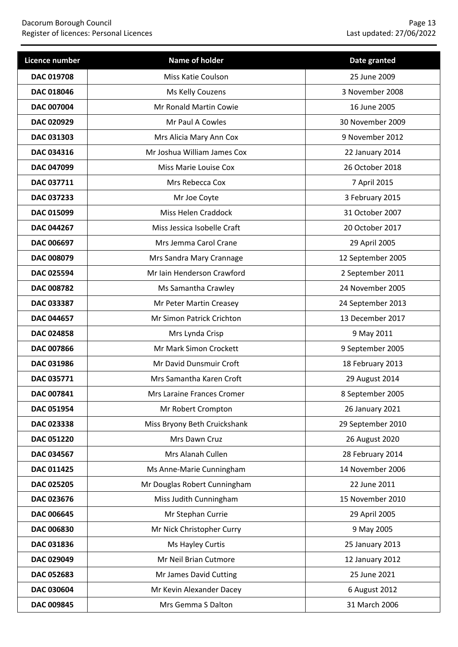| Licence number    | Name of holder               | Date granted      |
|-------------------|------------------------------|-------------------|
| <b>DAC 019708</b> | <b>Miss Katie Coulson</b>    | 25 June 2009      |
| DAC 018046        | Ms Kelly Couzens             | 3 November 2008   |
| DAC 007004        | Mr Ronald Martin Cowie       | 16 June 2005      |
| DAC 020929        | Mr Paul A Cowles             | 30 November 2009  |
| DAC 031303        | Mrs Alicia Mary Ann Cox      | 9 November 2012   |
| DAC 034316        | Mr Joshua William James Cox  | 22 January 2014   |
| DAC 047099        | Miss Marie Louise Cox        | 26 October 2018   |
| DAC 037711        | Mrs Rebecca Cox              | 7 April 2015      |
| DAC 037233        | Mr Joe Coyte                 | 3 February 2015   |
| DAC 015099        | Miss Helen Craddock          | 31 October 2007   |
| <b>DAC 044267</b> | Miss Jessica Isobelle Craft  | 20 October 2017   |
| <b>DAC 006697</b> | Mrs Jemma Carol Crane        | 29 April 2005     |
| DAC 008079        | Mrs Sandra Mary Crannage     | 12 September 2005 |
| DAC 025594        | Mr Iain Henderson Crawford   | 2 September 2011  |
| <b>DAC 008782</b> | Ms Samantha Crawley          | 24 November 2005  |
| DAC 033387        | Mr Peter Martin Creasey      | 24 September 2013 |
| <b>DAC 044657</b> | Mr Simon Patrick Crichton    | 13 December 2017  |
| DAC 024858        | Mrs Lynda Crisp              | 9 May 2011        |
| <b>DAC 007866</b> | Mr Mark Simon Crockett       | 9 September 2005  |
| DAC 031986        | Mr David Dunsmuir Croft      | 18 February 2013  |
| DAC 035771        | Mrs Samantha Karen Croft     | 29 August 2014    |
| DAC 007841        | Mrs Laraine Frances Cromer   | 8 September 2005  |
| DAC 051954        | Mr Robert Crompton           | 26 January 2021   |
| DAC 023338        | Miss Bryony Beth Cruickshank | 29 September 2010 |
| DAC 051220        | Mrs Dawn Cruz                | 26 August 2020    |
| DAC 034567        | Mrs Alanah Cullen            | 28 February 2014  |
| DAC 011425        | Ms Anne-Marie Cunningham     | 14 November 2006  |
| DAC 025205        | Mr Douglas Robert Cunningham | 22 June 2011      |
| DAC 023676        | Miss Judith Cunningham       | 15 November 2010  |
| DAC 006645        | Mr Stephan Currie            | 29 April 2005     |
| DAC 006830        | Mr Nick Christopher Curry    | 9 May 2005        |
| DAC 031836        | Ms Hayley Curtis             | 25 January 2013   |
| DAC 029049        | Mr Neil Brian Cutmore        | 12 January 2012   |
| DAC 052683        | Mr James David Cutting       | 25 June 2021      |
| DAC 030604        | Mr Kevin Alexander Dacey     | 6 August 2012     |
| DAC 009845        | Mrs Gemma S Dalton           | 31 March 2006     |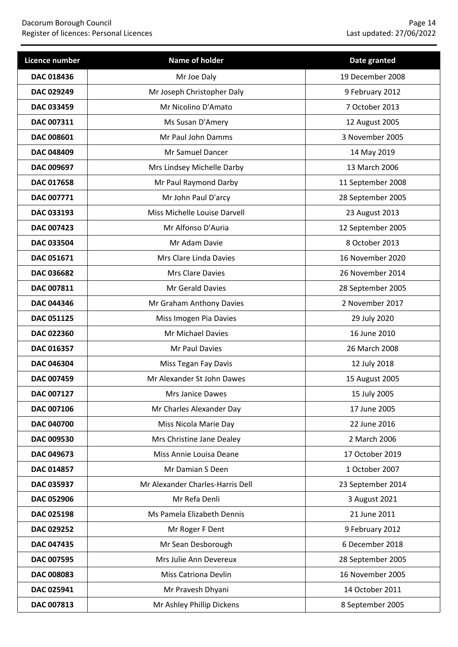| Licence number    | Name of holder                   | Date granted      |
|-------------------|----------------------------------|-------------------|
| DAC 018436        | Mr Joe Daly                      | 19 December 2008  |
| DAC 029249        | Mr Joseph Christopher Daly       | 9 February 2012   |
| <b>DAC 033459</b> | Mr Nicolino D'Amato              | 7 October 2013    |
| DAC 007311        | Ms Susan D'Amery                 | 12 August 2005    |
| DAC 008601        | Mr Paul John Damms               | 3 November 2005   |
| <b>DAC 048409</b> | Mr Samuel Dancer                 | 14 May 2019       |
| DAC 009697        | Mrs Lindsey Michelle Darby       | 13 March 2006     |
| DAC 017658        | Mr Paul Raymond Darby            | 11 September 2008 |
| DAC 007771        | Mr John Paul D'arcy              | 28 September 2005 |
| DAC 033193        | Miss Michelle Louise Darvell     | 23 August 2013    |
| <b>DAC 007423</b> | Mr Alfonso D'Auria               | 12 September 2005 |
| <b>DAC 033504</b> | Mr Adam Davie                    | 8 October 2013    |
| DAC 051671        | Mrs Clare Linda Davies           | 16 November 2020  |
| <b>DAC 036682</b> | Mrs Clare Davies                 | 26 November 2014  |
| DAC 007811        | Mr Gerald Davies                 | 28 September 2005 |
| DAC 044346        | Mr Graham Anthony Davies         | 2 November 2017   |
| DAC 051125        | Miss Imogen Pia Davies           | 29 July 2020      |
| DAC 022360        | Mr Michael Davies                | 16 June 2010      |
| DAC 016357        | Mr Paul Davies                   | 26 March 2008     |
| DAC 046304        | Miss Tegan Fay Davis             | 12 July 2018      |
| DAC 007459        | Mr Alexander St John Dawes       | 15 August 2005    |
| DAC 007127        | Mrs Janice Dawes                 | 15 July 2005      |
| DAC 007106        | Mr Charles Alexander Day         | 17 June 2005      |
| DAC 040700        | Miss Nicola Marie Day            | 22 June 2016      |
| DAC 009530        | Mrs Christine Jane Dealey        | 2 March 2006      |
| DAC 049673        | Miss Annie Louisa Deane          | 17 October 2019   |
| DAC 014857        | Mr Damian S Deen                 | 1 October 2007    |
| DAC 035937        | Mr Alexander Charles-Harris Dell | 23 September 2014 |
| DAC 052906        | Mr Refa Denli                    | 3 August 2021     |
| DAC 025198        | Ms Pamela Elizabeth Dennis       | 21 June 2011      |
| DAC 029252        | Mr Roger F Dent                  | 9 February 2012   |
| DAC 047435        | Mr Sean Desborough               | 6 December 2018   |
| DAC 007595        | Mrs Julie Ann Devereux           | 28 September 2005 |
| DAC 008083        | <b>Miss Catriona Devlin</b>      | 16 November 2005  |
| DAC 025941        | Mr Pravesh Dhyani                | 14 October 2011   |
| DAC 007813        | Mr Ashley Phillip Dickens        | 8 September 2005  |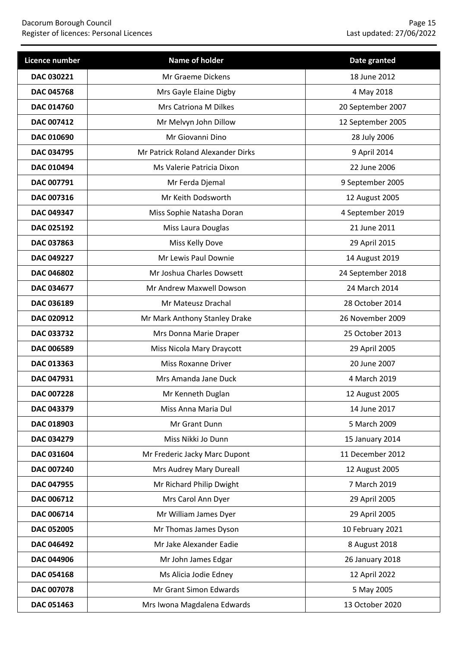| Licence number    | Name of holder                    | Date granted      |
|-------------------|-----------------------------------|-------------------|
| DAC 030221        | Mr Graeme Dickens                 | 18 June 2012      |
| <b>DAC 045768</b> | Mrs Gayle Elaine Digby            | 4 May 2018        |
| <b>DAC 014760</b> | Mrs Catriona M Dilkes             | 20 September 2007 |
| DAC 007412        | Mr Melvyn John Dillow             | 12 September 2005 |
| DAC 010690        | Mr Giovanni Dino                  | 28 July 2006      |
| DAC 034795        | Mr Patrick Roland Alexander Dirks | 9 April 2014      |
| DAC 010494        | Ms Valerie Patricia Dixon         | 22 June 2006      |
| DAC 007791        | Mr Ferda Djemal                   | 9 September 2005  |
| DAC 007316        | Mr Keith Dodsworth                | 12 August 2005    |
| DAC 049347        | Miss Sophie Natasha Doran         | 4 September 2019  |
| DAC 025192        | Miss Laura Douglas                | 21 June 2011      |
| DAC 037863        | Miss Kelly Dove                   | 29 April 2015     |
| DAC 049227        | Mr Lewis Paul Downie              | 14 August 2019    |
| <b>DAC 046802</b> | Mr Joshua Charles Dowsett         | 24 September 2018 |
| DAC 034677        | Mr Andrew Maxwell Dowson          | 24 March 2014     |
| DAC 036189        | Mr Mateusz Drachal                | 28 October 2014   |
| DAC 020912        | Mr Mark Anthony Stanley Drake     | 26 November 2009  |
| DAC 033732        | Mrs Donna Marie Draper            | 25 October 2013   |
| DAC 006589        | Miss Nicola Mary Draycott         | 29 April 2005     |
| DAC 013363        | <b>Miss Roxanne Driver</b>        | 20 June 2007      |
| DAC 047931        | Mrs Amanda Jane Duck              | 4 March 2019      |
| DAC 007228        | Mr Kenneth Duglan                 | 12 August 2005    |
| DAC 043379        | Miss Anna Maria Dul               | 14 June 2017      |
| DAC 018903        | Mr Grant Dunn                     | 5 March 2009      |
| DAC 034279        | Miss Nikki Jo Dunn                | 15 January 2014   |
| DAC 031604        | Mr Frederic Jacky Marc Dupont     | 11 December 2012  |
| DAC 007240        | Mrs Audrey Mary Dureall           | 12 August 2005    |
| DAC 047955        | Mr Richard Philip Dwight          | 7 March 2019      |
| DAC 006712        | Mrs Carol Ann Dyer                | 29 April 2005     |
| DAC 006714        | Mr William James Dyer             | 29 April 2005     |
| DAC 052005        | Mr Thomas James Dyson             | 10 February 2021  |
| DAC 046492        | Mr Jake Alexander Eadie           | 8 August 2018     |
| DAC 044906        | Mr John James Edgar               | 26 January 2018   |
| DAC 054168        | Ms Alicia Jodie Edney             | 12 April 2022     |
| DAC 007078        | Mr Grant Simon Edwards            | 5 May 2005        |
| DAC 051463        | Mrs Iwona Magdalena Edwards       | 13 October 2020   |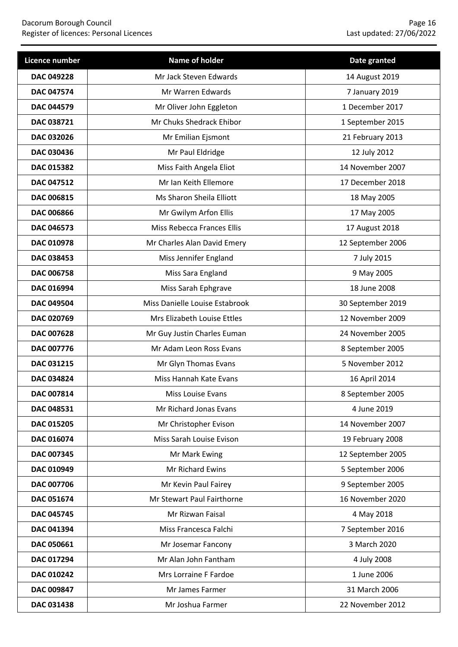| Licence number    | Name of holder                    | Date granted      |
|-------------------|-----------------------------------|-------------------|
| DAC 049228        | Mr Jack Steven Edwards            | 14 August 2019    |
| DAC 047574        | Mr Warren Edwards                 | 7 January 2019    |
| <b>DAC 044579</b> | Mr Oliver John Eggleton           | 1 December 2017   |
| DAC 038721        | Mr Chuks Shedrack Ehibor          | 1 September 2015  |
| DAC 032026        | Mr Emilian Ejsmont                | 21 February 2013  |
| DAC 030436        | Mr Paul Eldridge                  | 12 July 2012      |
| DAC 015382        | Miss Faith Angela Eliot           | 14 November 2007  |
| DAC 047512        | Mr Ian Keith Ellemore             | 17 December 2018  |
| DAC 006815        | Ms Sharon Sheila Elliott          | 18 May 2005       |
| DAC 006866        | Mr Gwilym Arfon Ellis             | 17 May 2005       |
| <b>DAC 046573</b> | <b>Miss Rebecca Frances Ellis</b> | 17 August 2018    |
| DAC 010978        | Mr Charles Alan David Emery       | 12 September 2006 |
| DAC 038453        | Miss Jennifer England             | 7 July 2015       |
| DAC 006758        | Miss Sara England                 | 9 May 2005        |
| DAC 016994        | Miss Sarah Ephgrave               | 18 June 2008      |
| DAC 049504        | Miss Danielle Louise Estabrook    | 30 September 2019 |
| DAC 020769        | Mrs Elizabeth Louise Ettles       | 12 November 2009  |
| DAC 007628        | Mr Guy Justin Charles Euman       | 24 November 2005  |
| DAC 007776        | Mr Adam Leon Ross Evans           | 8 September 2005  |
| DAC 031215        | Mr Glyn Thomas Evans              | 5 November 2012   |
| <b>DAC 034824</b> | Miss Hannah Kate Evans            | 16 April 2014     |
| DAC 007814        | Miss Louise Evans                 | 8 September 2005  |
| DAC 048531        | Mr Richard Jonas Evans            | 4 June 2019       |
| DAC 015205        | Mr Christopher Evison             | 14 November 2007  |
| DAC 016074        | Miss Sarah Louise Evison          | 19 February 2008  |
| DAC 007345        | Mr Mark Ewing                     | 12 September 2005 |
| DAC 010949        | Mr Richard Ewins                  | 5 September 2006  |
| DAC 007706        | Mr Kevin Paul Fairey              | 9 September 2005  |
| DAC 051674        | Mr Stewart Paul Fairthorne        | 16 November 2020  |
| DAC 045745        | Mr Rizwan Faisal                  | 4 May 2018        |
| DAC 041394        | Miss Francesca Falchi             | 7 September 2016  |
| DAC 050661        | Mr Josemar Fancony                | 3 March 2020      |
| DAC 017294        | Mr Alan John Fantham              | 4 July 2008       |
| DAC 010242        | Mrs Lorraine F Fardoe             | 1 June 2006       |
| DAC 009847        | Mr James Farmer                   | 31 March 2006     |
| DAC 031438        | Mr Joshua Farmer                  | 22 November 2012  |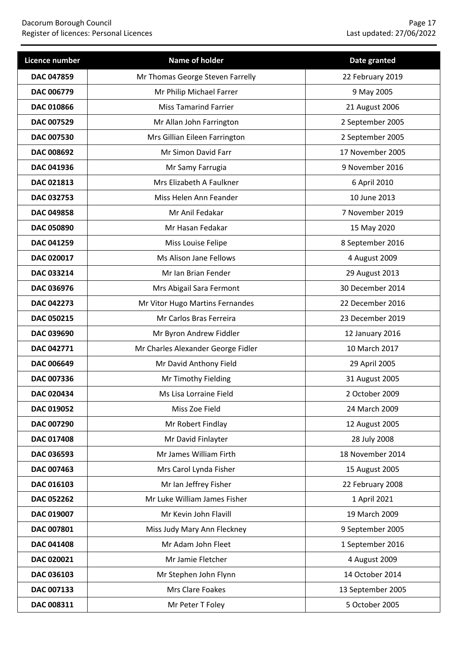| Licence number    | Name of holder                     | Date granted      |
|-------------------|------------------------------------|-------------------|
| DAC 047859        | Mr Thomas George Steven Farrelly   | 22 February 2019  |
| <b>DAC 006779</b> | Mr Philip Michael Farrer           | 9 May 2005        |
| DAC 010866        | <b>Miss Tamarind Farrier</b>       | 21 August 2006    |
| DAC 007529        | Mr Allan John Farrington           | 2 September 2005  |
| DAC 007530        | Mrs Gillian Eileen Farrington      | 2 September 2005  |
| DAC 008692        | Mr Simon David Farr                | 17 November 2005  |
| DAC 041936        | Mr Samy Farrugia                   | 9 November 2016   |
| DAC 021813        | Mrs Elizabeth A Faulkner           | 6 April 2010      |
| DAC 032753        | Miss Helen Ann Feander             | 10 June 2013      |
| DAC 049858        | Mr Anil Fedakar                    | 7 November 2019   |
| <b>DAC 050890</b> | Mr Hasan Fedakar                   | 15 May 2020       |
| DAC 041259        | Miss Louise Felipe                 | 8 September 2016  |
| DAC 020017        | Ms Alison Jane Fellows             | 4 August 2009     |
| DAC 033214        | Mr Ian Brian Fender                | 29 August 2013    |
| DAC 036976        | Mrs Abigail Sara Fermont           | 30 December 2014  |
| DAC 042273        | Mr Vitor Hugo Martins Fernandes    | 22 December 2016  |
| DAC 050215        | Mr Carlos Bras Ferreira            | 23 December 2019  |
| DAC 039690        | Mr Byron Andrew Fiddler            | 12 January 2016   |
| DAC 042771        | Mr Charles Alexander George Fidler | 10 March 2017     |
| DAC 006649        | Mr David Anthony Field             | 29 April 2005     |
| DAC 007336        | Mr Timothy Fielding                | 31 August 2005    |
| DAC 020434        | Ms Lisa Lorraine Field             | 2 October 2009    |
| <b>DAC 019052</b> | Miss Zoe Field                     | 24 March 2009     |
| DAC 007290        | Mr Robert Findlay                  | 12 August 2005    |
| DAC 017408        | Mr David Finlayter                 | 28 July 2008      |
| DAC 036593        | Mr James William Firth             | 18 November 2014  |
| DAC 007463        | Mrs Carol Lynda Fisher             | 15 August 2005    |
| DAC 016103        | Mr Ian Jeffrey Fisher              | 22 February 2008  |
| <b>DAC 052262</b> | Mr Luke William James Fisher       | 1 April 2021      |
| DAC 019007        | Mr Kevin John Flavill              | 19 March 2009     |
| DAC 007801        | Miss Judy Mary Ann Fleckney        | 9 September 2005  |
| DAC 041408        | Mr Adam John Fleet                 | 1 September 2016  |
| DAC 020021        | Mr Jamie Fletcher                  | 4 August 2009     |
| DAC 036103        | Mr Stephen John Flynn              | 14 October 2014   |
| DAC 007133        | Mrs Clare Foakes                   | 13 September 2005 |
| DAC 008311        | Mr Peter T Foley                   | 5 October 2005    |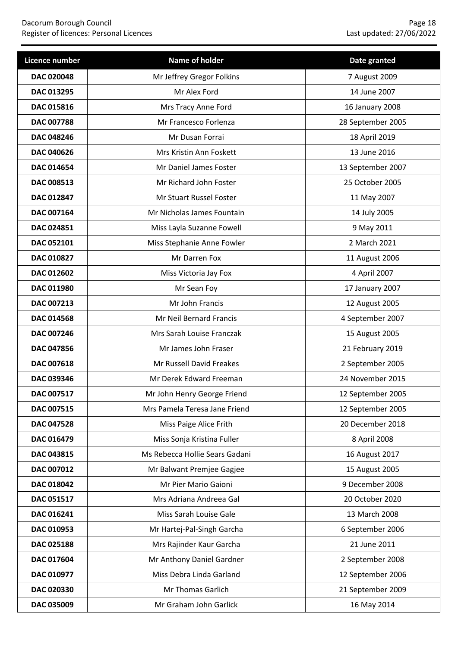| Licence number    | Name of holder                 | Date granted      |
|-------------------|--------------------------------|-------------------|
| DAC 020048        | Mr Jeffrey Gregor Folkins      | 7 August 2009     |
| DAC 013295        | Mr Alex Ford                   | 14 June 2007      |
| DAC 015816        | Mrs Tracy Anne Ford            | 16 January 2008   |
| <b>DAC 007788</b> | Mr Francesco Forlenza          | 28 September 2005 |
| DAC 048246        | Mr Dusan Forrai                | 18 April 2019     |
| <b>DAC 040626</b> | Mrs Kristin Ann Foskett        | 13 June 2016      |
| DAC 014654        | Mr Daniel James Foster         | 13 September 2007 |
| DAC 008513        | Mr Richard John Foster         | 25 October 2005   |
| DAC 012847        | Mr Stuart Russel Foster        | 11 May 2007       |
| DAC 007164        | Mr Nicholas James Fountain     | 14 July 2005      |
| DAC 024851        | Miss Layla Suzanne Fowell      | 9 May 2011        |
| DAC 052101        | Miss Stephanie Anne Fowler     | 2 March 2021      |
| DAC 010827        | Mr Darren Fox                  | 11 August 2006    |
| DAC 012602        | Miss Victoria Jay Fox          | 4 April 2007      |
| DAC 011980        | Mr Sean Foy                    | 17 January 2007   |
| DAC 007213        | Mr John Francis                | 12 August 2005    |
| DAC 014568        | Mr Neil Bernard Francis        | 4 September 2007  |
| DAC 007246        | Mrs Sarah Louise Franczak      | 15 August 2005    |
| <b>DAC 047856</b> | Mr James John Fraser           | 21 February 2019  |
| DAC 007618        | Mr Russell David Freakes       | 2 September 2005  |
| DAC 039346        | Mr Derek Edward Freeman        | 24 November 2015  |
| DAC 007517        | Mr John Henry George Friend    | 12 September 2005 |
| DAC 007515        | Mrs Pamela Teresa Jane Friend  | 12 September 2005 |
| <b>DAC 047528</b> | Miss Paige Alice Frith         | 20 December 2018  |
| DAC 016479        | Miss Sonja Kristina Fuller     | 8 April 2008      |
| DAC 043815        | Ms Rebecca Hollie Sears Gadani | 16 August 2017    |
| DAC 007012        | Mr Balwant Premjee Gagjee      | 15 August 2005    |
| DAC 018042        | Mr Pier Mario Gaioni           | 9 December 2008   |
| DAC 051517        | Mrs Adriana Andreea Gal        | 20 October 2020   |
| DAC 016241        | Miss Sarah Louise Gale         | 13 March 2008     |
| DAC 010953        | Mr Hartej-Pal-Singh Garcha     | 6 September 2006  |
| DAC 025188        | Mrs Rajinder Kaur Garcha       | 21 June 2011      |
| DAC 017604        | Mr Anthony Daniel Gardner      | 2 September 2008  |
| DAC 010977        | Miss Debra Linda Garland       | 12 September 2006 |
| DAC 020330        | Mr Thomas Garlich              | 21 September 2009 |
| DAC 035009        | Mr Graham John Garlick         | 16 May 2014       |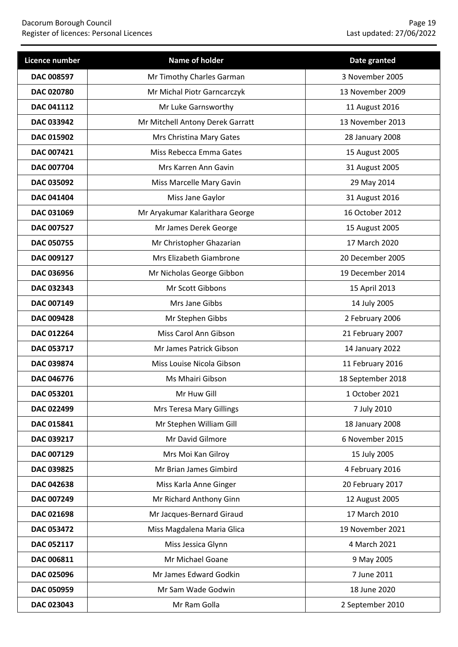| Licence number    | Name of holder                   | Date granted      |
|-------------------|----------------------------------|-------------------|
| <b>DAC 008597</b> | Mr Timothy Charles Garman        | 3 November 2005   |
| <b>DAC 020780</b> | Mr Michal Piotr Garncarczyk      | 13 November 2009  |
| DAC 041112        | Mr Luke Garnsworthy              | 11 August 2016    |
| DAC 033942        | Mr Mitchell Antony Derek Garratt | 13 November 2013  |
| DAC 015902        | Mrs Christina Mary Gates         | 28 January 2008   |
| DAC 007421        | Miss Rebecca Emma Gates          | 15 August 2005    |
| DAC 007704        | Mrs Karren Ann Gavin             | 31 August 2005    |
| DAC 035092        | Miss Marcelle Mary Gavin         | 29 May 2014       |
| <b>DAC 041404</b> | Miss Jane Gaylor                 | 31 August 2016    |
| DAC 031069        | Mr Aryakumar Kalarithara George  | 16 October 2012   |
| <b>DAC 007527</b> | Mr James Derek George            | 15 August 2005    |
| <b>DAC 050755</b> | Mr Christopher Ghazarian         | 17 March 2020     |
| DAC 009127        | Mrs Elizabeth Giambrone          | 20 December 2005  |
| DAC 036956        | Mr Nicholas George Gibbon        | 19 December 2014  |
| DAC 032343        | Mr Scott Gibbons                 | 15 April 2013     |
| DAC 007149        | Mrs Jane Gibbs                   | 14 July 2005      |
| DAC 009428        | Mr Stephen Gibbs                 | 2 February 2006   |
| DAC 012264        | Miss Carol Ann Gibson            | 21 February 2007  |
| DAC 053717        | Mr James Patrick Gibson          | 14 January 2022   |
| DAC 039874        | Miss Louise Nicola Gibson        | 11 February 2016  |
| DAC 046776        | Ms Mhairi Gibson                 | 18 September 2018 |
| DAC 053201        | Mr Huw Gill                      | 1 October 2021    |
| DAC 022499        | Mrs Teresa Mary Gillings         | 7 July 2010       |
| DAC 015841        | Mr Stephen William Gill          | 18 January 2008   |
| DAC 039217        | Mr David Gilmore                 | 6 November 2015   |
| <b>DAC 007129</b> | Mrs Moi Kan Gilroy               | 15 July 2005      |
| DAC 039825        | Mr Brian James Gimbird           | 4 February 2016   |
| DAC 042638        | Miss Karla Anne Ginger           | 20 February 2017  |
| DAC 007249        | Mr Richard Anthony Ginn          | 12 August 2005    |
| DAC 021698        | Mr Jacques-Bernard Giraud        | 17 March 2010     |
| DAC 053472        | Miss Magdalena Maria Glica       | 19 November 2021  |
| DAC 052117        | Miss Jessica Glynn               | 4 March 2021      |
| DAC 006811        | Mr Michael Goane                 | 9 May 2005        |
| DAC 025096        | Mr James Edward Godkin           | 7 June 2011       |
| DAC 050959        | Mr Sam Wade Godwin               | 18 June 2020      |
| DAC 023043        | Mr Ram Golla                     | 2 September 2010  |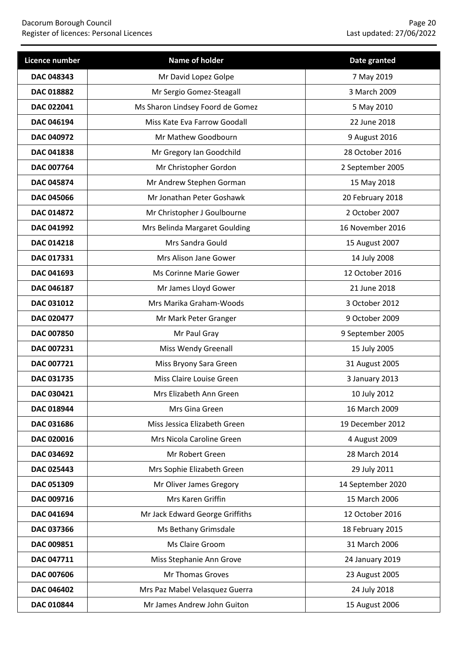| Licence number    | Name of holder                   | Date granted      |
|-------------------|----------------------------------|-------------------|
| DAC 048343        | Mr David Lopez Golpe             | 7 May 2019        |
| DAC 018882        | Mr Sergio Gomez-Steagall         | 3 March 2009      |
| DAC 022041        | Ms Sharon Lindsey Foord de Gomez | 5 May 2010        |
| DAC 046194        | Miss Kate Eva Farrow Goodall     | 22 June 2018      |
| DAC 040972        | Mr Mathew Goodbourn              | 9 August 2016     |
| DAC 041838        | Mr Gregory Ian Goodchild         | 28 October 2016   |
| DAC 007764        | Mr Christopher Gordon            | 2 September 2005  |
| <b>DAC 045874</b> | Mr Andrew Stephen Gorman         | 15 May 2018       |
| <b>DAC 045066</b> | Mr Jonathan Peter Goshawk        | 20 February 2018  |
| DAC 014872        | Mr Christopher J Goulbourne      | 2 October 2007    |
| DAC 041992        | Mrs Belinda Margaret Goulding    | 16 November 2016  |
| <b>DAC 014218</b> | Mrs Sandra Gould                 | 15 August 2007    |
| DAC 017331        | Mrs Alison Jane Gower            | 14 July 2008      |
| DAC 041693        | Ms Corinne Marie Gower           | 12 October 2016   |
| DAC 046187        | Mr James Lloyd Gower             | 21 June 2018      |
| DAC 031012        | Mrs Marika Graham-Woods          | 3 October 2012    |
| DAC 020477        | Mr Mark Peter Granger            | 9 October 2009    |
| <b>DAC 007850</b> | Mr Paul Gray                     | 9 September 2005  |
| DAC 007231        | Miss Wendy Greenall              | 15 July 2005      |
| DAC 007721        | Miss Bryony Sara Green           | 31 August 2005    |
| DAC 031735        | Miss Claire Louise Green         | 3 January 2013    |
| DAC 030421        | Mrs Elizabeth Ann Green          | 10 July 2012      |
| DAC 018944        | Mrs Gina Green                   | 16 March 2009     |
| DAC 031686        | Miss Jessica Elizabeth Green     | 19 December 2012  |
| DAC 020016        | Mrs Nicola Caroline Green        | 4 August 2009     |
| DAC 034692        | Mr Robert Green                  | 28 March 2014     |
| DAC 025443        | Mrs Sophie Elizabeth Green       | 29 July 2011      |
| DAC 051309        | Mr Oliver James Gregory          | 14 September 2020 |
| DAC 009716        | Mrs Karen Griffin                | 15 March 2006     |
| DAC 041694        | Mr Jack Edward George Griffiths  | 12 October 2016   |
| DAC 037366        | Ms Bethany Grimsdale             | 18 February 2015  |
| DAC 009851        | Ms Claire Groom                  | 31 March 2006     |
| DAC 047711        | Miss Stephanie Ann Grove         | 24 January 2019   |
| DAC 007606        | Mr Thomas Groves                 | 23 August 2005    |
| DAC 046402        | Mrs Paz Mabel Velasquez Guerra   | 24 July 2018      |
| DAC 010844        | Mr James Andrew John Guiton      | 15 August 2006    |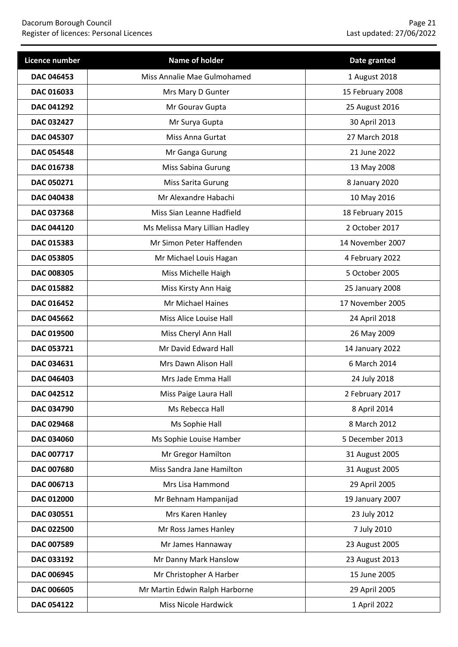### Dacorum Borough Council Page 21 Register of licences: Personal Licences Last updated: 27/06/2022

| Licence number    | Name of holder                 | Date granted     |
|-------------------|--------------------------------|------------------|
| <b>DAC 046453</b> | Miss Annalie Mae Gulmohamed    | 1 August 2018    |
| DAC 016033        | Mrs Mary D Gunter              | 15 February 2008 |
| DAC 041292        | Mr Gourav Gupta                | 25 August 2016   |
| DAC 032427        | Mr Surya Gupta                 | 30 April 2013    |
| DAC 045307        | Miss Anna Gurtat               | 27 March 2018    |
| <b>DAC 054548</b> | Mr Ganga Gurung                | 21 June 2022     |
| DAC 016738        | Miss Sabina Gurung             | 13 May 2008      |
| DAC 050271        | Miss Sarita Gurung             | 8 January 2020   |
| <b>DAC 040438</b> | Mr Alexandre Habachi           | 10 May 2016      |
| DAC 037368        | Miss Sian Leanne Hadfield      | 18 February 2015 |
| <b>DAC 044120</b> | Ms Melissa Mary Lillian Hadley | 2 October 2017   |
| DAC 015383        | Mr Simon Peter Haffenden       | 14 November 2007 |
| DAC 053805        | Mr Michael Louis Hagan         | 4 February 2022  |
| <b>DAC 008305</b> | Miss Michelle Haigh            | 5 October 2005   |
| DAC 015882        | Miss Kirsty Ann Haig           | 25 January 2008  |
| DAC 016452        | Mr Michael Haines              | 17 November 2005 |
| <b>DAC 045662</b> | Miss Alice Louise Hall         | 24 April 2018    |
| DAC 019500        | Miss Cheryl Ann Hall           | 26 May 2009      |
| DAC 053721        | Mr David Edward Hall           | 14 January 2022  |
| DAC 034631        | Mrs Dawn Alison Hall           | 6 March 2014     |
| DAC 046403        | Mrs Jade Emma Hall             | 24 July 2018     |
| <b>DAC 042512</b> | Miss Paige Laura Hall          | 2 February 2017  |
| DAC 034790        | Ms Rebecca Hall                | 8 April 2014     |
| DAC 029468        | Ms Sophie Hall                 | 8 March 2012     |
| DAC 034060        | Ms Sophie Louise Hamber        | 5 December 2013  |
| DAC 007717        | Mr Gregor Hamilton             | 31 August 2005   |
| DAC 007680        | Miss Sandra Jane Hamilton      | 31 August 2005   |
| DAC 006713        | Mrs Lisa Hammond               | 29 April 2005    |
| DAC 012000        | Mr Behnam Hampanijad           | 19 January 2007  |
| DAC 030551        | Mrs Karen Hanley               | 23 July 2012     |
| DAC 022500        | Mr Ross James Hanley           | 7 July 2010      |
| DAC 007589        | Mr James Hannaway              | 23 August 2005   |
| DAC 033192        | Mr Danny Mark Hanslow          | 23 August 2013   |
| DAC 006945        | Mr Christopher A Harber        | 15 June 2005     |
| <b>DAC 006605</b> | Mr Martin Edwin Ralph Harborne | 29 April 2005    |
| DAC 054122        | <b>Miss Nicole Hardwick</b>    | 1 April 2022     |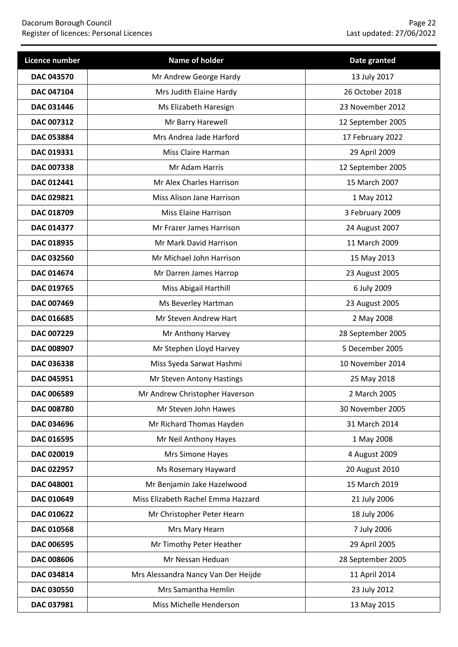| Licence number    | Name of holder                      | Date granted      |
|-------------------|-------------------------------------|-------------------|
| <b>DAC 043570</b> | Mr Andrew George Hardy              | 13 July 2017      |
| DAC 047104        | Mrs Judith Elaine Hardy             | 26 October 2018   |
| <b>DAC 031446</b> | Ms Elizabeth Haresign               | 23 November 2012  |
| DAC 007312        | Mr Barry Harewell                   | 12 September 2005 |
| DAC 053884        | Mrs Andrea Jade Harford             | 17 February 2022  |
| DAC 019331        | Miss Claire Harman                  | 29 April 2009     |
| DAC 007338        | Mr Adam Harris                      | 12 September 2005 |
| DAC 012441        | Mr Alex Charles Harrison            | 15 March 2007     |
| DAC 029821        | Miss Alison Jane Harrison           | 1 May 2012        |
| DAC 018709        | <b>Miss Elaine Harrison</b>         | 3 February 2009   |
| DAC 014377        | Mr Frazer James Harrison            | 24 August 2007    |
| DAC 018935        | Mr Mark David Harrison              | 11 March 2009     |
| DAC 032560        | Mr Michael John Harrison            | 15 May 2013       |
| DAC 014674        | Mr Darren James Harrop              | 23 August 2005    |
| DAC 019765        | Miss Abigail Harthill               | 6 July 2009       |
| DAC 007469        | Ms Beverley Hartman                 | 23 August 2005    |
| DAC 016685        | Mr Steven Andrew Hart               | 2 May 2008        |
| DAC 007229        | Mr Anthony Harvey                   | 28 September 2005 |
| DAC 008907        | Mr Stephen Lloyd Harvey             | 5 December 2005   |
| DAC 036338        | Miss Syeda Sarwat Hashmi            | 10 November 2014  |
| DAC 045951        | Mr Steven Antony Hastings           | 25 May 2018       |
| DAC 006589        | Mr Andrew Christopher Haverson      | 2 March 2005      |
| <b>DAC 008780</b> | Mr Steven John Hawes                | 30 November 2005  |
| DAC 034696        | Mr Richard Thomas Hayden            | 31 March 2014     |
| DAC 016595        | Mr Neil Anthony Hayes               | 1 May 2008        |
| DAC 020019        | Mrs Simone Hayes                    | 4 August 2009     |
| DAC 022957        | Ms Rosemary Hayward                 | 20 August 2010    |
| DAC 048001        | Mr Benjamin Jake Hazelwood          | 15 March 2019     |
| DAC 010649        | Miss Elizabeth Rachel Emma Hazzard  | 21 July 2006      |
| DAC 010622        | Mr Christopher Peter Hearn          | 18 July 2006      |
| DAC 010568        | Mrs Mary Hearn                      | 7 July 2006       |
| DAC 006595        | Mr Timothy Peter Heather            | 29 April 2005     |
| DAC 008606        | Mr Nessan Heduan                    | 28 September 2005 |
| DAC 034814        | Mrs Alessandra Nancy Van Der Heijde | 11 April 2014     |
| DAC 030550        | Mrs Samantha Hemlin                 | 23 July 2012      |
| DAC 037981        | Miss Michelle Henderson             | 13 May 2015       |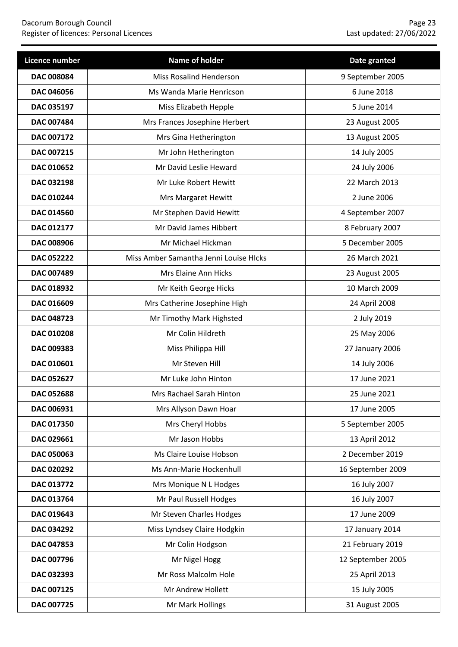| Licence number    | Name of holder                         | Date granted      |
|-------------------|----------------------------------------|-------------------|
| <b>DAC 008084</b> | <b>Miss Rosalind Henderson</b>         | 9 September 2005  |
| DAC 046056        | Ms Wanda Marie Henricson               | 6 June 2018       |
| DAC 035197        | Miss Elizabeth Hepple                  | 5 June 2014       |
| DAC 007484        | Mrs Frances Josephine Herbert          | 23 August 2005    |
| DAC 007172        | Mrs Gina Hetherington                  | 13 August 2005    |
| DAC 007215        | Mr John Hetherington                   | 14 July 2005      |
| DAC 010652        | Mr David Leslie Heward                 | 24 July 2006      |
| DAC 032198        | Mr Luke Robert Hewitt                  | 22 March 2013     |
| DAC 010244        | Mrs Margaret Hewitt                    | 2 June 2006       |
| DAC 014560        | Mr Stephen David Hewitt                | 4 September 2007  |
| <b>DAC 012177</b> | Mr David James Hibbert                 | 8 February 2007   |
| DAC 008906        | Mr Michael Hickman                     | 5 December 2005   |
| DAC 052222        | Miss Amber Samantha Jenni Louise HIcks | 26 March 2021     |
| DAC 007489        | Mrs Elaine Ann Hicks                   | 23 August 2005    |
| DAC 018932        | Mr Keith George Hicks                  | 10 March 2009     |
| DAC 016609        | Mrs Catherine Josephine High           | 24 April 2008     |
| DAC 048723        | Mr Timothy Mark Highsted               | 2 July 2019       |
| DAC 010208        | Mr Colin Hildreth                      | 25 May 2006       |
| DAC 009383        | Miss Philippa Hill                     | 27 January 2006   |
| DAC 010601        | Mr Steven Hill                         | 14 July 2006      |
| DAC 052627        | Mr Luke John Hinton                    | 17 June 2021      |
| DAC 052688        | Mrs Rachael Sarah Hinton               | 25 June 2021      |
| DAC 006931        | Mrs Allyson Dawn Hoar                  | 17 June 2005      |
| DAC 017350        | Mrs Cheryl Hobbs                       | 5 September 2005  |
| DAC 029661        | Mr Jason Hobbs                         | 13 April 2012     |
| <b>DAC 050063</b> | Ms Claire Louise Hobson                | 2 December 2019   |
| DAC 020292        | Ms Ann-Marie Hockenhull                | 16 September 2009 |
| DAC 013772        | Mrs Monique N L Hodges                 | 16 July 2007      |
| DAC 013764        | Mr Paul Russell Hodges                 | 16 July 2007      |
| DAC 019643        | Mr Steven Charles Hodges               | 17 June 2009      |
| DAC 034292        | Miss Lyndsey Claire Hodgkin            | 17 January 2014   |
| DAC 047853        | Mr Colin Hodgson                       | 21 February 2019  |
| DAC 007796        | Mr Nigel Hogg                          | 12 September 2005 |
| DAC 032393        | Mr Ross Malcolm Hole                   | 25 April 2013     |
| DAC 007125        | Mr Andrew Hollett                      | 15 July 2005      |
| DAC 007725        | Mr Mark Hollings                       | 31 August 2005    |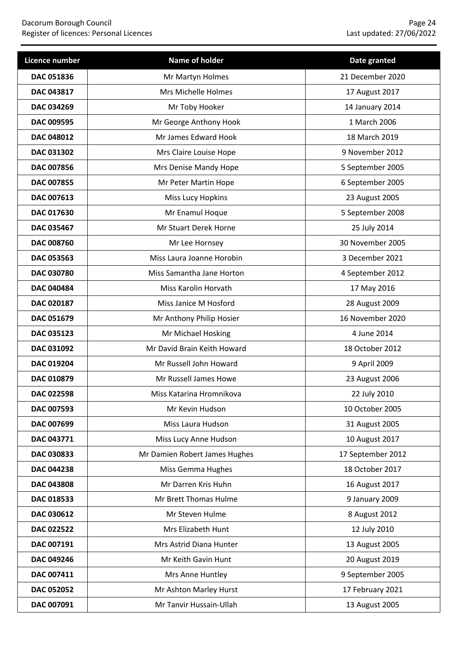| Licence number    | <b>Name of holder</b>         | Date granted      |
|-------------------|-------------------------------|-------------------|
| DAC 051836        | Mr Martyn Holmes              | 21 December 2020  |
| DAC 043817        | Mrs Michelle Holmes           | 17 August 2017    |
| DAC 034269        | Mr Toby Hooker                | 14 January 2014   |
| DAC 009595        | Mr George Anthony Hook        | 1 March 2006      |
| DAC 048012        | Mr James Edward Hook          | 18 March 2019     |
| DAC 031302        | Mrs Claire Louise Hope        | 9 November 2012   |
| DAC 007856        | Mrs Denise Mandy Hope         | 5 September 2005  |
| DAC 007855        | Mr Peter Martin Hope          | 6 September 2005  |
| DAC 007613        | Miss Lucy Hopkins             | 23 August 2005    |
| DAC 017630        | Mr Enamul Hoque               | 5 September 2008  |
| DAC 035467        | Mr Stuart Derek Horne         | 25 July 2014      |
| <b>DAC 008760</b> | Mr Lee Hornsey                | 30 November 2005  |
| DAC 053563        | Miss Laura Joanne Horobin     | 3 December 2021   |
| <b>DAC 030780</b> | Miss Samantha Jane Horton     | 4 September 2012  |
| <b>DAC 040484</b> | Miss Karolin Horvath          | 17 May 2016       |
| DAC 020187        | Miss Janice M Hosford         | 28 August 2009    |
| DAC 051679        | Mr Anthony Philip Hosier      | 16 November 2020  |
| DAC 035123        | Mr Michael Hosking            | 4 June 2014       |
| DAC 031092        | Mr David Brain Keith Howard   | 18 October 2012   |
| DAC 019204        | Mr Russell John Howard        | 9 April 2009      |
| DAC 010879        | Mr Russell James Howe         | 23 August 2006    |
| DAC 022598        | Miss Katarina Hromnikova      | 22 July 2010      |
| DAC 007593        | Mr Kevin Hudson               | 10 October 2005   |
| DAC 007699        | Miss Laura Hudson             | 31 August 2005    |
| DAC 043771        | Miss Lucy Anne Hudson         | 10 August 2017    |
| DAC 030833        | Mr Damien Robert James Hughes | 17 September 2012 |
| DAC 044238        | Miss Gemma Hughes             | 18 October 2017   |
| DAC 043808        | Mr Darren Kris Huhn           | 16 August 2017    |
| DAC 018533        | Mr Brett Thomas Hulme         | 9 January 2009    |
| DAC 030612        | Mr Steven Hulme               | 8 August 2012     |
| DAC 022522        | Mrs Elizabeth Hunt            | 12 July 2010      |
| DAC 007191        | Mrs Astrid Diana Hunter       | 13 August 2005    |
| DAC 049246        | Mr Keith Gavin Hunt           | 20 August 2019    |
| DAC 007411        | Mrs Anne Huntley              | 9 September 2005  |
| DAC 052052        | Mr Ashton Marley Hurst        | 17 February 2021  |
| DAC 007091        | Mr Tanvir Hussain-Ullah       | 13 August 2005    |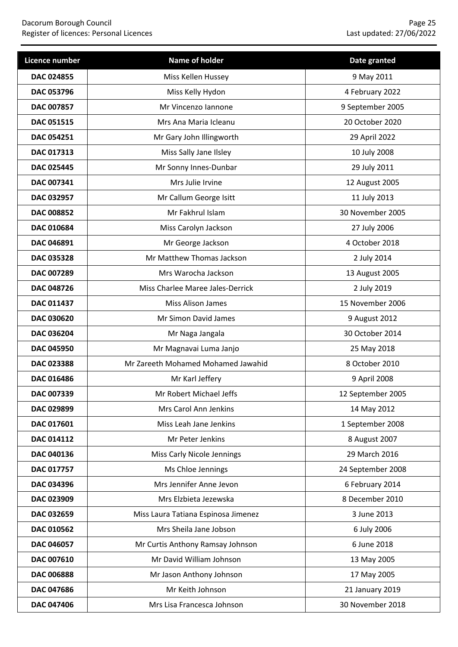| Licence number    | Name of holder                      | Date granted      |
|-------------------|-------------------------------------|-------------------|
| DAC 024855        | Miss Kellen Hussey                  | 9 May 2011        |
| DAC 053796        | Miss Kelly Hydon                    | 4 February 2022   |
| <b>DAC 007857</b> | Mr Vincenzo Iannone                 | 9 September 2005  |
| DAC 051515        | Mrs Ana Maria Icleanu               | 20 October 2020   |
| DAC 054251        | Mr Gary John Illingworth            | 29 April 2022     |
| DAC 017313        | Miss Sally Jane Ilsley              | 10 July 2008      |
| DAC 025445        | Mr Sonny Innes-Dunbar               | 29 July 2011      |
| DAC 007341        | Mrs Julie Irvine                    | 12 August 2005    |
| DAC 032957        | Mr Callum George Isitt              | 11 July 2013      |
| DAC 008852        | Mr Fakhrul Islam                    | 30 November 2005  |
| DAC 010684        | Miss Carolyn Jackson                | 27 July 2006      |
| DAC 046891        | Mr George Jackson                   | 4 October 2018    |
| DAC 035328        | Mr Matthew Thomas Jackson           | 2 July 2014       |
| DAC 007289        | Mrs Warocha Jackson                 | 13 August 2005    |
| DAC 048726        | Miss Charlee Maree Jales-Derrick    | 2 July 2019       |
| DAC 011437        | Miss Alison James                   | 15 November 2006  |
| <b>DAC 030620</b> | Mr Simon David James                | 9 August 2012     |
| <b>DAC 036204</b> | Mr Naga Jangala                     | 30 October 2014   |
| <b>DAC 045950</b> | Mr Magnavai Luma Janjo              | 25 May 2018       |
| DAC 023388        | Mr Zareeth Mohamed Mohamed Jawahid  | 8 October 2010    |
| DAC 016486        | Mr Karl Jeffery                     | 9 April 2008      |
| DAC 007339        | Mr Robert Michael Jeffs             | 12 September 2005 |
| DAC 029899        | Mrs Carol Ann Jenkins               | 14 May 2012       |
| DAC 017601        | Miss Leah Jane Jenkins              | 1 September 2008  |
| DAC 014112        | Mr Peter Jenkins                    | 8 August 2007     |
| DAC 040136        | <b>Miss Carly Nicole Jennings</b>   | 29 March 2016     |
| DAC 017757        | Ms Chloe Jennings                   | 24 September 2008 |
| DAC 034396        | Mrs Jennifer Anne Jevon             | 6 February 2014   |
| DAC 023909        | Mrs Elzbieta Jezewska               | 8 December 2010   |
| DAC 032659        | Miss Laura Tatiana Espinosa Jimenez | 3 June 2013       |
| DAC 010562        | Mrs Sheila Jane Jobson              | 6 July 2006       |
| DAC 046057        | Mr Curtis Anthony Ramsay Johnson    | 6 June 2018       |
| DAC 007610        | Mr David William Johnson            | 13 May 2005       |
| DAC 006888        | Mr Jason Anthony Johnson            | 17 May 2005       |
| DAC 047686        | Mr Keith Johnson                    | 21 January 2019   |
| DAC 047406        | Mrs Lisa Francesca Johnson          | 30 November 2018  |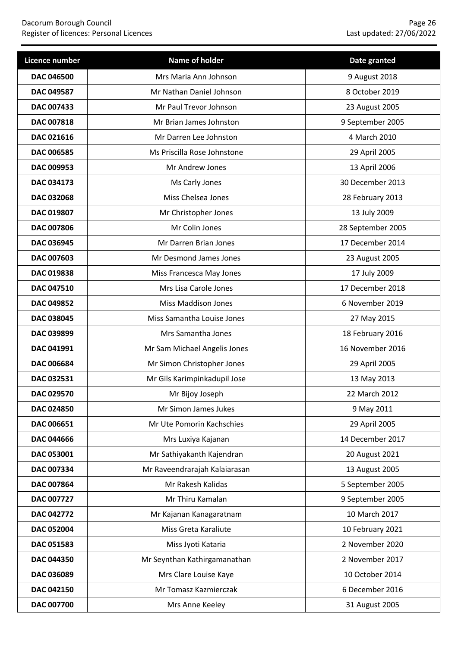### Dacorum Borough Council Page 26 Register of licences: Personal Licences Last updated: 27/06/2022

| Licence number    | Name of holder                | Date granted      |
|-------------------|-------------------------------|-------------------|
| DAC 046500        | Mrs Maria Ann Johnson         | 9 August 2018     |
| DAC 049587        | Mr Nathan Daniel Johnson      | 8 October 2019    |
| <b>DAC 007433</b> | Mr Paul Trevor Johnson        | 23 August 2005    |
| DAC 007818        | Mr Brian James Johnston       | 9 September 2005  |
| DAC 021616        | Mr Darren Lee Johnston        | 4 March 2010      |
| DAC 006585        | Ms Priscilla Rose Johnstone   | 29 April 2005     |
| DAC 009953        | Mr Andrew Jones               | 13 April 2006     |
| DAC 034173        | Ms Carly Jones                | 30 December 2013  |
| DAC 032068        | Miss Chelsea Jones            | 28 February 2013  |
| DAC 019807        | Mr Christopher Jones          | 13 July 2009      |
| <b>DAC 007806</b> | Mr Colin Jones                | 28 September 2005 |
| DAC 036945        | Mr Darren Brian Jones         | 17 December 2014  |
| DAC 007603        | Mr Desmond James Jones        | 23 August 2005    |
| <b>DAC 019838</b> | Miss Francesca May Jones      | 17 July 2009      |
| DAC 047510        | Mrs Lisa Carole Jones         | 17 December 2018  |
| DAC 049852        | <b>Miss Maddison Jones</b>    | 6 November 2019   |
| DAC 038045        | Miss Samantha Louise Jones    | 27 May 2015       |
| DAC 039899        | Mrs Samantha Jones            | 18 February 2016  |
| DAC 041991        | Mr Sam Michael Angelis Jones  | 16 November 2016  |
| DAC 006684        | Mr Simon Christopher Jones    | 29 April 2005     |
| DAC 032531        | Mr Gils Karimpinkadupil Jose  | 13 May 2013       |
| <b>DAC 029570</b> | Mr Bijoy Joseph               | 22 March 2012     |
| DAC 024850        | Mr Simon James Jukes          | 9 May 2011        |
| DAC 006651        | Mr Ute Pomorin Kachschies     | 29 April 2005     |
| DAC 044666        | Mrs Luxiya Kajanan            | 14 December 2017  |
| DAC 053001        | Mr Sathiyakanth Kajendran     | 20 August 2021    |
| DAC 007334        | Mr Raveendrarajah Kalaiarasan | 13 August 2005    |
| DAC 007864        | Mr Rakesh Kalidas             | 5 September 2005  |
| DAC 007727        | Mr Thiru Kamalan              | 9 September 2005  |
| DAC 042772        | Mr Kajanan Kanagaratnam       | 10 March 2017     |
| DAC 052004        | Miss Greta Karaliute          | 10 February 2021  |
| DAC 051583        | Miss Jyoti Kataria            | 2 November 2020   |
| DAC 044350        | Mr Seynthan Kathirgamanathan  | 2 November 2017   |
| DAC 036089        | Mrs Clare Louise Kaye         | 10 October 2014   |
| DAC 042150        | Mr Tomasz Kazmierczak         | 6 December 2016   |
| DAC 007700        | Mrs Anne Keeley               | 31 August 2005    |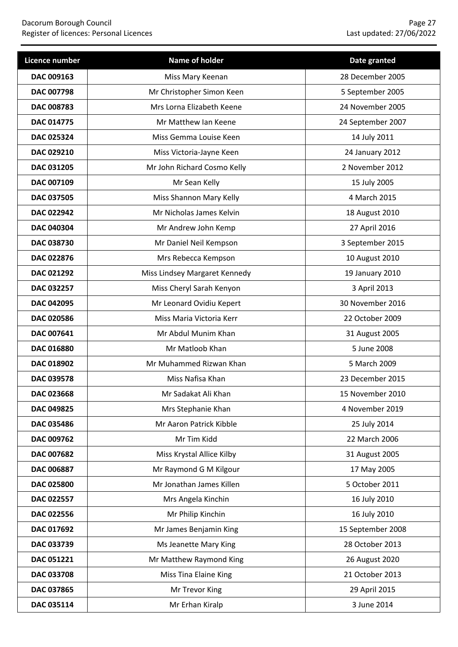### Dacorum Borough Council Page 27 Register of licences: Personal Licences Last updated: 27/06/2022

| Licence number    | Name of holder                | Date granted      |
|-------------------|-------------------------------|-------------------|
| DAC 009163        | Miss Mary Keenan              | 28 December 2005  |
| DAC 007798        | Mr Christopher Simon Keen     | 5 September 2005  |
| <b>DAC 008783</b> | Mrs Lorna Elizabeth Keene     | 24 November 2005  |
| DAC 014775        | Mr Matthew Ian Keene          | 24 September 2007 |
| DAC 025324        | Miss Gemma Louise Keen        | 14 July 2011      |
| <b>DAC 029210</b> | Miss Victoria-Jayne Keen      | 24 January 2012   |
| DAC 031205        | Mr John Richard Cosmo Kelly   | 2 November 2012   |
| DAC 007109        | Mr Sean Kelly                 | 15 July 2005      |
| DAC 037505        | Miss Shannon Mary Kelly       | 4 March 2015      |
| DAC 022942        | Mr Nicholas James Kelvin      | 18 August 2010    |
| <b>DAC 040304</b> | Mr Andrew John Kemp           | 27 April 2016     |
| DAC 038730        | Mr Daniel Neil Kempson        | 3 September 2015  |
| DAC 022876        | Mrs Rebecca Kempson           | 10 August 2010    |
| <b>DAC 021292</b> | Miss Lindsey Margaret Kennedy | 19 January 2010   |
| DAC 032257        | Miss Cheryl Sarah Kenyon      | 3 April 2013      |
| DAC 042095        | Mr Leonard Ovidiu Kepert      | 30 November 2016  |
| <b>DAC 020586</b> | Miss Maria Victoria Kerr      | 22 October 2009   |
| DAC 007641        | Mr Abdul Munim Khan           | 31 August 2005    |
| <b>DAC 016880</b> | Mr Matloob Khan               | 5 June 2008       |
| DAC 018902        | Mr Muhammed Rizwan Khan       | 5 March 2009      |
| DAC 039578        | Miss Nafisa Khan              | 23 December 2015  |
| DAC 023668        | Mr Sadakat Ali Khan           | 15 November 2010  |
| DAC 049825        | Mrs Stephanie Khan            | 4 November 2019   |
| DAC 035486        | Mr Aaron Patrick Kibble       | 25 July 2014      |
| DAC 009762        | Mr Tim Kidd                   | 22 March 2006     |
| DAC 007682        | Miss Krystal Allice Kilby     | 31 August 2005    |
| DAC 006887        | Mr Raymond G M Kilgour        | 17 May 2005       |
| DAC 025800        | Mr Jonathan James Killen      | 5 October 2011    |
| DAC 022557        | Mrs Angela Kinchin            | 16 July 2010      |
| DAC 022556        | Mr Philip Kinchin             | 16 July 2010      |
| DAC 017692        | Mr James Benjamin King        | 15 September 2008 |
| DAC 033739        | Ms Jeanette Mary King         | 28 October 2013   |
| DAC 051221        | Mr Matthew Raymond King       | 26 August 2020    |
| DAC 033708        | Miss Tina Elaine King         | 21 October 2013   |
| DAC 037865        | Mr Trevor King                | 29 April 2015     |
| DAC 035114        | Mr Erhan Kiralp               | 3 June 2014       |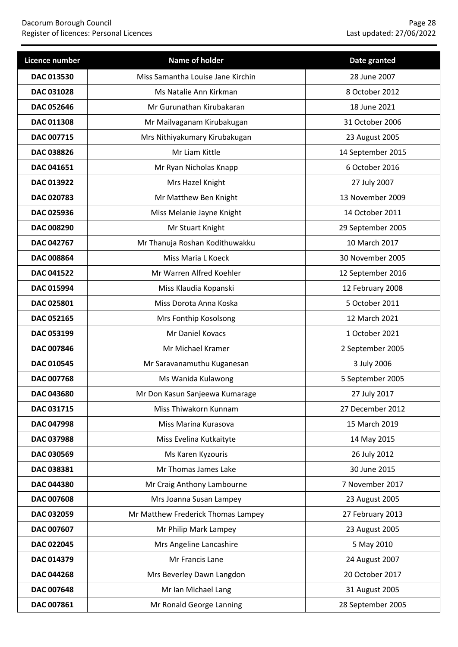| Licence number    | Name of holder                     | Date granted      |
|-------------------|------------------------------------|-------------------|
| DAC 013530        | Miss Samantha Louise Jane Kirchin  | 28 June 2007      |
| DAC 031028        | Ms Natalie Ann Kirkman             | 8 October 2012    |
| <b>DAC 052646</b> | Mr Gurunathan Kirubakaran          | 18 June 2021      |
| DAC 011308        | Mr Mailvaganam Kirubakugan         | 31 October 2006   |
| DAC 007715        | Mrs Nithiyakumary Kirubakugan      | 23 August 2005    |
| DAC 038826        | Mr Liam Kittle                     | 14 September 2015 |
| DAC 041651        | Mr Ryan Nicholas Knapp             | 6 October 2016    |
| DAC 013922        | Mrs Hazel Knight                   | 27 July 2007      |
| DAC 020783        | Mr Matthew Ben Knight              | 13 November 2009  |
| DAC 025936        | Miss Melanie Jayne Knight          | 14 October 2011   |
| <b>DAC 008290</b> | Mr Stuart Knight                   | 29 September 2005 |
| <b>DAC 042767</b> | Mr Thanuja Roshan Kodithuwakku     | 10 March 2017     |
| DAC 008864        | Miss Maria L Koeck                 | 30 November 2005  |
| DAC 041522        | Mr Warren Alfred Koehler           | 12 September 2016 |
| DAC 015994        | Miss Klaudia Kopanski              | 12 February 2008  |
| DAC 025801        | Miss Dorota Anna Koska             | 5 October 2011    |
| DAC 052165        | Mrs Fonthip Kosolsong              | 12 March 2021     |
| DAC 053199        | Mr Daniel Kovacs                   | 1 October 2021    |
| DAC 007846        | Mr Michael Kramer                  | 2 September 2005  |
| DAC 010545        | Mr Saravanamuthu Kuganesan         | 3 July 2006       |
| DAC 007768        | Ms Wanida Kulawong                 | 5 September 2005  |
| DAC 043680        | Mr Don Kasun Sanjeewa Kumarage     | 27 July 2017      |
| DAC 031715        | Miss Thiwakorn Kunnam              | 27 December 2012  |
| DAC 047998        | Miss Marina Kurasova               | 15 March 2019     |
| DAC 037988        | Miss Evelina Kutkaityte            | 14 May 2015       |
| DAC 030569        | Ms Karen Kyzouris                  | 26 July 2012      |
| DAC 038381        | Mr Thomas James Lake               | 30 June 2015      |
| DAC 044380        | Mr Craig Anthony Lambourne         | 7 November 2017   |
| DAC 007608        | Mrs Joanna Susan Lampey            | 23 August 2005    |
| DAC 032059        | Mr Matthew Frederick Thomas Lampey | 27 February 2013  |
| DAC 007607        | Mr Philip Mark Lampey              | 23 August 2005    |
| DAC 022045        | Mrs Angeline Lancashire            | 5 May 2010        |
| DAC 014379        | Mr Francis Lane                    | 24 August 2007    |
| DAC 044268        | Mrs Beverley Dawn Langdon          | 20 October 2017   |
| DAC 007648        | Mr Ian Michael Lang                | 31 August 2005    |
| DAC 007861        | Mr Ronald George Lanning           | 28 September 2005 |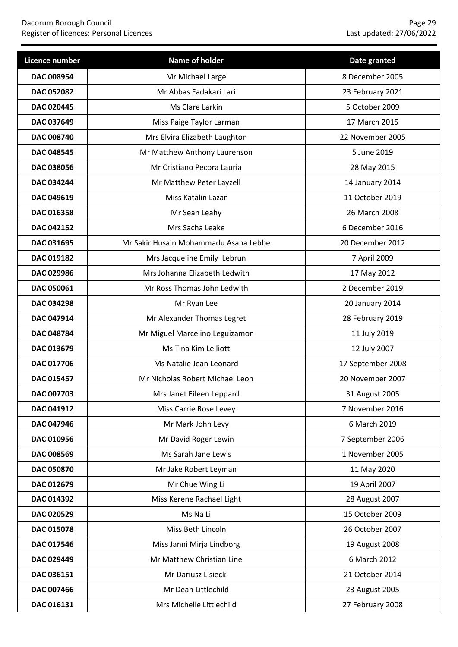| Licence number    | Name of holder                        | Date granted      |
|-------------------|---------------------------------------|-------------------|
| <b>DAC 008954</b> | Mr Michael Large                      | 8 December 2005   |
| <b>DAC 052082</b> | Mr Abbas Fadakari Lari                | 23 February 2021  |
| <b>DAC 020445</b> | Ms Clare Larkin                       | 5 October 2009    |
| DAC 037649        | Miss Paige Taylor Larman              | 17 March 2015     |
| DAC 008740        | Mrs Elvira Elizabeth Laughton         | 22 November 2005  |
| <b>DAC 048545</b> | Mr Matthew Anthony Laurenson          | 5 June 2019       |
| DAC 038056        | Mr Cristiano Pecora Lauria            | 28 May 2015       |
| <b>DAC 034244</b> | Mr Matthew Peter Layzell              | 14 January 2014   |
| DAC 049619        | Miss Katalin Lazar                    | 11 October 2019   |
| DAC 016358        | Mr Sean Leahy                         | 26 March 2008     |
| <b>DAC 042152</b> | Mrs Sacha Leake                       | 6 December 2016   |
| DAC 031695        | Mr Sakir Husain Mohammadu Asana Lebbe | 20 December 2012  |
| DAC 019182        | Mrs Jacqueline Emily Lebrun           | 7 April 2009      |
| DAC 029986        | Mrs Johanna Elizabeth Ledwith         | 17 May 2012       |
| DAC 050061        | Mr Ross Thomas John Ledwith           | 2 December 2019   |
| DAC 034298        | Mr Ryan Lee                           | 20 January 2014   |
| DAC 047914        | Mr Alexander Thomas Legret            | 28 February 2019  |
| DAC 048784        | Mr Miguel Marcelino Leguizamon        | 11 July 2019      |
| DAC 013679        | Ms Tina Kim Lelliott                  | 12 July 2007      |
| DAC 017706        | Ms Natalie Jean Leonard               | 17 September 2008 |
| DAC 015457        | Mr Nicholas Robert Michael Leon       | 20 November 2007  |
| DAC 007703        | Mrs Janet Eileen Leppard              | 31 August 2005    |
| DAC 041912        | Miss Carrie Rose Levey                | 7 November 2016   |
| DAC 047946        | Mr Mark John Levy                     | 6 March 2019      |
| DAC 010956        | Mr David Roger Lewin                  | 7 September 2006  |
| DAC 008569        | Ms Sarah Jane Lewis                   | 1 November 2005   |
| DAC 050870        | Mr Jake Robert Leyman                 | 11 May 2020       |
| DAC 012679        | Mr Chue Wing Li                       | 19 April 2007     |
| DAC 014392        | Miss Kerene Rachael Light             | 28 August 2007    |
| DAC 020529        | Ms Na Li                              | 15 October 2009   |
| DAC 015078        | Miss Beth Lincoln                     | 26 October 2007   |
| DAC 017546        | Miss Janni Mirja Lindborg             | 19 August 2008    |
| DAC 029449        | Mr Matthew Christian Line             | 6 March 2012      |
| DAC 036151        | Mr Dariusz Lisiecki                   | 21 October 2014   |
| DAC 007466        | Mr Dean Littlechild                   | 23 August 2005    |
| DAC 016131        | Mrs Michelle Littlechild              | 27 February 2008  |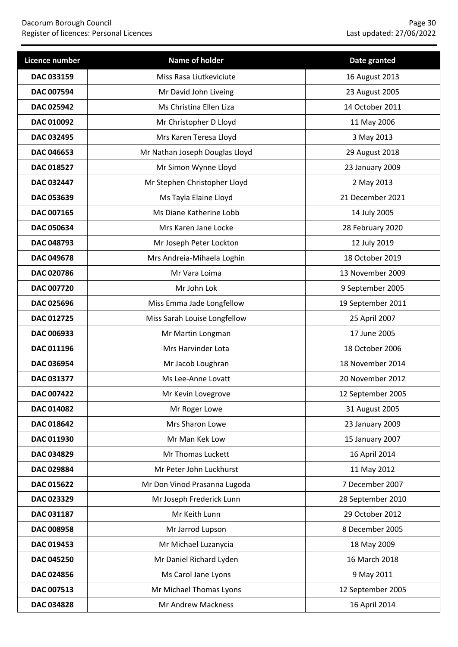| Licence number    | Name of holder                 | Date granted      |
|-------------------|--------------------------------|-------------------|
| DAC 033159        | Miss Rasa Liutkeviciute        | 16 August 2013    |
| DAC 007594        | Mr David John Liveing          | 23 August 2005    |
| <b>DAC 025942</b> | Ms Christina Ellen Liza        | 14 October 2011   |
| DAC 010092        | Mr Christopher D Lloyd         | 11 May 2006       |
| DAC 032495        | Mrs Karen Teresa Lloyd         | 3 May 2013        |
| <b>DAC 046653</b> | Mr Nathan Joseph Douglas Lloyd | 29 August 2018    |
| DAC 018527        | Mr Simon Wynne Lloyd           | 23 January 2009   |
| DAC 032447        | Mr Stephen Christopher Lloyd   | 2 May 2013        |
| DAC 053639        | Ms Tayla Elaine Lloyd          | 21 December 2021  |
| DAC 007165        | Ms Diane Katherine Lobb        | 14 July 2005      |
| DAC 050634        | Mrs Karen Jane Locke           | 28 February 2020  |
| DAC 048793        | Mr Joseph Peter Lockton        | 12 July 2019      |
| DAC 049678        | Mrs Andreia-Mihaela Loghin     | 18 October 2019   |
| DAC 020786        | Mr Vara Loima                  | 13 November 2009  |
| DAC 007720        | Mr John Lok                    | 9 September 2005  |
| DAC 025696        | Miss Emma Jade Longfellow      | 19 September 2011 |
| DAC 012725        | Miss Sarah Louise Longfellow   | 25 April 2007     |
| DAC 006933        | Mr Martin Longman              | 17 June 2005      |
| DAC 011196        | Mrs Harvinder Lota             | 18 October 2006   |
| DAC 036954        | Mr Jacob Loughran              | 18 November 2014  |
| DAC 031377        | Ms Lee-Anne Lovatt             | 20 November 2012  |
| <b>DAC 007422</b> | Mr Kevin Lovegrove             | 12 September 2005 |
| DAC 014082        | Mr Roger Lowe                  | 31 August 2005    |
| DAC 018642        | Mrs Sharon Lowe                | 23 January 2009   |
| DAC 011930        | Mr Man Kek Low                 | 15 January 2007   |
| DAC 034829        | Mr Thomas Luckett              | 16 April 2014     |
| DAC 029884        | Mr Peter John Luckhurst        | 11 May 2012       |
| DAC 015622        | Mr Don Vinod Prasanna Lugoda   | 7 December 2007   |
| DAC 023329        | Mr Joseph Frederick Lunn       | 28 September 2010 |
| DAC 031187        | Mr Keith Lunn                  | 29 October 2012   |
| DAC 008958        | Mr Jarrod Lupson               | 8 December 2005   |
| DAC 019453        | Mr Michael Luzanycia           | 18 May 2009       |
| DAC 045250        | Mr Daniel Richard Lyden        | 16 March 2018     |
| DAC 024856        | Ms Carol Jane Lyons            | 9 May 2011        |
| DAC 007513        | Mr Michael Thomas Lyons        | 12 September 2005 |
| DAC 034828        | Mr Andrew Mackness             | 16 April 2014     |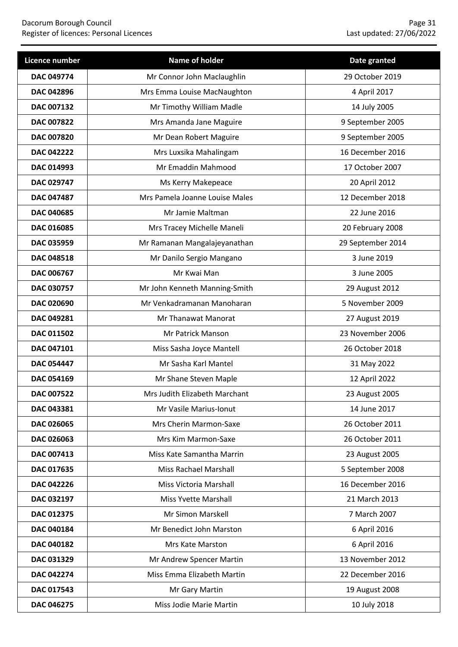| <b>Licence number</b> | Name of holder                 | Date granted      |
|-----------------------|--------------------------------|-------------------|
| DAC 049774            | Mr Connor John Maclaughlin     | 29 October 2019   |
| DAC 042896            | Mrs Emma Louise MacNaughton    | 4 April 2017      |
| <b>DAC 007132</b>     | Mr Timothy William Madle       | 14 July 2005      |
| DAC 007822            | Mrs Amanda Jane Maguire        | 9 September 2005  |
| DAC 007820            | Mr Dean Robert Maguire         | 9 September 2005  |
| <b>DAC 042222</b>     | Mrs Luxsika Mahalingam         | 16 December 2016  |
| DAC 014993            | Mr Emaddin Mahmood             | 17 October 2007   |
| DAC 029747            | Ms Kerry Makepeace             | 20 April 2012     |
| DAC 047487            | Mrs Pamela Joanne Louise Males | 12 December 2018  |
| DAC 040685            | Mr Jamie Maltman               | 22 June 2016      |
| DAC 016085            | Mrs Tracey Michelle Maneli     | 20 February 2008  |
| DAC 035959            | Mr Ramanan Mangalajeyanathan   | 29 September 2014 |
| DAC 048518            | Mr Danilo Sergio Mangano       | 3 June 2019       |
| DAC 006767            | Mr Kwai Man                    | 3 June 2005       |
| DAC 030757            | Mr John Kenneth Manning-Smith  | 29 August 2012    |
| DAC 020690            | Mr Venkadramanan Manoharan     | 5 November 2009   |
| DAC 049281            | Mr Thanawat Manorat            | 27 August 2019    |
| DAC 011502            | Mr Patrick Manson              | 23 November 2006  |
| DAC 047101            | Miss Sasha Joyce Mantell       | 26 October 2018   |
| <b>DAC 054447</b>     | Mr Sasha Karl Mantel           | 31 May 2022       |
| DAC 054169            | Mr Shane Steven Maple          | 12 April 2022     |
| DAC 007522            | Mrs Judith Elizabeth Marchant  | 23 August 2005    |
| DAC 043381            | Mr Vasile Marius-Ionut         | 14 June 2017      |
| DAC 026065            | Mrs Cherin Marmon-Saxe         | 26 October 2011   |
| DAC 026063            | Mrs Kim Marmon-Saxe            | 26 October 2011   |
| DAC 007413            | Miss Kate Samantha Marrin      | 23 August 2005    |
| DAC 017635            | <b>Miss Rachael Marshall</b>   | 5 September 2008  |
| DAC 042226            | Miss Victoria Marshall         | 16 December 2016  |
| DAC 032197            | Miss Yvette Marshall           | 21 March 2013     |
| DAC 012375            | Mr Simon Marskell              | 7 March 2007      |
| DAC 040184            | Mr Benedict John Marston       | 6 April 2016      |
| DAC 040182            | Mrs Kate Marston               | 6 April 2016      |
| DAC 031329            | Mr Andrew Spencer Martin       | 13 November 2012  |
| DAC 042274            | Miss Emma Elizabeth Martin     | 22 December 2016  |
| DAC 017543            | Mr Gary Martin                 | 19 August 2008    |
| DAC 046275            | Miss Jodie Marie Martin        | 10 July 2018      |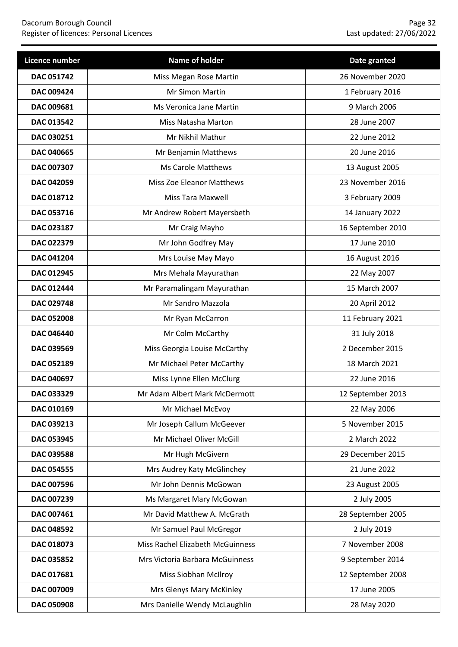| Licence number    | Name of holder                   | Date granted      |
|-------------------|----------------------------------|-------------------|
| <b>DAC 051742</b> | Miss Megan Rose Martin           | 26 November 2020  |
| <b>DAC 009424</b> | <b>Mr Simon Martin</b>           | 1 February 2016   |
| DAC 009681        | Ms Veronica Jane Martin          | 9 March 2006      |
| DAC 013542        | Miss Natasha Marton              | 28 June 2007      |
| DAC 030251        | Mr Nikhil Mathur                 | 22 June 2012      |
| DAC 040665        | Mr Benjamin Matthews             | 20 June 2016      |
| DAC 007307        | <b>Ms Carole Matthews</b>        | 13 August 2005    |
| DAC 042059        | Miss Zoe Eleanor Matthews        | 23 November 2016  |
| DAC 018712        | <b>Miss Tara Maxwell</b>         | 3 February 2009   |
| DAC 053716        | Mr Andrew Robert Mayersbeth      | 14 January 2022   |
| DAC 023187        | Mr Craig Mayho                   | 16 September 2010 |
| DAC 022379        | Mr John Godfrey May              | 17 June 2010      |
| DAC 041204        | Mrs Louise May Mayo              | 16 August 2016    |
| DAC 012945        | Mrs Mehala Mayurathan            | 22 May 2007       |
| DAC 012444        | Mr Paramalingam Mayurathan       | 15 March 2007     |
| DAC 029748        | Mr Sandro Mazzola                | 20 April 2012     |
| <b>DAC 052008</b> | Mr Ryan McCarron                 | 11 February 2021  |
| DAC 046440        | Mr Colm McCarthy                 | 31 July 2018      |
| DAC 039569        | Miss Georgia Louise McCarthy     | 2 December 2015   |
| DAC 052189        | Mr Michael Peter McCarthy        | 18 March 2021     |
| DAC 040697        | Miss Lynne Ellen McClurg         | 22 June 2016      |
| DAC 033329        | Mr Adam Albert Mark McDermott    | 12 September 2013 |
| DAC 010169        | Mr Michael McEvoy                | 22 May 2006       |
| DAC 039213        | Mr Joseph Callum McGeever        | 5 November 2015   |
| DAC 053945        | Mr Michael Oliver McGill         | 2 March 2022      |
| DAC 039588        | Mr Hugh McGivern                 | 29 December 2015  |
| DAC 054555        | Mrs Audrey Katy McGlinchey       | 21 June 2022      |
| DAC 007596        | Mr John Dennis McGowan           | 23 August 2005    |
| DAC 007239        | Ms Margaret Mary McGowan         | 2 July 2005       |
| DAC 007461        | Mr David Matthew A. McGrath      | 28 September 2005 |
| DAC 048592        | Mr Samuel Paul McGregor          | 2 July 2019       |
| DAC 018073        | Miss Rachel Elizabeth McGuinness | 7 November 2008   |
| DAC 035852        | Mrs Victoria Barbara McGuinness  | 9 September 2014  |
| DAC 017681        | Miss Siobhan McIlroy             | 12 September 2008 |
| DAC 007009        | Mrs Glenys Mary McKinley         | 17 June 2005      |
| DAC 050908        | Mrs Danielle Wendy McLaughlin    | 28 May 2020       |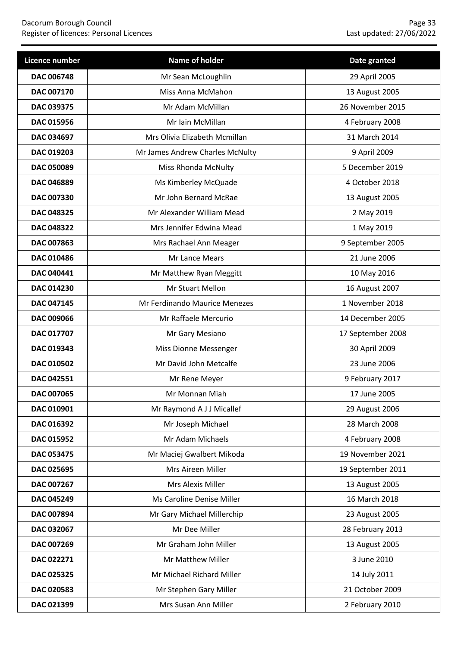| Licence number    | Name of holder                  | Date granted      |
|-------------------|---------------------------------|-------------------|
| <b>DAC 006748</b> | Mr Sean McLoughlin              | 29 April 2005     |
| <b>DAC 007170</b> | Miss Anna McMahon               | 13 August 2005    |
| <b>DAC 039375</b> | Mr Adam McMillan                | 26 November 2015  |
| DAC 015956        | Mr Iain McMillan                | 4 February 2008   |
| DAC 034697        | Mrs Olivia Elizabeth Mcmillan   | 31 March 2014     |
| DAC 019203        | Mr James Andrew Charles McNulty | 9 April 2009      |
| <b>DAC 050089</b> | <b>Miss Rhonda McNulty</b>      | 5 December 2019   |
| DAC 046889        | Ms Kimberley McQuade            | 4 October 2018    |
| <b>DAC 007330</b> | Mr John Bernard McRae           | 13 August 2005    |
| <b>DAC 048325</b> | Mr Alexander William Mead       | 2 May 2019        |
| <b>DAC 048322</b> | Mrs Jennifer Edwina Mead        | 1 May 2019        |
| DAC 007863        | Mrs Rachael Ann Meager          | 9 September 2005  |
| DAC 010486        | Mr Lance Mears                  | 21 June 2006      |
| <b>DAC 040441</b> | Mr Matthew Ryan Meggitt         | 10 May 2016       |
| <b>DAC 014230</b> | Mr Stuart Mellon                | 16 August 2007    |
| DAC 047145        | Mr Ferdinando Maurice Menezes   | 1 November 2018   |
| <b>DAC 009066</b> | Mr Raffaele Mercurio            | 14 December 2005  |
| DAC 017707        | Mr Gary Mesiano                 | 17 September 2008 |
| DAC 019343        | Miss Dionne Messenger           | 30 April 2009     |
| DAC 010502        | Mr David John Metcalfe          | 23 June 2006      |
| DAC 042551        | Mr Rene Meyer                   | 9 February 2017   |
| <b>DAC 007065</b> | Mr Monnan Miah                  | 17 June 2005      |
| DAC 010901        | Mr Raymond A J J Micallef       | 29 August 2006    |
| DAC 016392        | Mr Joseph Michael               | 28 March 2008     |
| DAC 015952        | Mr Adam Michaels                | 4 February 2008   |
| DAC 053475        | Mr Maciej Gwalbert Mikoda       | 19 November 2021  |
| DAC 025695        | Mrs Aireen Miller               | 19 September 2011 |
| DAC 007267        | Mrs Alexis Miller               | 13 August 2005    |
| <b>DAC 045249</b> | Ms Caroline Denise Miller       | 16 March 2018     |
| DAC 007894        | Mr Gary Michael Millerchip      | 23 August 2005    |
| DAC 032067        | Mr Dee Miller                   | 28 February 2013  |
| DAC 007269        | Mr Graham John Miller           | 13 August 2005    |
| DAC 022271        | Mr Matthew Miller               | 3 June 2010       |
| DAC 025325        | Mr Michael Richard Miller       | 14 July 2011      |
| DAC 020583        | Mr Stephen Gary Miller          | 21 October 2009   |
| DAC 021399        | Mrs Susan Ann Miller            | 2 February 2010   |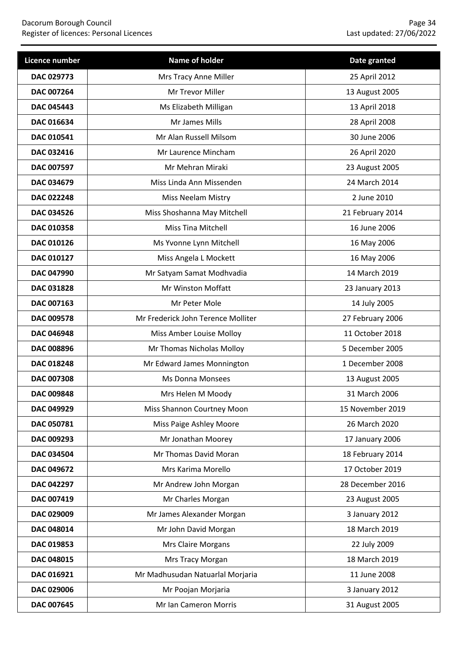| Licence number    | Name of holder                     | Date granted     |
|-------------------|------------------------------------|------------------|
| DAC 029773        | Mrs Tracy Anne Miller              | 25 April 2012    |
| DAC 007264        | Mr Trevor Miller                   | 13 August 2005   |
| <b>DAC 045443</b> | Ms Elizabeth Milligan              | 13 April 2018    |
| DAC 016634        | Mr James Mills                     | 28 April 2008    |
| DAC 010541        | Mr Alan Russell Milsom             | 30 June 2006     |
| DAC 032416        | Mr Laurence Mincham                | 26 April 2020    |
| DAC 007597        | Mr Mehran Miraki                   | 23 August 2005   |
| DAC 034679        | Miss Linda Ann Missenden           | 24 March 2014    |
| DAC 022248        | <b>Miss Neelam Mistry</b>          | 2 June 2010      |
| DAC 034526        | Miss Shoshanna May Mitchell        | 21 February 2014 |
| DAC 010358        | <b>Miss Tina Mitchell</b>          | 16 June 2006     |
| DAC 010126        | Ms Yvonne Lynn Mitchell            | 16 May 2006      |
| DAC 010127        | Miss Angela L Mockett              | 16 May 2006      |
| <b>DAC 047990</b> | Mr Satyam Samat Modhvadia          | 14 March 2019    |
| DAC 031828        | Mr Winston Moffatt                 | 23 January 2013  |
| DAC 007163        | Mr Peter Mole                      | 14 July 2005     |
| <b>DAC 009578</b> | Mr Frederick John Terence Molliter | 27 February 2006 |
| <b>DAC 046948</b> | Miss Amber Louise Molloy           | 11 October 2018  |
| DAC 008896        | Mr Thomas Nicholas Molloy          | 5 December 2005  |
| DAC 018248        | Mr Edward James Monnington         | 1 December 2008  |
| DAC 007308        | <b>Ms Donna Monsees</b>            | 13 August 2005   |
| DAC 009848        | Mrs Helen M Moody                  | 31 March 2006    |
| DAC 049929        | Miss Shannon Courtney Moon         | 15 November 2019 |
| DAC 050781        | Miss Paige Ashley Moore            | 26 March 2020    |
| DAC 009293        | Mr Jonathan Moorey                 | 17 January 2006  |
| <b>DAC 034504</b> | Mr Thomas David Moran              | 18 February 2014 |
| DAC 049672        | Mrs Karima Morello                 | 17 October 2019  |
| DAC 042297        | Mr Andrew John Morgan              | 28 December 2016 |
| DAC 007419        | Mr Charles Morgan                  | 23 August 2005   |
| DAC 029009        | Mr James Alexander Morgan          | 3 January 2012   |
| DAC 048014        | Mr John David Morgan               | 18 March 2019    |
| DAC 019853        | Mrs Claire Morgans                 | 22 July 2009     |
| DAC 048015        | Mrs Tracy Morgan                   | 18 March 2019    |
| DAC 016921        | Mr Madhusudan Natuarlal Morjaria   | 11 June 2008     |
| DAC 029006        | Mr Poojan Morjaria                 | 3 January 2012   |
| DAC 007645        | Mr Ian Cameron Morris              | 31 August 2005   |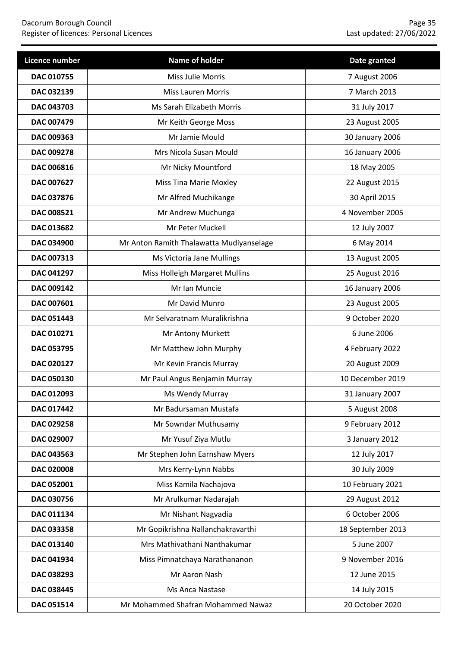| <b>Licence number</b> | Name of holder                           | Date granted      |
|-----------------------|------------------------------------------|-------------------|
| DAC 010755            | Miss Julie Morris                        | 7 August 2006     |
| DAC 032139            | <b>Miss Lauren Morris</b>                | 7 March 2013      |
| DAC 043703            | Ms Sarah Elizabeth Morris                | 31 July 2017      |
| DAC 007479            | Mr Keith George Moss                     | 23 August 2005    |
| DAC 009363            | Mr Jamie Mould                           | 30 January 2006   |
| DAC 009278            | Mrs Nicola Susan Mould                   | 16 January 2006   |
| DAC 006816            | Mr Nicky Mountford                       | 18 May 2005       |
| DAC 007627            | <b>Miss Tina Marie Moxley</b>            | 22 August 2015    |
| DAC 037876            | Mr Alfred Muchikange                     | 30 April 2015     |
| DAC 008521            | Mr Andrew Muchunga                       | 4 November 2005   |
| DAC 013682            | Mr Peter Muckell                         | 12 July 2007      |
| DAC 034900            | Mr Anton Ramith Thalawatta Mudiyanselage | 6 May 2014        |
| DAC 007313            | Ms Victoria Jane Mullings                | 13 August 2005    |
| DAC 041297            | Miss Holleigh Margaret Mullins           | 25 August 2016    |
| DAC 009142            | Mr Ian Muncie                            | 16 January 2006   |
| DAC 007601            | Mr David Munro                           | 23 August 2005    |
| <b>DAC 051443</b>     | Mr Selvaratnam Muralikrishna             | 9 October 2020    |
| DAC 010271            | Mr Antony Murkett                        | 6 June 2006       |
| DAC 053795            | Mr Matthew John Murphy                   | 4 February 2022   |
| DAC 020127            | Mr Kevin Francis Murray                  | 20 August 2009    |
| DAC 050130            | Mr Paul Angus Benjamin Murray            | 10 December 2019  |
| DAC 012093            | Ms Wendy Murray                          | 31 January 2007   |
| DAC 017442            | Mr Badursaman Mustafa                    | 5 August 2008     |
| DAC 029258            | Mr Sowndar Muthusamy                     | 9 February 2012   |
| DAC 029007            | Mr Yusuf Ziya Mutlu                      | 3 January 2012    |
| DAC 043563            | Mr Stephen John Earnshaw Myers           | 12 July 2017      |
| <b>DAC 020008</b>     | Mrs Kerry-Lynn Nabbs                     | 30 July 2009      |
| DAC 052001            | Miss Kamila Nachajova                    | 10 February 2021  |
| DAC 030756            | Mr Arulkumar Nadarajah                   | 29 August 2012    |
| DAC 011134            | Mr Nishant Nagvadia                      | 6 October 2006    |
| DAC 033358            | Mr Gopikrishna Nallanchakravarthi        | 18 September 2013 |
| DAC 013140            | Mrs Mathivathani Nanthakumar             | 5 June 2007       |
| DAC 041934            | Miss Pimnatchaya Narathananon            | 9 November 2016   |
| DAC 038293            | Mr Aaron Nash                            | 12 June 2015      |
| DAC 038445            | Ms Anca Nastase                          | 14 July 2015      |
| DAC 051514            | Mr Mohammed Shafran Mohammed Nawaz       | 20 October 2020   |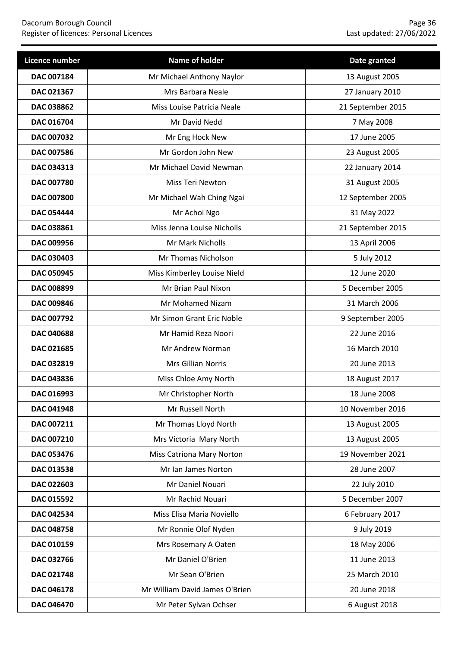| Licence number    | Name of holder                 | Date granted      |
|-------------------|--------------------------------|-------------------|
| DAC 007184        | Mr Michael Anthony Naylor      | 13 August 2005    |
| DAC 021367        | Mrs Barbara Neale              | 27 January 2010   |
| DAC 038862        | Miss Louise Patricia Neale     | 21 September 2015 |
| DAC 016704        | Mr David Nedd                  | 7 May 2008        |
| DAC 007032        | Mr Eng Hock New                | 17 June 2005      |
| <b>DAC 007586</b> | Mr Gordon John New             | 23 August 2005    |
| DAC 034313        | Mr Michael David Newman        | 22 January 2014   |
| DAC 007780        | Miss Teri Newton               | 31 August 2005    |
| <b>DAC 007800</b> | Mr Michael Wah Ching Ngai      | 12 September 2005 |
| <b>DAC 054444</b> | Mr Achoi Ngo                   | 31 May 2022       |
| DAC 038861        | Miss Jenna Louise Nicholls     | 21 September 2015 |
| DAC 009956        | Mr Mark Nicholls               | 13 April 2006     |
| DAC 030403        | Mr Thomas Nicholson            | 5 July 2012       |
| <b>DAC 050945</b> | Miss Kimberley Louise Nield    | 12 June 2020      |
| DAC 008899        | Mr Brian Paul Nixon            | 5 December 2005   |
| DAC 009846        | Mr Mohamed Nizam               | 31 March 2006     |
| DAC 007792        | Mr Simon Grant Eric Noble      | 9 September 2005  |
| <b>DAC 040688</b> | Mr Hamid Reza Noori            | 22 June 2016      |
| DAC 021685        | Mr Andrew Norman               | 16 March 2010     |
| DAC 032819        | Mrs Gillian Norris             | 20 June 2013      |
| <b>DAC 043836</b> | Miss Chloe Amy North           | 18 August 2017    |
| DAC 016993        | Mr Christopher North           | 18 June 2008      |
| <b>DAC 041948</b> | Mr Russell North               | 10 November 2016  |
| DAC 007211        | Mr Thomas Lloyd North          | 13 August 2005    |
| DAC 007210        | Mrs Victoria Mary North        | 13 August 2005    |
| DAC 053476        | Miss Catriona Mary Norton      | 19 November 2021  |
| DAC 013538        | Mr Ian James Norton            | 28 June 2007      |
| DAC 022603        | Mr Daniel Nouari               | 22 July 2010      |
| DAC 015592        | Mr Rachid Nouari               | 5 December 2007   |
| DAC 042534        | Miss Elisa Maria Noviello      | 6 February 2017   |
| DAC 048758        | Mr Ronnie Olof Nyden           | 9 July 2019       |
| DAC 010159        | Mrs Rosemary A Oaten           | 18 May 2006       |
| DAC 032766        | Mr Daniel O'Brien              | 11 June 2013      |
| DAC 021748        | Mr Sean O'Brien                | 25 March 2010     |
| DAC 046178        | Mr William David James O'Brien | 20 June 2018      |
| DAC 046470        | Mr Peter Sylvan Ochser         | 6 August 2018     |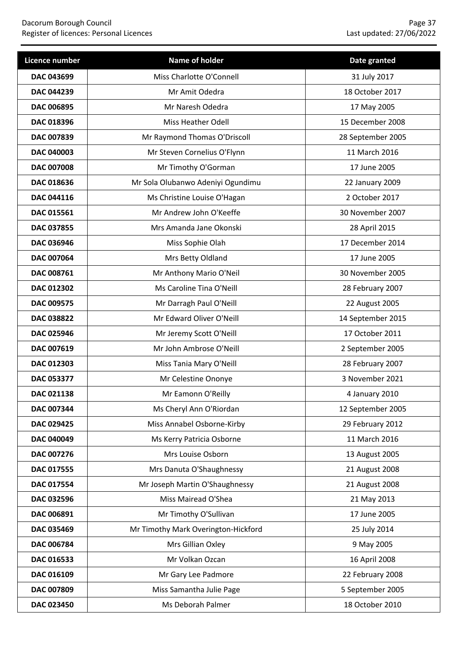| Licence number    | Name of holder                      | Date granted      |
|-------------------|-------------------------------------|-------------------|
| DAC 043699        | Miss Charlotte O'Connell            | 31 July 2017      |
| DAC 044239        | Mr Amit Odedra                      | 18 October 2017   |
| <b>DAC 006895</b> | Mr Naresh Odedra                    | 17 May 2005       |
| DAC 018396        | Miss Heather Odell                  | 15 December 2008  |
| DAC 007839        | Mr Raymond Thomas O'Driscoll        | 28 September 2005 |
| DAC 040003        | Mr Steven Cornelius O'Flynn         | 11 March 2016     |
| DAC 007008        | Mr Timothy O'Gorman                 | 17 June 2005      |
| DAC 018636        | Mr Sola Olubanwo Adeniyi Ogundimu   | 22 January 2009   |
| <b>DAC 044116</b> | Ms Christine Louise O'Hagan         | 2 October 2017    |
| DAC 015561        | Mr Andrew John O'Keeffe             | 30 November 2007  |
| DAC 037855        | Mrs Amanda Jane Okonski             | 28 April 2015     |
| DAC 036946        | Miss Sophie Olah                    | 17 December 2014  |
| DAC 007064        | Mrs Betty Oldland                   | 17 June 2005      |
| DAC 008761        | Mr Anthony Mario O'Neil             | 30 November 2005  |
| DAC 012302        | Ms Caroline Tina O'Neill            | 28 February 2007  |
| DAC 009575        | Mr Darragh Paul O'Neill             | 22 August 2005    |
| DAC 038822        | Mr Edward Oliver O'Neill            | 14 September 2015 |
| DAC 025946        | Mr Jeremy Scott O'Neill             | 17 October 2011   |
| DAC 007619        | Mr John Ambrose O'Neill             | 2 September 2005  |
| DAC 012303        | Miss Tania Mary O'Neill             | 28 February 2007  |
| DAC 053377        | Mr Celestine Ononye                 | 3 November 2021   |
| DAC 021138        | Mr Eamonn O'Reilly                  | 4 January 2010    |
| DAC 007344        | Ms Cheryl Ann O'Riordan             | 12 September 2005 |
| DAC 029425        | Miss Annabel Osborne-Kirby          | 29 February 2012  |
| DAC 040049        | Ms Kerry Patricia Osborne           | 11 March 2016     |
| DAC 007276        | Mrs Louise Osborn                   | 13 August 2005    |
| DAC 017555        | Mrs Danuta O'Shaughnessy            | 21 August 2008    |
| DAC 017554        | Mr Joseph Martin O'Shaughnessy      | 21 August 2008    |
| DAC 032596        | Miss Mairead O'Shea                 | 21 May 2013       |
| DAC 006891        | Mr Timothy O'Sullivan               | 17 June 2005      |
| DAC 035469        | Mr Timothy Mark Overington-Hickford | 25 July 2014      |
| DAC 006784        | Mrs Gillian Oxley                   | 9 May 2005        |
| DAC 016533        | Mr Volkan Ozcan                     | 16 April 2008     |
| DAC 016109        | Mr Gary Lee Padmore                 | 22 February 2008  |
| DAC 007809        | Miss Samantha Julie Page            | 5 September 2005  |
| DAC 023450        | Ms Deborah Palmer                   | 18 October 2010   |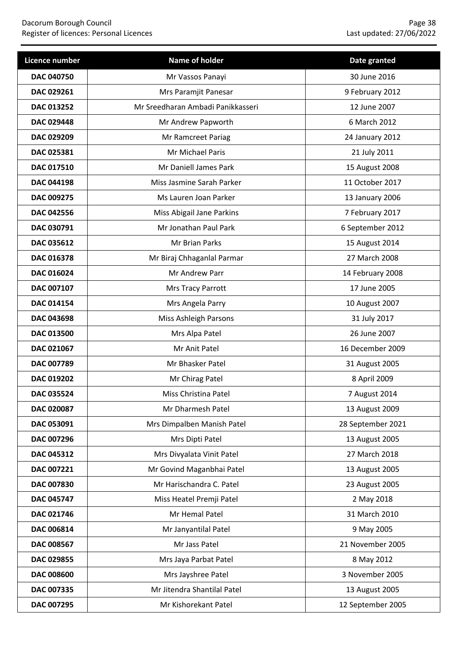| Licence number    | Name of holder                    | Date granted      |
|-------------------|-----------------------------------|-------------------|
| <b>DAC 040750</b> | Mr Vassos Panayi                  | 30 June 2016      |
| DAC 029261        | Mrs Paramjit Panesar              | 9 February 2012   |
| <b>DAC 013252</b> | Mr Sreedharan Ambadi Panikkasseri | 12 June 2007      |
| DAC 029448        | Mr Andrew Papworth                | 6 March 2012      |
| DAC 029209        | Mr Ramcreet Pariag                | 24 January 2012   |
| DAC 025381        | Mr Michael Paris                  | 21 July 2011      |
| DAC 017510        | Mr Daniell James Park             | 15 August 2008    |
| <b>DAC 044198</b> | Miss Jasmine Sarah Parker         | 11 October 2017   |
| DAC 009275        | Ms Lauren Joan Parker             | 13 January 2006   |
| DAC 042556        | Miss Abigail Jane Parkins         | 7 February 2017   |
| DAC 030791        | Mr Jonathan Paul Park             | 6 September 2012  |
| DAC 035612        | Mr Brian Parks                    | 15 August 2014    |
| DAC 016378        | Mr Biraj Chhaganlal Parmar        | 27 March 2008     |
| DAC 016024        | Mr Andrew Parr                    | 14 February 2008  |
| DAC 007107        | Mrs Tracy Parrott                 | 17 June 2005      |
| DAC 014154        | Mrs Angela Parry                  | 10 August 2007    |
| DAC 043698        | Miss Ashleigh Parsons             | 31 July 2017      |
| <b>DAC 013500</b> | Mrs Alpa Patel                    | 26 June 2007      |
| DAC 021067        | Mr Anit Patel                     | 16 December 2009  |
| DAC 007789        | Mr Bhasker Patel                  | 31 August 2005    |
| DAC 019202        | Mr Chirag Patel                   | 8 April 2009      |
| DAC 035524        | Miss Christina Patel              | 7 August 2014     |
| DAC 020087        | Mr Dharmesh Patel                 | 13 August 2009    |
| DAC 053091        | Mrs Dimpalben Manish Patel        | 28 September 2021 |
| DAC 007296        | Mrs Dipti Patel                   | 13 August 2005    |
| DAC 045312        | Mrs Divyalata Vinit Patel         | 27 March 2018     |
| DAC 007221        | Mr Govind Maganbhai Patel         | 13 August 2005    |
| DAC 007830        | Mr Harischandra C. Patel          | 23 August 2005    |
| DAC 045747        | Miss Heatel Premji Patel          | 2 May 2018        |
| DAC 021746        | Mr Hemal Patel                    | 31 March 2010     |
| DAC 006814        | Mr Janyantilal Patel              | 9 May 2005        |
| DAC 008567        | Mr Jass Patel                     | 21 November 2005  |
| DAC 029855        | Mrs Jaya Parbat Patel             | 8 May 2012        |
| <b>DAC 008600</b> | Mrs Jayshree Patel                | 3 November 2005   |
| DAC 007335        | Mr Jitendra Shantilal Patel       | 13 August 2005    |
| DAC 007295        | Mr Kishorekant Patel              | 12 September 2005 |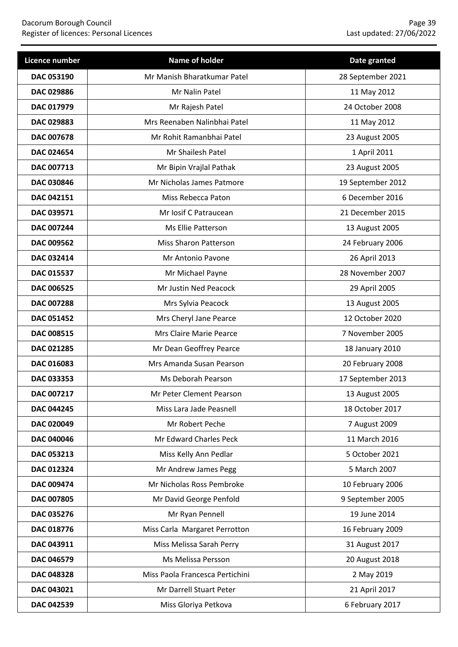| Licence number    | Name of holder                  | Date granted      |
|-------------------|---------------------------------|-------------------|
| <b>DAC 053190</b> | Mr Manish Bharatkumar Patel     | 28 September 2021 |
| DAC 029886        | Mr Nalin Patel                  | 11 May 2012       |
| DAC 017979        | Mr Rajesh Patel                 | 24 October 2008   |
| DAC 029883        | Mrs Reenaben Nalinbhai Patel    | 11 May 2012       |
| DAC 007678        | Mr Rohit Ramanbhai Patel        | 23 August 2005    |
| DAC 024654        | Mr Shailesh Patel               | 1 April 2011      |
| DAC 007713        | Mr Bipin Vrajlal Pathak         | 23 August 2005    |
| DAC 030846        | Mr Nicholas James Patmore       | 19 September 2012 |
| DAC 042151        | Miss Rebecca Paton              | 6 December 2016   |
| DAC 039571        | Mr Iosif C Patraucean           | 21 December 2015  |
| DAC 007244        | Ms Ellie Patterson              | 13 August 2005    |
| DAC 009562        | <b>Miss Sharon Patterson</b>    | 24 February 2006  |
| DAC 032414        | Mr Antonio Pavone               | 26 April 2013     |
| DAC 015537        | Mr Michael Payne                | 28 November 2007  |
| <b>DAC 006525</b> | Mr Justin Ned Peacock           | 29 April 2005     |
| DAC 007288        | Mrs Sylvia Peacock              | 13 August 2005    |
| DAC 051452        | Mrs Cheryl Jane Pearce          | 12 October 2020   |
| DAC 008515        | Mrs Claire Marie Pearce         | 7 November 2005   |
| DAC 021285        | Mr Dean Geoffrey Pearce         | 18 January 2010   |
| DAC 016083        | Mrs Amanda Susan Pearson        | 20 February 2008  |
| DAC 033353        | Ms Deborah Pearson              | 17 September 2013 |
| DAC 007217        | Mr Peter Clement Pearson        | 13 August 2005    |
| <b>DAC 044245</b> | Miss Lara Jade Peasnell         | 18 October 2017   |
| DAC 020049        | Mr Robert Peche                 | 7 August 2009     |
| DAC 040046        | Mr Edward Charles Peck          | 11 March 2016     |
| DAC 053213        | Miss Kelly Ann Pedlar           | 5 October 2021    |
| DAC 012324        | Mr Andrew James Pegg            | 5 March 2007      |
| DAC 009474        | Mr Nicholas Ross Pembroke       | 10 February 2006  |
| DAC 007805        | Mr David George Penfold         | 9 September 2005  |
| DAC 035276        | Mr Ryan Pennell                 | 19 June 2014      |
| DAC 018776        | Miss Carla Margaret Perrotton   | 16 February 2009  |
| DAC 043911        | Miss Melissa Sarah Perry        | 31 August 2017    |
| DAC 046579        | Ms Melissa Persson              | 20 August 2018    |
| DAC 048328        | Miss Paola Francesca Pertichini | 2 May 2019        |
| DAC 043021        | Mr Darrell Stuart Peter         | 21 April 2017     |
| DAC 042539        | Miss Gloriya Petkova            | 6 February 2017   |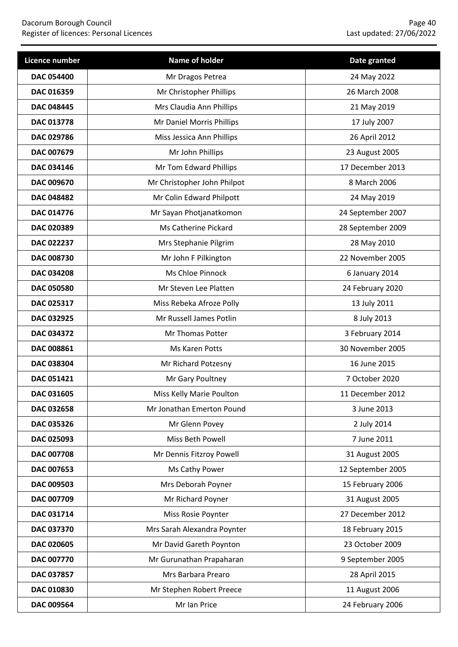| Licence number    | Name of holder              | Date granted      |
|-------------------|-----------------------------|-------------------|
| <b>DAC 054400</b> | Mr Dragos Petrea            | 24 May 2022       |
| DAC 016359        | Mr Christopher Phillips     | 26 March 2008     |
| <b>DAC 048445</b> | Mrs Claudia Ann Phillips    | 21 May 2019       |
| DAC 013778        | Mr Daniel Morris Phillips   | 17 July 2007      |
| DAC 029786        | Miss Jessica Ann Phillips   | 26 April 2012     |
| DAC 007679        | Mr John Phillips            | 23 August 2005    |
| DAC 034146        | Mr Tom Edward Phillips      | 17 December 2013  |
| DAC 009670        | Mr Christopher John Philpot | 8 March 2006      |
| DAC 048482        | Mr Colin Edward Philpott    | 24 May 2019       |
| DAC 014776        | Mr Sayan Photjanatkomon     | 24 September 2007 |
| DAC 020389        | Ms Catherine Pickard        | 28 September 2009 |
| DAC 022237        | Mrs Stephanie Pilgrim       | 28 May 2010       |
| <b>DAC 008730</b> | Mr John F Pilkington        | 22 November 2005  |
| <b>DAC 034208</b> | Ms Chloe Pinnock            | 6 January 2014    |
| <b>DAC 050580</b> | Mr Steven Lee Platten       | 24 February 2020  |
| DAC 025317        | Miss Rebeka Afroze Polly    | 13 July 2011      |
| DAC 032925        | Mr Russell James Potlin     | 8 July 2013       |
| DAC 034372        | Mr Thomas Potter            | 3 February 2014   |
| DAC 008861        | Ms Karen Potts              | 30 November 2005  |
| DAC 038304        | Mr Richard Potzesny         | 16 June 2015      |
| <b>DAC 051421</b> | Mr Gary Poultney            | 7 October 2020    |
| DAC 031605        | Miss Kelly Marie Poulton    | 11 December 2012  |
| DAC 032658        | Mr Jonathan Emerton Pound   | 3 June 2013       |
| DAC 035326        | Mr Glenn Povey              | 2 July 2014       |
| DAC 025093        | Miss Beth Powell            | 7 June 2011       |
| DAC 007708        | Mr Dennis Fitzroy Powell    | 31 August 2005    |
| DAC 007653        | Ms Cathy Power              | 12 September 2005 |
| DAC 009503        | Mrs Deborah Poyner          | 15 February 2006  |
| DAC 007709        | Mr Richard Poyner           | 31 August 2005    |
| DAC 031714        | Miss Rosie Poynter          | 27 December 2012  |
| DAC 037370        | Mrs Sarah Alexandra Poynter | 18 February 2015  |
| DAC 020605        | Mr David Gareth Poynton     | 23 October 2009   |
| <b>DAC 007770</b> | Mr Gurunathan Prapaharan    | 9 September 2005  |
| DAC 037857        | Mrs Barbara Prearo          | 28 April 2015     |
| DAC 010830        | Mr Stephen Robert Preece    | 11 August 2006    |
| DAC 009564        | Mr Ian Price                | 24 February 2006  |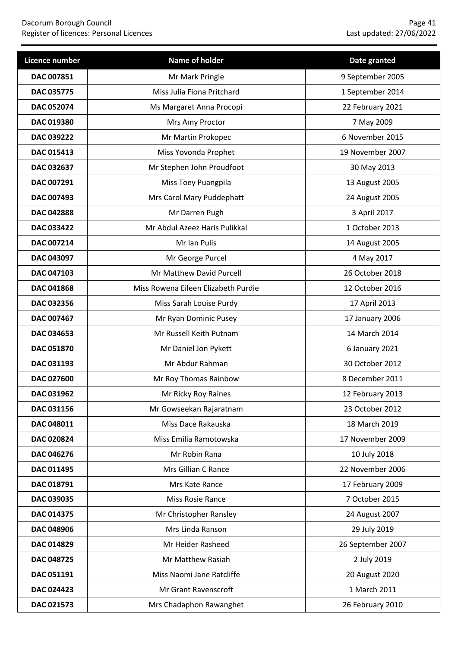| Licence number    | <b>Name of holder</b>               | Date granted      |
|-------------------|-------------------------------------|-------------------|
| DAC 007851        | Mr Mark Pringle                     | 9 September 2005  |
| DAC 035775        | Miss Julia Fiona Pritchard          | 1 September 2014  |
| <b>DAC 052074</b> | Ms Margaret Anna Procopi            | 22 February 2021  |
| DAC 019380        | Mrs Amy Proctor                     | 7 May 2009        |
| DAC 039222        | Mr Martin Prokopec                  | 6 November 2015   |
| DAC 015413        | Miss Yovonda Prophet                | 19 November 2007  |
| DAC 032637        | Mr Stephen John Proudfoot           | 30 May 2013       |
| DAC 007291        | Miss Toey Puangpila                 | 13 August 2005    |
| DAC 007493        | Mrs Carol Mary Puddephatt           | 24 August 2005    |
| DAC 042888        | Mr Darren Pugh                      | 3 April 2017      |
| DAC 033422        | Mr Abdul Azeez Haris Pulikkal       | 1 October 2013    |
| DAC 007214        | Mr Ian Pulis                        | 14 August 2005    |
| DAC 043097        | Mr George Purcel                    | 4 May 2017        |
| <b>DAC 047103</b> | Mr Matthew David Purcell            | 26 October 2018   |
| DAC 041868        | Miss Rowena Eileen Elizabeth Purdie | 12 October 2016   |
| DAC 032356        | Miss Sarah Louise Purdy             | 17 April 2013     |
| DAC 007467        | Mr Ryan Dominic Pusey               | 17 January 2006   |
| DAC 034653        | Mr Russell Keith Putnam             | 14 March 2014     |
| DAC 051870        | Mr Daniel Jon Pykett                | 6 January 2021    |
| DAC 031193        | Mr Abdur Rahman                     | 30 October 2012   |
| DAC 027600        | Mr Roy Thomas Rainbow               | 8 December 2011   |
| DAC 031962        | Mr Ricky Roy Raines                 | 12 February 2013  |
| DAC 031156        | Mr Gowseekan Rajaratnam             | 23 October 2012   |
| DAC 048011        | Miss Dace Rakauska                  | 18 March 2019     |
| DAC 020824        | Miss Emilia Ramotowska              | 17 November 2009  |
| DAC 046276        | Mr Robin Rana                       | 10 July 2018      |
| DAC 011495        | Mrs Gillian C Rance                 | 22 November 2006  |
| DAC 018791        | Mrs Kate Rance                      | 17 February 2009  |
| DAC 039035        | Miss Rosie Rance                    | 7 October 2015    |
| DAC 014375        | Mr Christopher Ransley              | 24 August 2007    |
| DAC 048906        | Mrs Linda Ranson                    | 29 July 2019      |
| DAC 014829        | Mr Heider Rasheed                   | 26 September 2007 |
| DAC 048725        | Mr Matthew Rasiah                   | 2 July 2019       |
| DAC 051191        | Miss Naomi Jane Ratcliffe           | 20 August 2020    |
| DAC 024423        | Mr Grant Ravenscroft                | 1 March 2011      |
| DAC 021573        | Mrs Chadaphon Rawanghet             | 26 February 2010  |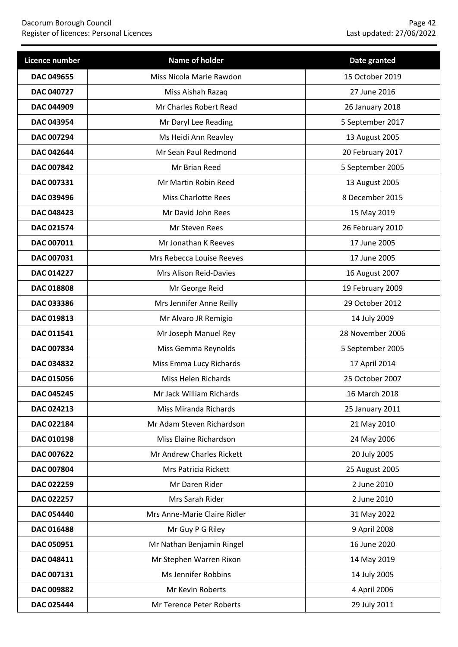| Licence number    | Name of holder               | Date granted     |
|-------------------|------------------------------|------------------|
| <b>DAC 049655</b> | Miss Nicola Marie Rawdon     | 15 October 2019  |
| DAC 040727        | Miss Aishah Razaq            | 27 June 2016     |
| DAC 044909        | Mr Charles Robert Read       | 26 January 2018  |
| DAC 043954        | Mr Daryl Lee Reading         | 5 September 2017 |
| DAC 007294        | Ms Heidi Ann Reavley         | 13 August 2005   |
| DAC 042644        | Mr Sean Paul Redmond         | 20 February 2017 |
| DAC 007842        | Mr Brian Reed                | 5 September 2005 |
| DAC 007331        | Mr Martin Robin Reed         | 13 August 2005   |
| DAC 039496        | <b>Miss Charlotte Rees</b>   | 8 December 2015  |
| DAC 048423        | Mr David John Rees           | 15 May 2019      |
| DAC 021574        | Mr Steven Rees               | 26 February 2010 |
| DAC 007011        | Mr Jonathan K Reeves         | 17 June 2005     |
| DAC 007031        | Mrs Rebecca Louise Reeves    | 17 June 2005     |
| DAC 014227        | Mrs Alison Reid-Davies       | 16 August 2007   |
| <b>DAC 018808</b> | Mr George Reid               | 19 February 2009 |
| DAC 033386        | Mrs Jennifer Anne Reilly     | 29 October 2012  |
| DAC 019813        | Mr Alvaro JR Remigio         | 14 July 2009     |
| DAC 011541        | Mr Joseph Manuel Rey         | 28 November 2006 |
| DAC 007834        | Miss Gemma Reynolds          | 5 September 2005 |
| DAC 034832        | Miss Emma Lucy Richards      | 17 April 2014    |
| DAC 015056        | Miss Helen Richards          | 25 October 2007  |
| <b>DAC 045245</b> | Mr Jack William Richards     | 16 March 2018    |
| DAC 024213        | Miss Miranda Richards        | 25 January 2011  |
| DAC 022184        | Mr Adam Steven Richardson    | 21 May 2010      |
| DAC 010198        | Miss Elaine Richardson       | 24 May 2006      |
| DAC 007622        | Mr Andrew Charles Rickett    | 20 July 2005     |
| DAC 007804        | Mrs Patricia Rickett         | 25 August 2005   |
| DAC 022259        | Mr Daren Rider               | 2 June 2010      |
| DAC 022257        | Mrs Sarah Rider              | 2 June 2010      |
| DAC 054440        | Mrs Anne-Marie Claire Ridler | 31 May 2022      |
| DAC 016488        | Mr Guy P G Riley             | 9 April 2008     |
| DAC 050951        | Mr Nathan Benjamin Ringel    | 16 June 2020     |
| DAC 048411        | Mr Stephen Warren Rixon      | 14 May 2019      |
| DAC 007131        | Ms Jennifer Robbins          | 14 July 2005     |
| DAC 009882        | Mr Kevin Roberts             | 4 April 2006     |
| DAC 025444        | Mr Terence Peter Roberts     | 29 July 2011     |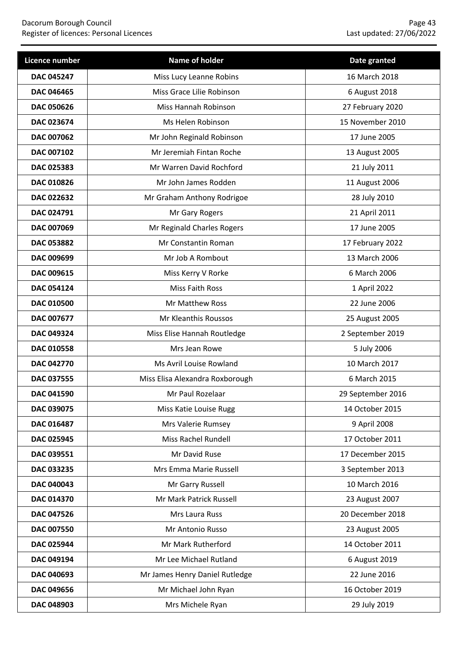| Licence number    | Name of holder                  | Date granted      |
|-------------------|---------------------------------|-------------------|
| <b>DAC 045247</b> | Miss Lucy Leanne Robins         | 16 March 2018     |
| DAC 046465        | Miss Grace Lilie Robinson       | 6 August 2018     |
| <b>DAC 050626</b> | Miss Hannah Robinson            | 27 February 2020  |
| DAC 023674        | Ms Helen Robinson               | 15 November 2010  |
| DAC 007062        | Mr John Reginald Robinson       | 17 June 2005      |
| DAC 007102        | Mr Jeremiah Fintan Roche        | 13 August 2005    |
| DAC 025383        | Mr Warren David Rochford        | 21 July 2011      |
| DAC 010826        | Mr John James Rodden            | 11 August 2006    |
| DAC 022632        | Mr Graham Anthony Rodrigoe      | 28 July 2010      |
| DAC 024791        | Mr Gary Rogers                  | 21 April 2011     |
| DAC 007069        | Mr Reginald Charles Rogers      | 17 June 2005      |
| DAC 053882        | Mr Constantin Roman             | 17 February 2022  |
| DAC 009699        | Mr Job A Rombout                | 13 March 2006     |
| DAC 009615        | Miss Kerry V Rorke              | 6 March 2006      |
| <b>DAC 054124</b> | Miss Faith Ross                 | 1 April 2022      |
| DAC 010500        | Mr Matthew Ross                 | 22 June 2006      |
| DAC 007677        | Mr Kleanthis Roussos            | 25 August 2005    |
| DAC 049324        | Miss Elise Hannah Routledge     | 2 September 2019  |
| DAC 010558        | Mrs Jean Rowe                   | 5 July 2006       |
| DAC 042770        | Ms Avril Louise Rowland         | 10 March 2017     |
| DAC 037555        | Miss Elisa Alexandra Roxborough | 6 March 2015      |
| DAC 041590        | Mr Paul Rozelaar                | 29 September 2016 |
| DAC 039075        | Miss Katie Louise Rugg          | 14 October 2015   |
| DAC 016487        | Mrs Valerie Rumsey              | 9 April 2008      |
| DAC 025945        | <b>Miss Rachel Rundell</b>      | 17 October 2011   |
| DAC 039551        | Mr David Ruse                   | 17 December 2015  |
| DAC 033235        | Mrs Emma Marie Russell          | 3 September 2013  |
| DAC 040043        | Mr Garry Russell                | 10 March 2016     |
| DAC 014370        | Mr Mark Patrick Russell         | 23 August 2007    |
| DAC 047526        | Mrs Laura Russ                  | 20 December 2018  |
| DAC 007550        | Mr Antonio Russo                | 23 August 2005    |
| DAC 025944        | Mr Mark Rutherford              | 14 October 2011   |
| DAC 049194        | Mr Lee Michael Rutland          | 6 August 2019     |
| DAC 040693        | Mr James Henry Daniel Rutledge  | 22 June 2016      |
| DAC 049656        | Mr Michael John Ryan            | 16 October 2019   |
| DAC 048903        | Mrs Michele Ryan                | 29 July 2019      |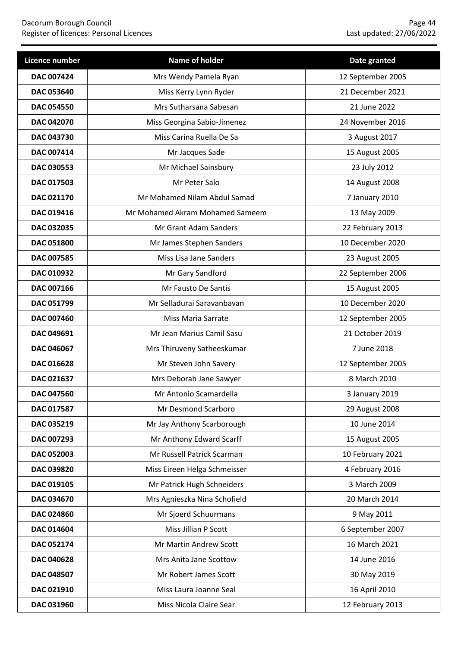| Licence number    | Name of holder                  | Date granted      |
|-------------------|---------------------------------|-------------------|
| DAC 007424        | Mrs Wendy Pamela Ryan           | 12 September 2005 |
| DAC 053640        | Miss Kerry Lynn Ryder           | 21 December 2021  |
| <b>DAC 054550</b> | Mrs Sutharsana Sabesan          | 21 June 2022      |
| DAC 042070        | Miss Georgina Sabio-Jimenez     | 24 November 2016  |
| DAC 043730        | Miss Carina Ruella De Sa        | 3 August 2017     |
| DAC 007414        | Mr Jacques Sade                 | 15 August 2005    |
| DAC 030553        | Mr Michael Sainsbury            | 23 July 2012      |
| DAC 017503        | Mr Peter Salo                   | 14 August 2008    |
| DAC 021170        | Mr Mohamed Nilam Abdul Samad    | 7 January 2010    |
| DAC 019416        | Mr Mohamed Akram Mohamed Sameem | 13 May 2009       |
| DAC 032035        | Mr Grant Adam Sanders           | 22 February 2013  |
| <b>DAC 051800</b> | Mr James Stephen Sanders        | 10 December 2020  |
| DAC 007585        | Miss Lisa Jane Sanders          | 23 August 2005    |
| DAC 010932        | Mr Gary Sandford                | 22 September 2006 |
| DAC 007166        | Mr Fausto De Santis             | 15 August 2005    |
| DAC 051799        | Mr Selladurai Saravanbavan      | 10 December 2020  |
| DAC 007460        | Miss Maria Sarrate              | 12 September 2005 |
| DAC 049691        | Mr Jean Marius Camil Sasu       | 21 October 2019   |
| DAC 046067        | Mrs Thiruveny Satheeskumar      | 7 June 2018       |
| DAC 016628        | Mr Steven John Savery           | 12 September 2005 |
| DAC 021637        | Mrs Deborah Jane Sawyer         | 8 March 2010      |
| <b>DAC 047560</b> | Mr Antonio Scamardella          | 3 January 2019    |
| DAC 017587        | Mr Desmond Scarboro             | 29 August 2008    |
| DAC 035219        | Mr Jay Anthony Scarborough      | 10 June 2014      |
| DAC 007293        | Mr Anthony Edward Scarff        | 15 August 2005    |
| <b>DAC 052003</b> | Mr Russell Patrick Scarman      | 10 February 2021  |
| DAC 039820        | Miss Eireen Helga Schmeisser    | 4 February 2016   |
| DAC 019105        | Mr Patrick Hugh Schneiders      | 3 March 2009      |
| DAC 034670        | Mrs Agnieszka Nina Schofield    | 20 March 2014     |
| DAC 024860        | Mr Sjoerd Schuurmans            | 9 May 2011        |
| DAC 014604        | Miss Jillian P Scott            | 6 September 2007  |
| DAC 052174        | Mr Martin Andrew Scott          | 16 March 2021     |
| DAC 040628        | Mrs Anita Jane Scottow          | 14 June 2016      |
| DAC 048507        | Mr Robert James Scott           | 30 May 2019       |
| DAC 021910        | Miss Laura Joanne Seal          | 16 April 2010     |
| DAC 031960        | Miss Nicola Claire Sear         | 12 February 2013  |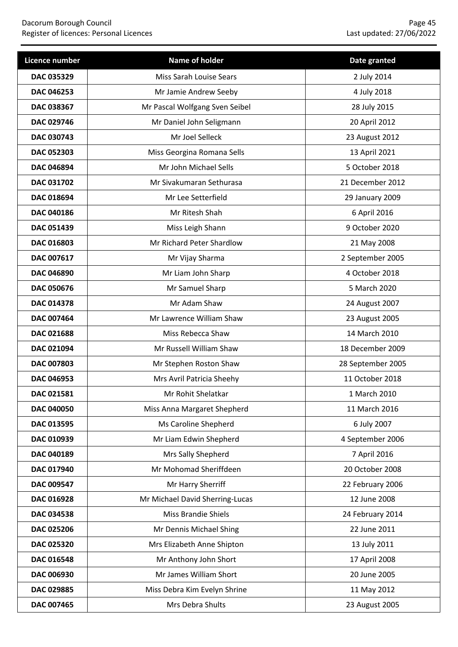| Licence number    | Name of holder                  | Date granted      |
|-------------------|---------------------------------|-------------------|
| DAC 035329        | Miss Sarah Louise Sears         | 2 July 2014       |
| DAC 046253        | Mr Jamie Andrew Seeby           | 4 July 2018       |
| <b>DAC 038367</b> | Mr Pascal Wolfgang Sven Seibel  | 28 July 2015      |
| DAC 029746        | Mr Daniel John Seligmann        | 20 April 2012     |
| DAC 030743        | Mr Joel Selleck                 | 23 August 2012    |
| DAC 052303        | Miss Georgina Romana Sells      | 13 April 2021     |
| DAC 046894        | Mr John Michael Sells           | 5 October 2018    |
| DAC 031702        | Mr Sivakumaran Sethurasa        | 21 December 2012  |
| DAC 018694        | Mr Lee Setterfield              | 29 January 2009   |
| DAC 040186        | Mr Ritesh Shah                  | 6 April 2016      |
| DAC 051439        | Miss Leigh Shann                | 9 October 2020    |
| DAC 016803        | Mr Richard Peter Shardlow       | 21 May 2008       |
| DAC 007617        | Mr Vijay Sharma                 | 2 September 2005  |
| <b>DAC 046890</b> | Mr Liam John Sharp              | 4 October 2018    |
| <b>DAC 050676</b> | Mr Samuel Sharp                 | 5 March 2020      |
| DAC 014378        | Mr Adam Shaw                    | 24 August 2007    |
| DAC 007464        | Mr Lawrence William Shaw        | 23 August 2005    |
| DAC 021688        | Miss Rebecca Shaw               | 14 March 2010     |
| DAC 021094        | Mr Russell William Shaw         | 18 December 2009  |
| DAC 007803        | Mr Stephen Roston Shaw          | 28 September 2005 |
| DAC 046953        | Mrs Avril Patricia Sheehy       | 11 October 2018   |
| DAC 021581        | Mr Rohit Shelatkar              | 1 March 2010      |
| DAC 040050        | Miss Anna Margaret Shepherd     | 11 March 2016     |
| DAC 013595        | Ms Caroline Shepherd            | 6 July 2007       |
| DAC 010939        | Mr Liam Edwin Shepherd          | 4 September 2006  |
| DAC 040189        | Mrs Sally Shepherd              | 7 April 2016      |
| DAC 017940        | Mr Mohomad Sheriffdeen          | 20 October 2008   |
| DAC 009547        | Mr Harry Sherriff               | 22 February 2006  |
| DAC 016928        | Mr Michael David Sherring-Lucas | 12 June 2008      |
| DAC 034538        | <b>Miss Brandie Shiels</b>      | 24 February 2014  |
| DAC 025206        | Mr Dennis Michael Shing         | 22 June 2011      |
| DAC 025320        | Mrs Elizabeth Anne Shipton      | 13 July 2011      |
| DAC 016548        | Mr Anthony John Short           | 17 April 2008     |
| DAC 006930        | Mr James William Short          | 20 June 2005      |
| DAC 029885        | Miss Debra Kim Evelyn Shrine    | 11 May 2012       |
| DAC 007465        | Mrs Debra Shults                | 23 August 2005    |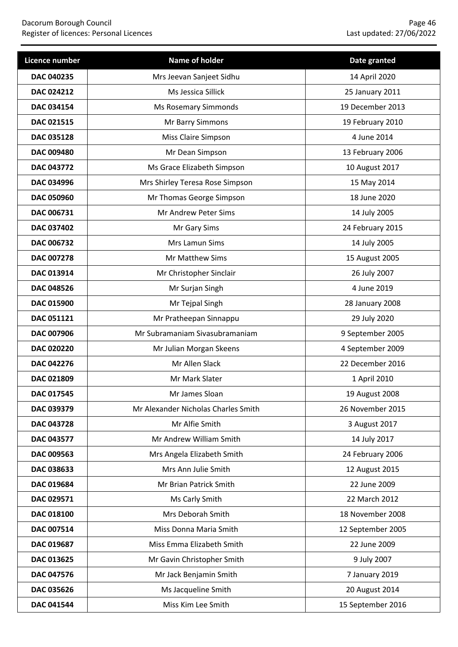| Licence number    | Name of holder                      | Date granted      |
|-------------------|-------------------------------------|-------------------|
| DAC 040235        | Mrs Jeevan Sanjeet Sidhu            | 14 April 2020     |
| DAC 024212        | Ms Jessica Sillick                  | 25 January 2011   |
| <b>DAC 034154</b> | <b>Ms Rosemary Simmonds</b>         | 19 December 2013  |
| DAC 021515        | Mr Barry Simmons                    | 19 February 2010  |
| DAC 035128        | Miss Claire Simpson                 | 4 June 2014       |
| <b>DAC 009480</b> | Mr Dean Simpson                     | 13 February 2006  |
| DAC 043772        | Ms Grace Elizabeth Simpson          | 10 August 2017    |
| DAC 034996        | Mrs Shirley Teresa Rose Simpson     | 15 May 2014       |
| <b>DAC 050960</b> | Mr Thomas George Simpson            | 18 June 2020      |
| DAC 006731        | Mr Andrew Peter Sims                | 14 July 2005      |
| <b>DAC 037402</b> | Mr Gary Sims                        | 24 February 2015  |
| DAC 006732        | Mrs Lamun Sims                      | 14 July 2005      |
| DAC 007278        | Mr Matthew Sims                     | 15 August 2005    |
| DAC 013914        | Mr Christopher Sinclair             | 26 July 2007      |
| <b>DAC 048526</b> | Mr Surjan Singh                     | 4 June 2019       |
| DAC 015900        | Mr Tejpal Singh                     | 28 January 2008   |
| DAC 051121        | Mr Pratheepan Sinnappu              | 29 July 2020      |
| DAC 007906        | Mr Subramaniam Sivasubramaniam      | 9 September 2005  |
| DAC 020220        | Mr Julian Morgan Skeens             | 4 September 2009  |
| DAC 042276        | Mr Allen Slack                      | 22 December 2016  |
| DAC 021809        | Mr Mark Slater                      | 1 April 2010      |
| DAC 017545        | Mr James Sloan                      | 19 August 2008    |
| DAC 039379        | Mr Alexander Nicholas Charles Smith | 26 November 2015  |
| DAC 043728        | Mr Alfie Smith                      | 3 August 2017     |
| DAC 043577        | Mr Andrew William Smith             | 14 July 2017      |
| DAC 009563        | Mrs Angela Elizabeth Smith          | 24 February 2006  |
| DAC 038633        | Mrs Ann Julie Smith                 | 12 August 2015    |
| DAC 019684        | Mr Brian Patrick Smith              | 22 June 2009      |
| DAC 029571        | Ms Carly Smith                      | 22 March 2012     |
| DAC 018100        | Mrs Deborah Smith                   | 18 November 2008  |
| DAC 007514        | Miss Donna Maria Smith              | 12 September 2005 |
| DAC 019687        | Miss Emma Elizabeth Smith           | 22 June 2009      |
| DAC 013625        | Mr Gavin Christopher Smith          | 9 July 2007       |
| DAC 047576        | Mr Jack Benjamin Smith              | 7 January 2019    |
| DAC 035626        | Ms Jacqueline Smith                 | 20 August 2014    |
| DAC 041544        | Miss Kim Lee Smith                  | 15 September 2016 |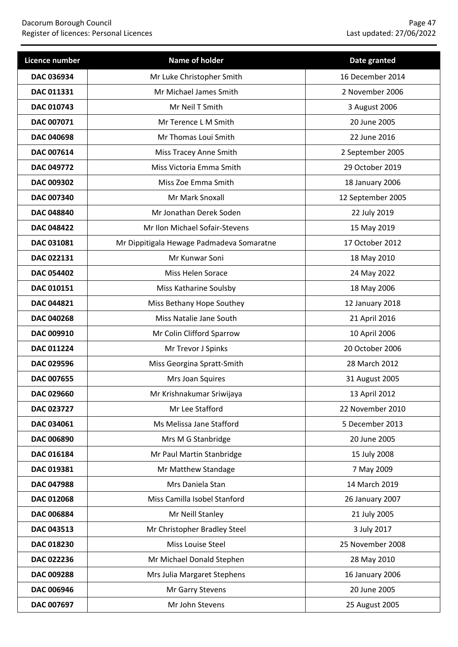| Licence number    | Name of holder                            | Date granted      |
|-------------------|-------------------------------------------|-------------------|
| DAC 036934        | Mr Luke Christopher Smith                 | 16 December 2014  |
| DAC 011331        | Mr Michael James Smith                    | 2 November 2006   |
| DAC 010743        | Mr Neil T Smith                           | 3 August 2006     |
| DAC 007071        | Mr Terence L M Smith                      | 20 June 2005      |
| DAC 040698        | Mr Thomas Loui Smith                      | 22 June 2016      |
| DAC 007614        | Miss Tracey Anne Smith                    | 2 September 2005  |
| DAC 049772        | Miss Victoria Emma Smith                  | 29 October 2019   |
| DAC 009302        | Miss Zoe Emma Smith                       | 18 January 2006   |
| DAC 007340        | Mr Mark Snoxall                           | 12 September 2005 |
| DAC 048840        | Mr Jonathan Derek Soden                   | 22 July 2019      |
| <b>DAC 048422</b> | Mr Ilon Michael Sofair-Stevens            | 15 May 2019       |
| DAC 031081        | Mr Dippitigala Hewage Padmadeva Somaratne | 17 October 2012   |
| DAC 022131        | Mr Kunwar Soni                            | 18 May 2010       |
| <b>DAC 054402</b> | Miss Helen Sorace                         | 24 May 2022       |
| DAC 010151        | Miss Katharine Soulsby                    | 18 May 2006       |
| DAC 044821        | Miss Bethany Hope Southey                 | 12 January 2018   |
| DAC 040268        | Miss Natalie Jane South                   | 21 April 2016     |
| DAC 009910        | Mr Colin Clifford Sparrow                 | 10 April 2006     |
| <b>DAC 011224</b> | Mr Trevor J Spinks                        | 20 October 2006   |
| DAC 029596        | Miss Georgina Spratt-Smith                | 28 March 2012     |
| <b>DAC 007655</b> | Mrs Joan Squires                          | 31 August 2005    |
| DAC 029660        | Mr Krishnakumar Sriwijaya                 | 13 April 2012     |
| DAC 023727        | Mr Lee Stafford                           | 22 November 2010  |
| DAC 034061        | Ms Melissa Jane Stafford                  | 5 December 2013   |
| DAC 006890        | Mrs M G Stanbridge                        | 20 June 2005      |
| DAC 016184        | Mr Paul Martin Stanbridge                 | 15 July 2008      |
| DAC 019381        | Mr Matthew Standage                       | 7 May 2009        |
| DAC 047988        | Mrs Daniela Stan                          | 14 March 2019     |
| DAC 012068        | Miss Camilla Isobel Stanford              | 26 January 2007   |
| DAC 006884        | Mr Neill Stanley                          | 21 July 2005      |
| DAC 043513        | Mr Christopher Bradley Steel              | 3 July 2017       |
| DAC 018230        | Miss Louise Steel                         | 25 November 2008  |
| DAC 022236        | Mr Michael Donald Stephen                 | 28 May 2010       |
| DAC 009288        | Mrs Julia Margaret Stephens               | 16 January 2006   |
| DAC 006946        | Mr Garry Stevens                          | 20 June 2005      |
| DAC 007697        | Mr John Stevens                           | 25 August 2005    |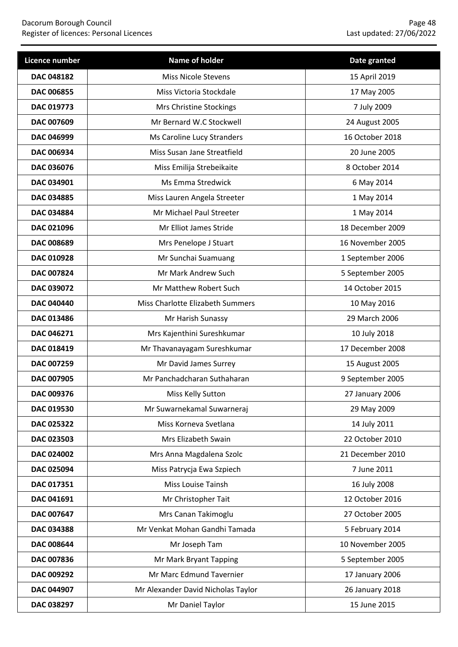| Licence number    | Name of holder                     | Date granted     |
|-------------------|------------------------------------|------------------|
| <b>DAC 048182</b> | <b>Miss Nicole Stevens</b>         | 15 April 2019    |
| DAC 006855        | Miss Victoria Stockdale            | 17 May 2005      |
| DAC 019773        | Mrs Christine Stockings            | 7 July 2009      |
| DAC 007609        | Mr Bernard W.C Stockwell           | 24 August 2005   |
| DAC 046999        | Ms Caroline Lucy Stranders         | 16 October 2018  |
| DAC 006934        | Miss Susan Jane Streatfield        | 20 June 2005     |
| DAC 036076        | Miss Emilija Strebeikaite          | 8 October 2014   |
| DAC 034901        | Ms Emma Stredwick                  | 6 May 2014       |
| <b>DAC 034885</b> | Miss Lauren Angela Streeter        | 1 May 2014       |
| DAC 034884        | Mr Michael Paul Streeter           | 1 May 2014       |
| <b>DAC 021096</b> | Mr Elliot James Stride             | 18 December 2009 |
| <b>DAC 008689</b> | Mrs Penelope J Stuart              | 16 November 2005 |
| DAC 010928        | Mr Sunchai Suamuang                | 1 September 2006 |
| DAC 007824        | Mr Mark Andrew Such                | 5 September 2005 |
| DAC 039072        | Mr Matthew Robert Such             | 14 October 2015  |
| DAC 040440        | Miss Charlotte Elizabeth Summers   | 10 May 2016      |
| DAC 013486        | Mr Harish Sunassy                  | 29 March 2006    |
| DAC 046271        | Mrs Kajenthini Sureshkumar         | 10 July 2018     |
| DAC 018419        | Mr Thavanayagam Sureshkumar        | 17 December 2008 |
| DAC 007259        | Mr David James Surrey              | 15 August 2005   |
| DAC 007905        | Mr Panchadcharan Suthaharan        | 9 September 2005 |
| DAC 009376        | Miss Kelly Sutton                  | 27 January 2006  |
| DAC 019530        | Mr Suwarnekamal Suwarneraj         | 29 May 2009      |
| DAC 025322        | Miss Korneva Svetlana              | 14 July 2011     |
| DAC 023503        | Mrs Elizabeth Swain                | 22 October 2010  |
| DAC 024002        | Mrs Anna Magdalena Szolc           | 21 December 2010 |
| DAC 025094        | Miss Patrycja Ewa Szpiech          | 7 June 2011      |
| DAC 017351        | Miss Louise Tainsh                 | 16 July 2008     |
| DAC 041691        | Mr Christopher Tait                | 12 October 2016  |
| DAC 007647        | Mrs Canan Takimoglu                | 27 October 2005  |
| DAC 034388        | Mr Venkat Mohan Gandhi Tamada      | 5 February 2014  |
| DAC 008644        | Mr Joseph Tam                      | 10 November 2005 |
| DAC 007836        | Mr Mark Bryant Tapping             | 5 September 2005 |
| DAC 009292        | Mr Marc Edmund Tavernier           | 17 January 2006  |
| DAC 044907        | Mr Alexander David Nicholas Taylor | 26 January 2018  |
| DAC 038297        | Mr Daniel Taylor                   | 15 June 2015     |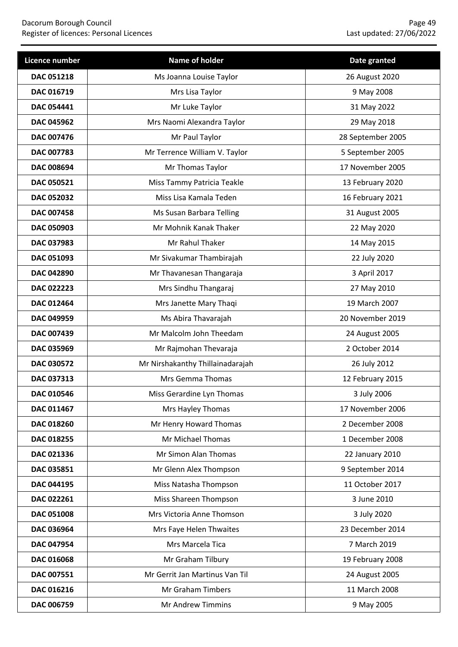| <b>Licence number</b> | Name of holder                   | Date granted      |
|-----------------------|----------------------------------|-------------------|
| DAC 051218            | Ms Joanna Louise Taylor          | 26 August 2020    |
| DAC 016719            | Mrs Lisa Taylor                  | 9 May 2008        |
| DAC 054441            | Mr Luke Taylor                   | 31 May 2022       |
| DAC 045962            | Mrs Naomi Alexandra Taylor       | 29 May 2018       |
| <b>DAC 007476</b>     | Mr Paul Taylor                   | 28 September 2005 |
| <b>DAC 007783</b>     | Mr Terrence William V. Taylor    | 5 September 2005  |
| DAC 008694            | Mr Thomas Taylor                 | 17 November 2005  |
| DAC 050521            | Miss Tammy Patricia Teakle       | 13 February 2020  |
| <b>DAC 052032</b>     | Miss Lisa Kamala Teden           | 16 February 2021  |
| DAC 007458            | Ms Susan Barbara Telling         | 31 August 2005    |
| <b>DAC 050903</b>     | Mr Mohnik Kanak Thaker           | 22 May 2020       |
| DAC 037983            | Mr Rahul Thaker                  | 14 May 2015       |
| DAC 051093            | Mr Sivakumar Thambirajah         | 22 July 2020      |
| DAC 042890            | Mr Thavanesan Thangaraja         | 3 April 2017      |
| DAC 022223            | Mrs Sindhu Thangaraj             | 27 May 2010       |
| DAC 012464            | Mrs Janette Mary Thaqi           | 19 March 2007     |
| DAC 049959            | Ms Abira Thavarajah              | 20 November 2019  |
| DAC 007439            | Mr Malcolm John Theedam          | 24 August 2005    |
| DAC 035969            | Mr Rajmohan Thevaraja            | 2 October 2014    |
| DAC 030572            | Mr Nirshakanthy Thillainadarajah | 26 July 2012      |
| DAC 037313            | Mrs Gemma Thomas                 | 12 February 2015  |
| DAC 010546            | Miss Gerardine Lyn Thomas        | 3 July 2006       |
| DAC 011467            | Mrs Hayley Thomas                | 17 November 2006  |
| DAC 018260            | Mr Henry Howard Thomas           | 2 December 2008   |
| DAC 018255            | Mr Michael Thomas                | 1 December 2008   |
| DAC 021336            | Mr Simon Alan Thomas             | 22 January 2010   |
| DAC 035851            | Mr Glenn Alex Thompson           | 9 September 2014  |
| DAC 044195            | Miss Natasha Thompson            | 11 October 2017   |
| DAC 022261            | Miss Shareen Thompson            | 3 June 2010       |
| DAC 051008            | Mrs Victoria Anne Thomson        | 3 July 2020       |
| DAC 036964            | Mrs Faye Helen Thwaites          | 23 December 2014  |
| DAC 047954            | Mrs Marcela Tica                 | 7 March 2019      |
| DAC 016068            | Mr Graham Tilbury                | 19 February 2008  |
| DAC 007551            | Mr Gerrit Jan Martinus Van Til   | 24 August 2005    |
| DAC 016216            | Mr Graham Timbers                | 11 March 2008     |
| DAC 006759            | Mr Andrew Timmins                | 9 May 2005        |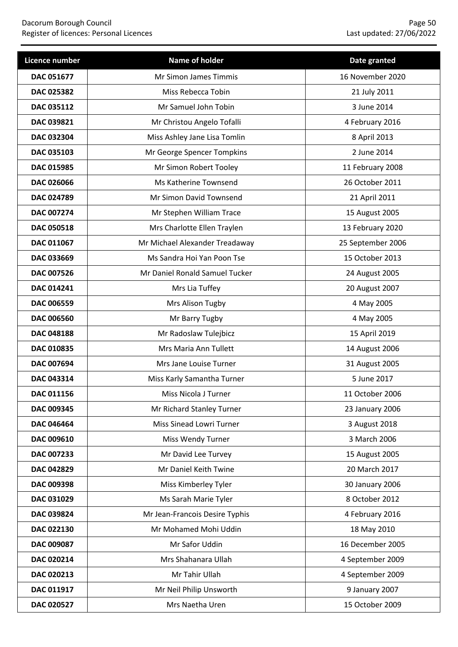| Licence number    | Name of holder                 | Date granted      |
|-------------------|--------------------------------|-------------------|
| DAC 051677        | Mr Simon James Timmis          | 16 November 2020  |
| DAC 025382        | Miss Rebecca Tobin             | 21 July 2011      |
| DAC 035112        | Mr Samuel John Tobin           | 3 June 2014       |
| DAC 039821        | Mr Christou Angelo Tofalli     | 4 February 2016   |
| DAC 032304        | Miss Ashley Jane Lisa Tomlin   | 8 April 2013      |
| DAC 035103        | Mr George Spencer Tompkins     | 2 June 2014       |
| DAC 015985        | Mr Simon Robert Tooley         | 11 February 2008  |
| DAC 026066        | Ms Katherine Townsend          | 26 October 2011   |
| DAC 024789        | Mr Simon David Townsend        | 21 April 2011     |
| DAC 007274        | Mr Stephen William Trace       | 15 August 2005    |
| <b>DAC 050518</b> | Mrs Charlotte Ellen Traylen    | 13 February 2020  |
| DAC 011067        | Mr Michael Alexander Treadaway | 25 September 2006 |
| DAC 033669        | Ms Sandra Hoi Yan Poon Tse     | 15 October 2013   |
| DAC 007526        | Mr Daniel Ronald Samuel Tucker | 24 August 2005    |
| DAC 014241        | Mrs Lia Tuffey                 | 20 August 2007    |
| DAC 006559        | Mrs Alison Tugby               | 4 May 2005        |
| DAC 006560        | Mr Barry Tugby                 | 4 May 2005        |
| <b>DAC 048188</b> | Mr Radoslaw Tulejbicz          | 15 April 2019     |
| DAC 010835        | Mrs Maria Ann Tullett          | 14 August 2006    |
| DAC 007694        | Mrs Jane Louise Turner         | 31 August 2005    |
| DAC 043314        | Miss Karly Samantha Turner     | 5 June 2017       |
| DAC 011156        | Miss Nicola J Turner           | 11 October 2006   |
| DAC 009345        | Mr Richard Stanley Turner      | 23 January 2006   |
| DAC 046464        | Miss Sinead Lowri Turner       | 3 August 2018     |
| DAC 009610        | Miss Wendy Turner              | 3 March 2006      |
| DAC 007233        | Mr David Lee Turvey            | 15 August 2005    |
| DAC 042829        | Mr Daniel Keith Twine          | 20 March 2017     |
| DAC 009398        | Miss Kimberley Tyler           | 30 January 2006   |
| DAC 031029        | Ms Sarah Marie Tyler           | 8 October 2012    |
| DAC 039824        | Mr Jean-Francois Desire Typhis | 4 February 2016   |
| DAC 022130        | Mr Mohamed Mohi Uddin          | 18 May 2010       |
| DAC 009087        | Mr Safor Uddin                 | 16 December 2005  |
| DAC 020214        | Mrs Shahanara Ullah            | 4 September 2009  |
| DAC 020213        | Mr Tahir Ullah                 | 4 September 2009  |
| DAC 011917        | Mr Neil Philip Unsworth        | 9 January 2007    |
| DAC 020527        | Mrs Naetha Uren                | 15 October 2009   |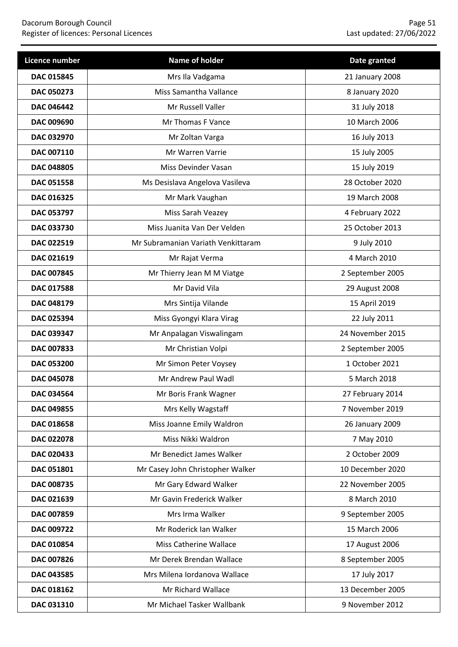| Licence number    | Name of holder                     | Date granted     |
|-------------------|------------------------------------|------------------|
| DAC 015845        | Mrs Ila Vadgama                    | 21 January 2008  |
| DAC 050273        | Miss Samantha Vallance             | 8 January 2020   |
| <b>DAC 046442</b> | Mr Russell Valler                  | 31 July 2018     |
| DAC 009690        | Mr Thomas F Vance                  | 10 March 2006    |
| DAC 032970        | Mr Zoltan Varga                    | 16 July 2013     |
| DAC 007110        | Mr Warren Varrie                   | 15 July 2005     |
| DAC 048805        | Miss Devinder Vasan                | 15 July 2019     |
| DAC 051558        | Ms Desislava Angelova Vasileva     | 28 October 2020  |
| DAC 016325        | Mr Mark Vaughan                    | 19 March 2008    |
| DAC 053797        | Miss Sarah Veazey                  | 4 February 2022  |
| DAC 033730        | Miss Juanita Van Der Velden        | 25 October 2013  |
| DAC 022519        | Mr Subramanian Variath Venkittaram | 9 July 2010      |
| DAC 021619        | Mr Rajat Verma                     | 4 March 2010     |
| DAC 007845        | Mr Thierry Jean M M Viatge         | 2 September 2005 |
| DAC 017588        | Mr David Vila                      | 29 August 2008   |
| DAC 048179        | Mrs Sintija Vilande                | 15 April 2019    |
| DAC 025394        | Miss Gyongyi Klara Virag           | 22 July 2011     |
| DAC 039347        | Mr Anpalagan Viswalingam           | 24 November 2015 |
| DAC 007833        | Mr Christian Volpi                 | 2 September 2005 |
| <b>DAC 053200</b> | Mr Simon Peter Voysey              | 1 October 2021   |
| <b>DAC 045078</b> | Mr Andrew Paul Wadl                | 5 March 2018     |
| DAC 034564        | Mr Boris Frank Wagner              | 27 February 2014 |
| DAC 049855        | Mrs Kelly Wagstaff                 | 7 November 2019  |
| DAC 018658        | Miss Joanne Emily Waldron          | 26 January 2009  |
| DAC 022078        | Miss Nikki Waldron                 | 7 May 2010       |
| DAC 020433        | Mr Benedict James Walker           | 2 October 2009   |
| DAC 051801        | Mr Casey John Christopher Walker   | 10 December 2020 |
| DAC 008735        | Mr Gary Edward Walker              | 22 November 2005 |
| DAC 021639        | Mr Gavin Frederick Walker          | 8 March 2010     |
| DAC 007859        | Mrs Irma Walker                    | 9 September 2005 |
| DAC 009722        | Mr Roderick Ian Walker             | 15 March 2006    |
| DAC 010854        | Miss Catherine Wallace             | 17 August 2006   |
| DAC 007826        | Mr Derek Brendan Wallace           | 8 September 2005 |
| DAC 043585        | Mrs Milena Iordanova Wallace       | 17 July 2017     |
| DAC 018162        | Mr Richard Wallace                 | 13 December 2005 |
| DAC 031310        | Mr Michael Tasker Wallbank         | 9 November 2012  |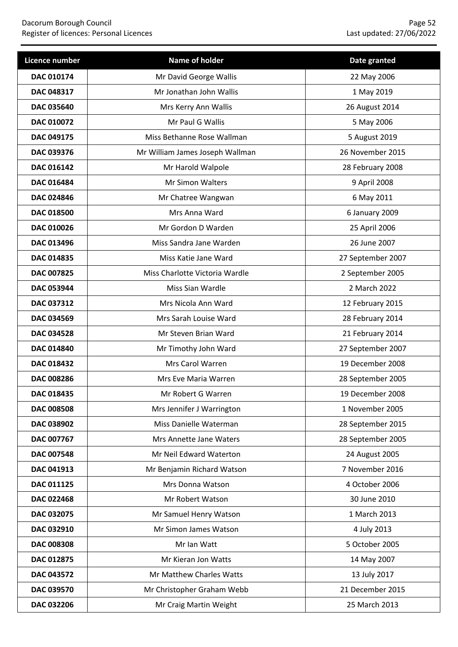| Licence number    | Name of holder                  | Date granted      |
|-------------------|---------------------------------|-------------------|
| DAC 010174        | Mr David George Wallis          | 22 May 2006       |
| DAC 048317        | Mr Jonathan John Wallis         | 1 May 2019        |
| <b>DAC 035640</b> | Mrs Kerry Ann Wallis            | 26 August 2014    |
| DAC 010072        | Mr Paul G Wallis                | 5 May 2006        |
| DAC 049175        | Miss Bethanne Rose Wallman      | 5 August 2019     |
| DAC 039376        | Mr William James Joseph Wallman | 26 November 2015  |
| DAC 016142        | Mr Harold Walpole               | 28 February 2008  |
| DAC 016484        | Mr Simon Walters                | 9 April 2008      |
| <b>DAC 024846</b> | Mr Chatree Wangwan              | 6 May 2011        |
| DAC 018500        | Mrs Anna Ward                   | 6 January 2009    |
| DAC 010026        | Mr Gordon D Warden              | 25 April 2006     |
| DAC 013496        | Miss Sandra Jane Warden         | 26 June 2007      |
| DAC 014835        | Miss Katie Jane Ward            | 27 September 2007 |
| DAC 007825        | Miss Charlotte Victoria Wardle  | 2 September 2005  |
| DAC 053944        | Miss Sian Wardle                | 2 March 2022      |
| DAC 037312        | Mrs Nicola Ann Ward             | 12 February 2015  |
| DAC 034569        | Mrs Sarah Louise Ward           | 28 February 2014  |
| DAC 034528        | Mr Steven Brian Ward            | 21 February 2014  |
| DAC 014840        | Mr Timothy John Ward            | 27 September 2007 |
| DAC 018432        | Mrs Carol Warren                | 19 December 2008  |
| DAC 008286        | Mrs Eve Maria Warren            | 28 September 2005 |
| DAC 018435        | Mr Robert G Warren              | 19 December 2008  |
| <b>DAC 008508</b> | Mrs Jennifer J Warrington       | 1 November 2005   |
| DAC 038902        | Miss Danielle Waterman          | 28 September 2015 |
| DAC 007767        | Mrs Annette Jane Waters         | 28 September 2005 |
| <b>DAC 007548</b> | Mr Neil Edward Waterton         | 24 August 2005    |
| DAC 041913        | Mr Benjamin Richard Watson      | 7 November 2016   |
| DAC 011125        | Mrs Donna Watson                | 4 October 2006    |
| <b>DAC 022468</b> | Mr Robert Watson                | 30 June 2010      |
| DAC 032075        | Mr Samuel Henry Watson          | 1 March 2013      |
| DAC 032910        | Mr Simon James Watson           | 4 July 2013       |
| DAC 008308        | Mr Ian Watt                     | 5 October 2005    |
| DAC 012875        | Mr Kieran Jon Watts             | 14 May 2007       |
| DAC 043572        | Mr Matthew Charles Watts        | 13 July 2017      |
| DAC 039570        | Mr Christopher Graham Webb      | 21 December 2015  |
| DAC 032206        | Mr Craig Martin Weight          | 25 March 2013     |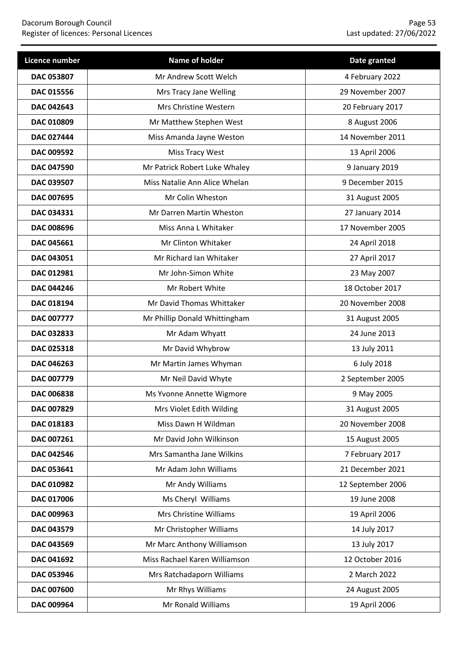| Licence number    | Name of holder                | Date granted      |
|-------------------|-------------------------------|-------------------|
| DAC 053807        | Mr Andrew Scott Welch         | 4 February 2022   |
| DAC 015556        | Mrs Tracy Jane Welling        | 29 November 2007  |
| DAC 042643        | Mrs Christine Western         | 20 February 2017  |
| DAC 010809        | Mr Matthew Stephen West       | 8 August 2006     |
| DAC 027444        | Miss Amanda Jayne Weston      | 14 November 2011  |
| DAC 009592        | Miss Tracy West               | 13 April 2006     |
| <b>DAC 047590</b> | Mr Patrick Robert Luke Whaley | 9 January 2019    |
| DAC 039507        | Miss Natalie Ann Alice Whelan | 9 December 2015   |
| DAC 007695        | Mr Colin Wheston              | 31 August 2005    |
| DAC 034331        | Mr Darren Martin Wheston      | 27 January 2014   |
| <b>DAC 008696</b> | Miss Anna L Whitaker          | 17 November 2005  |
| DAC 045661        | Mr Clinton Whitaker           | 24 April 2018     |
| DAC 043051        | Mr Richard Ian Whitaker       | 27 April 2017     |
| DAC 012981        | Mr John-Simon White           | 23 May 2007       |
| <b>DAC 044246</b> | Mr Robert White               | 18 October 2017   |
| DAC 018194        | Mr David Thomas Whittaker     | 20 November 2008  |
| <b>DAC 007777</b> | Mr Phillip Donald Whittingham | 31 August 2005    |
| DAC 032833        | Mr Adam Whyatt                | 24 June 2013      |
| DAC 025318        | Mr David Whybrow              | 13 July 2011      |
| DAC 046263        | Mr Martin James Whyman        | 6 July 2018       |
| DAC 007779        | Mr Neil David Whyte           | 2 September 2005  |
| <b>DAC 006838</b> | Ms Yvonne Annette Wigmore     | 9 May 2005        |
| DAC 007829        | Mrs Violet Edith Wilding      | 31 August 2005    |
| DAC 018183        | Miss Dawn H Wildman           | 20 November 2008  |
| DAC 007261        | Mr David John Wilkinson       | 15 August 2005    |
| DAC 042546        | Mrs Samantha Jane Wilkins     | 7 February 2017   |
| DAC 053641        | Mr Adam John Williams         | 21 December 2021  |
| DAC 010982        | Mr Andy Williams              | 12 September 2006 |
| DAC 017006        | Ms Cheryl Williams            | 19 June 2008      |
| DAC 009963        | Mrs Christine Williams        | 19 April 2006     |
| DAC 043579        | Mr Christopher Williams       | 14 July 2017      |
| DAC 043569        | Mr Marc Anthony Williamson    | 13 July 2017      |
| DAC 041692        | Miss Rachael Karen Williamson | 12 October 2016   |
| DAC 053946        | Mrs Ratchadaporn Williams     | 2 March 2022      |
| DAC 007600        | Mr Rhys Williams              | 24 August 2005    |
| DAC 009964        | Mr Ronald Williams            | 19 April 2006     |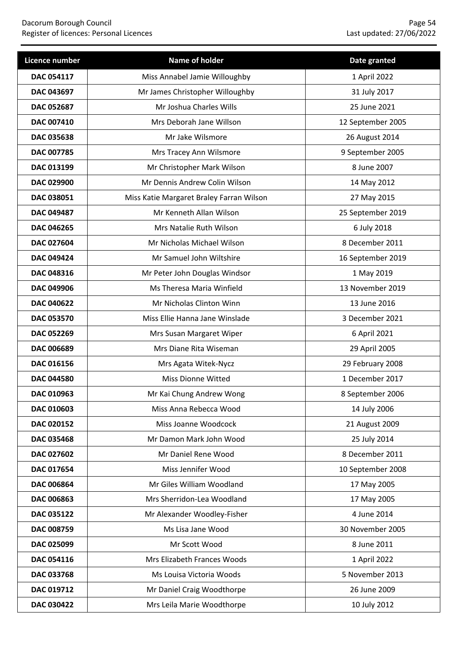| Licence number    | Name of holder                           | Date granted      |
|-------------------|------------------------------------------|-------------------|
| <b>DAC 054117</b> | Miss Annabel Jamie Willoughby            | 1 April 2022      |
| DAC 043697        | Mr James Christopher Willoughby          | 31 July 2017      |
| <b>DAC 052687</b> | Mr Joshua Charles Wills                  | 25 June 2021      |
| <b>DAC 007410</b> | Mrs Deborah Jane Willson                 | 12 September 2005 |
| DAC 035638        | Mr Jake Wilsmore                         | 26 August 2014    |
| <b>DAC 007785</b> | Mrs Tracey Ann Wilsmore                  | 9 September 2005  |
| DAC 013199        | Mr Christopher Mark Wilson               | 8 June 2007       |
| DAC 029900        | Mr Dennis Andrew Colin Wilson            | 14 May 2012       |
| DAC 038051        | Miss Katie Margaret Braley Farran Wilson | 27 May 2015       |
| DAC 049487        | Mr Kenneth Allan Wilson                  | 25 September 2019 |
| <b>DAC 046265</b> | Mrs Natalie Ruth Wilson                  | 6 July 2018       |
| DAC 027604        | Mr Nicholas Michael Wilson               | 8 December 2011   |
| DAC 049424        | Mr Samuel John Wiltshire                 | 16 September 2019 |
| DAC 048316        | Mr Peter John Douglas Windsor            | 1 May 2019        |
| <b>DAC 049906</b> | Ms Theresa Maria Winfield                | 13 November 2019  |
| DAC 040622        | Mr Nicholas Clinton Winn                 | 13 June 2016      |
| DAC 053570        | Miss Ellie Hanna Jane Winslade           | 3 December 2021   |
| DAC 052269        | Mrs Susan Margaret Wiper                 | 6 April 2021      |
| DAC 006689        | Mrs Diane Rita Wiseman                   | 29 April 2005     |
| DAC 016156        | Mrs Agata Witek-Nycz                     | 29 February 2008  |
| <b>DAC 044580</b> | <b>Miss Dionne Witted</b>                | 1 December 2017   |
| DAC 010963        | Mr Kai Chung Andrew Wong                 | 8 September 2006  |
| DAC 010603        | Miss Anna Rebecca Wood                   | 14 July 2006      |
| DAC 020152        | Miss Joanne Woodcock                     | 21 August 2009    |
| DAC 035468        | Mr Damon Mark John Wood                  | 25 July 2014      |
| DAC 027602        | Mr Daniel Rene Wood                      | 8 December 2011   |
| DAC 017654        | Miss Jennifer Wood                       | 10 September 2008 |
| DAC 006864        | Mr Giles William Woodland                | 17 May 2005       |
| DAC 006863        | Mrs Sherridon-Lea Woodland               | 17 May 2005       |
| DAC 035122        | Mr Alexander Woodley-Fisher              | 4 June 2014       |
| DAC 008759        | Ms Lisa Jane Wood                        | 30 November 2005  |
| DAC 025099        | Mr Scott Wood                            | 8 June 2011       |
| DAC 054116        | Mrs Elizabeth Frances Woods              | 1 April 2022      |
| DAC 033768        | Ms Louisa Victoria Woods                 | 5 November 2013   |
| DAC 019712        | Mr Daniel Craig Woodthorpe               | 26 June 2009      |
| DAC 030422        | Mrs Leila Marie Woodthorpe               | 10 July 2012      |